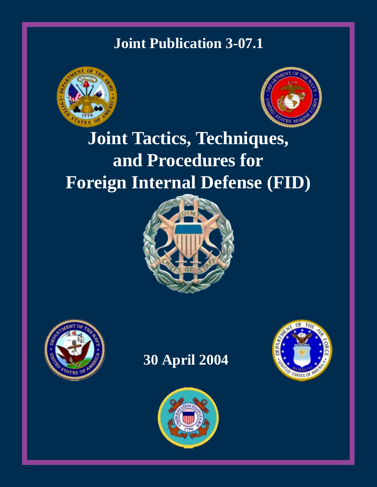# **Joint Publication 3-07.1**





# **Joint Tactics, Techniques, and Procedures for Foreign Internal Defense (FID)**





# **30 April 2004**



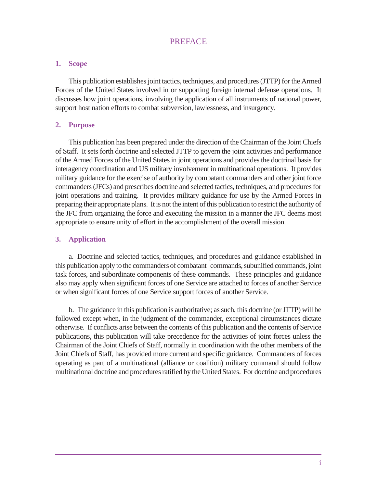# **PREFACE**

#### **1. Scope**

This publication establishes joint tactics, techniques, and procedures (JTTP) for the Armed Forces of the United States involved in or supporting foreign internal defense operations. It discusses how joint operations, involving the application of all instruments of national power, support host nation efforts to combat subversion, lawlessness, and insurgency.

#### **2. Purpose**

This publication has been prepared under the direction of the Chairman of the Joint Chiefs of Staff. It sets forth doctrine and selected JTTP to govern the joint activities and performance of the Armed Forces of the United States in joint operations and provides the doctrinal basis for interagency coordination and US military involvement in multinational operations. It provides military guidance for the exercise of authority by combatant commanders and other joint force commanders (JFCs) and prescribes doctrine and selected tactics, techniques, and procedures for joint operations and training. It provides military guidance for use by the Armed Forces in preparing their appropriate plans. It is not the intent of this publication to restrict the authority of the JFC from organizing the force and executing the mission in a manner the JFC deems most appropriate to ensure unity of effort in the accomplishment of the overall mission.

#### **3. Application**

a. Doctrine and selected tactics, techniques, and procedures and guidance established in this publication apply to the commanders of combatant commands, subunified commands, joint task forces, and subordinate components of these commands. These principles and guidance also may apply when significant forces of one Service are attached to forces of another Service or when significant forces of one Service support forces of another Service.

b. The guidance in this publication is authoritative; as such, this doctrine (or JTTP) will be followed except when, in the judgment of the commander, exceptional circumstances dictate otherwise. If conflicts arise between the contents of this publication and the contents of Service publications, this publication will take precedence for the activities of joint forces unless the Chairman of the Joint Chiefs of Staff, normally in coordination with the other members of the Joint Chiefs of Staff, has provided more current and specific guidance. Commanders of forces operating as part of a multinational (alliance or coalition) military command should follow multinational doctrine and procedures ratified by the United States. For doctrine and procedures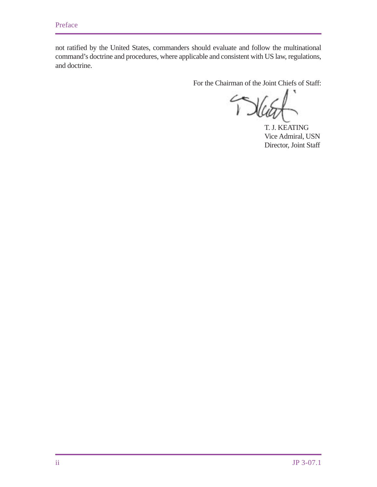not ratified by the United States, commanders should evaluate and follow the multinational command's doctrine and procedures, where applicable and consistent with US law, regulations, and doctrine.

For the Chairman of the Joint Chiefs of Staff:

T. J. KEATING Vice Admiral, USN Director, Joint Staff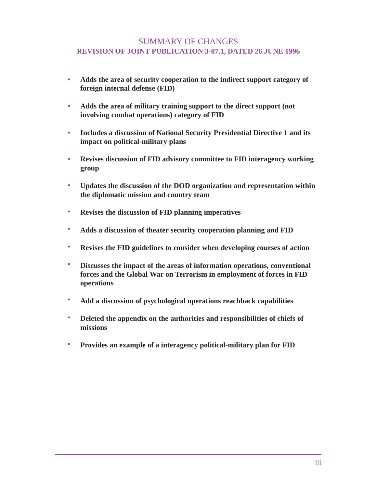# SUMMARY OF CHANGES **REVISION OF JOINT PUBLICATION 3-07.1, DATED 26 JUNE 1996**

- **• Adds the area of security cooperation to the indirect support category of foreign internal defense (FID)**
- **• Adds the area of military training support to the direct support (not involving combat operations) category of FID**
- **• Includes a discussion of National Security Presidential Directive 1 and its impact on political-military plans**
- **• Revises discussion of FID advisory committee to FID interagency working group**
- **• Updates the discussion of the DOD organization and representation within the diplomatic mission and country team**
- **• Revises the discussion of FID planning imperatives**
- **• Adds a discussion of theater security cooperation planning and FID**
- **• Revises the FID guidelines to consider when developing courses of action**
- **• Discusses the impact of the areas of information operations, conventional forces and the Global War on Terrorism in employment of forces in FID operations**
- **• Add a discussion of psychological operations reachback capabilities**
- **• Deleted the appendix on the authorities and responsibilities of chiefs of missions**
- **• Provides an example of a interagency political-military plan for FID**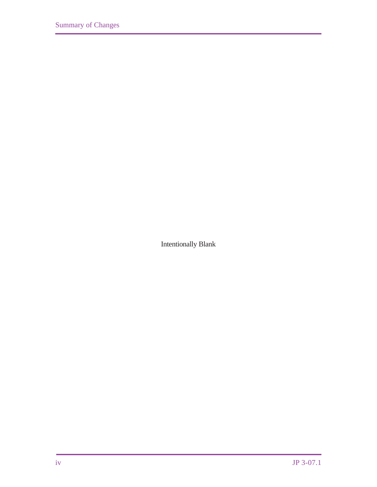Intentionally Blank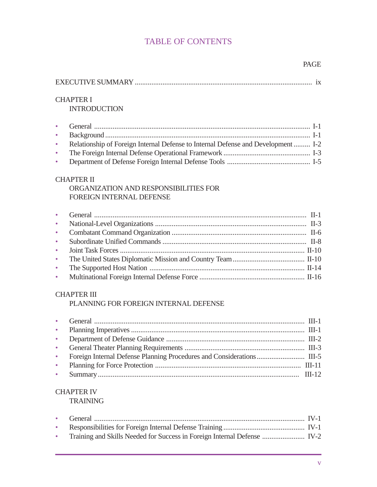# TABLE OF CONTENTS

|--|--|

#### CHAPTER I

# **[INTRODUCTION](#page-17-0)**

| • Relationship of Foreign Internal Defense to Internal Defense and Development  I-2 |  |
|-------------------------------------------------------------------------------------|--|
|                                                                                     |  |
|                                                                                     |  |

#### CHAPTER II

# [ORGANIZATION AND RESPONSIBILITIES FOR](#page-31-0) FOREIGN INTERNAL DEFENSE

#### CHAPTER III

# [PLANNING FOR FOREIGN INTERNAL DEFENSE](#page-49-0)

# [CHAPTER IV](#page-61-0)

# TRAINING

| • Training and Skills Needed for Success in Foreign Internal Defense  IV-2 |  |
|----------------------------------------------------------------------------|--|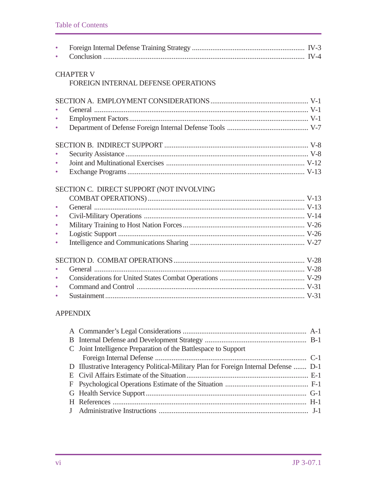| <b>CHAPTER V</b>                                                                        |
|-----------------------------------------------------------------------------------------|
| FOREIGN INTERNAL DEFENSE OPERATIONS                                                     |
|                                                                                         |
|                                                                                         |
|                                                                                         |
|                                                                                         |
|                                                                                         |
|                                                                                         |
|                                                                                         |
|                                                                                         |
| SECTION C. DIRECT SUPPORT (NOT INVOLVING                                                |
|                                                                                         |
|                                                                                         |
|                                                                                         |
|                                                                                         |
|                                                                                         |
|                                                                                         |
|                                                                                         |
|                                                                                         |
|                                                                                         |
|                                                                                         |
|                                                                                         |
| <b>APPENDIX</b>                                                                         |
|                                                                                         |
|                                                                                         |
| Joint Intelligence Preparation of the Battlespace to Support                            |
|                                                                                         |
| Illustrative Interagency Political-Military Plan for Foreign Internal Defense  D-1<br>D |
| E                                                                                       |
| E. Psychological Operations Estimate of the Situation<br>$F-1$                          |

| $1 - 13$ yenological Operations Estimate of the bituation $\ldots$ $\ldots$ $\ldots$ $\ldots$ $\ldots$ $\ldots$ $\ldots$ $\ldots$ $\ldots$ $\ldots$ $\ldots$ |  |
|--------------------------------------------------------------------------------------------------------------------------------------------------------------|--|
|                                                                                                                                                              |  |
|                                                                                                                                                              |  |
|                                                                                                                                                              |  |
|                                                                                                                                                              |  |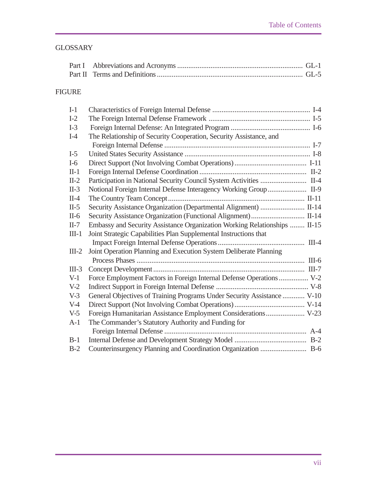# [GLOSSARY](#page-155-0)

# [FIGURE](#page-20-0)

| $I-1$          |                                                                           |  |
|----------------|---------------------------------------------------------------------------|--|
| $I-2$          |                                                                           |  |
| $I-3$          |                                                                           |  |
| $I-4$          | The Relationship of Security Cooperation, Security Assistance, and        |  |
|                |                                                                           |  |
| $I-5$          |                                                                           |  |
| $I-6$          |                                                                           |  |
| $II-1$         |                                                                           |  |
| $II-2$         | Participation in National Security Council System Activities  II-4        |  |
| $II-3$         | Notional Foreign Internal Defense Interagency Working Group  II-9         |  |
| $II-4$         |                                                                           |  |
| $II-5$         | Security Assistance Organization (Departmental Alignment)  II-14          |  |
| $II-6$         | Security Assistance Organization (Functional Alignment)  II-14            |  |
| $II-7$         | Embassy and Security Assistance Organization Working Relationships  II-15 |  |
| $III-1$        | Joint Strategic Capabilities Plan Supplemental Instructions that          |  |
|                |                                                                           |  |
| $III-2$        | Joint Operation Planning and Execution System Deliberate Planning         |  |
|                |                                                                           |  |
| $III-3$        |                                                                           |  |
| $V-1$          | Force Employment Factors in Foreign Internal Defense Operations  V-2      |  |
| $V-2$          |                                                                           |  |
| $V-3$          | General Objectives of Training Programs Under Security Assistance  V-10   |  |
| V <sub>4</sub> |                                                                           |  |
| $V-5$          |                                                                           |  |
| $A-1$          | The Commander's Statutory Authority and Funding for                       |  |
|                |                                                                           |  |
| $B-1$          |                                                                           |  |
| $B-2$          |                                                                           |  |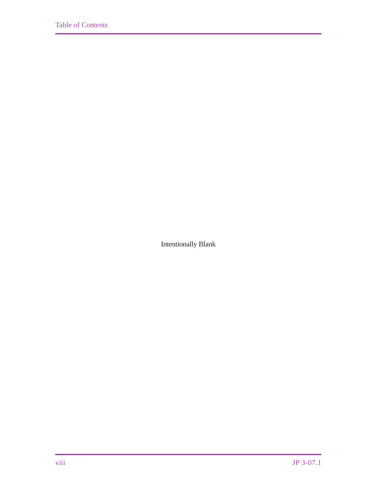Intentionally Blank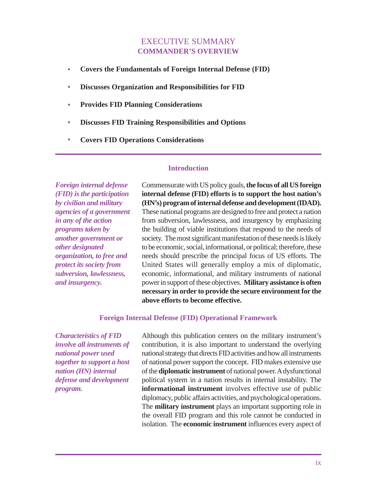# EXECUTIVE SUMMARY **COMMANDER'S OVERVIEW**

- <span id="page-9-0"></span>**• Covers the Fundamentals of Foreign Internal Defense (FID)**
- **• Discusses Organization and Responsibilities for FID**
- **• Provides FID Planning Considerations**
- **• Discusses FID Training Responsibilities and Options**
- **• Covers FID Operations Considerations**

#### **Introduction**

*Foreign internal defense (FID) is the participation by civilian and military agencies of a government in any of the action programs taken by another government or other designated organization, to free and protect its society from subversion, lawlessness, and insurgency.*

Commensurate with US policy goals, **the focus of all US foreign internal defense (FID) efforts is to support the host nation's (HN's) program of internal defense and development (IDAD).** These national programs are designed to free and protect a nation from subversion, lawlessness, and insurgency by emphasizing the building of viable institutions that respond to the needs of society. The most significant manifestation of these needs is likely to be economic, social, informational, or political; therefore, these needs should prescribe the principal focus of US efforts. The United States will generally employ a mix of diplomatic, economic, informational, and military instruments of national power in support of these objectives. **Military assistance is often necessary in order to provide the secure environment for the above efforts to become effective.**

#### **Foreign Internal Defense (FID) Operational Framework**

*Characteristics of FID involve all instruments of national power used together to support a host nation (HN) internal defense and development program.*

Although this publication centers on the military instrument's contribution, it is also important to understand the overlying national strategy that directs FID activities and how all instruments of national power support the concept. FID makes extensive use of the **diplomatic instrument** of national power. A dysfunctional political system in a nation results in internal instability. The **informational instrument** involves effective use of public diplomacy, public affairs activities, and psychological operations. The **military instrument** plays an important supporting role in the overall FID program and this role cannot be conducted in isolation. The **economic instrument** influences every aspect of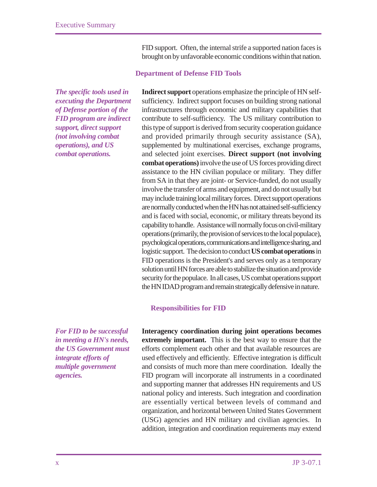FID support. Often, the internal strife a supported nation faces is brought on by unfavorable economic conditions within that nation.

#### **Department of Defense FID Tools**

*The specific tools used in executing the Department of Defense portion of the FID program are indirect support, direct support (not involving combat operations), and US combat operations.*

*For FID to be successful in meeting a HN's needs, the US Government must integrate efforts of multiple government agencies.*

**Indirect support** operations emphasize the principle of HN selfsufficiency. Indirect support focuses on building strong national infrastructures through economic and military capabilities that contribute to self-sufficiency. The US military contribution to this type of support is derived from security cooperation guidance and provided primarily through security assistance (SA), supplemented by multinational exercises, exchange programs, and selected joint exercises. **Direct support (not involving combat operations)** involve the use of US forces providing direct assistance to the HN civilian populace or military. They differ from SA in that they are joint- or Service-funded, do not usually involve the transfer of arms and equipment, and do not usually but may include training local military forces. Direct support operations are normally conducted when the HN has not attained self-sufficiency and is faced with social, economic, or military threats beyond its capability to handle. Assistance will normally focus on civil-military operations (primarily, the provision of services to the local populace), psychological operations, communications and intelligence sharing, and logistic support. The decision to conduct **US combat operations** in FID operations is the President's and serves only as a temporary solution until HN forces are able to stabilize the situation and provide security for the populace. In all cases, US combat operations support the HN IDAD program and remain strategically defensive in nature.

# **Responsibilities for FID**

**Interagency coordination during joint operations becomes extremely important.** This is the best way to ensure that the efforts complement each other and that available resources are used effectively and efficiently. Effective integration is difficult and consists of much more than mere coordination. Ideally the FID program will incorporate all instruments in a coordinated and supporting manner that addresses HN requirements and US national policy and interests. Such integration and coordination are essentially vertical between levels of command and organization, and horizontal between United States Government (USG) agencies and HN military and civilian agencies. In addition, integration and coordination requirements may extend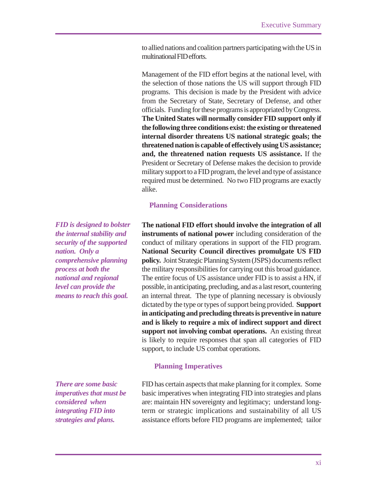to allied nations and coalition partners participating with the US in multinational FID efforts.

Management of the FID effort begins at the national level, with the selection of those nations the US will support through FID programs. This decision is made by the President with advice from the Secretary of State, Secretary of Defense, and other officials. Funding for these programs is appropriated by Congress. **The United States will normally consider FID support only if the following three conditions exist: the existing or threatened internal disorder threatens US national strategic goals; the threatened nation is capable of effectively using US assistance; and, the threatened nation requests US assistance.** If the President or Secretary of Defense makes the decision to provide military support to a FID program, the level and type of assistance required must be determined. No two FID programs are exactly alike.

#### **Planning Considerations**

**The national FID effort should involve the integration of all instruments of national power** including consideration of the conduct of military operations in support of the FID program. **National Security Council directives promulgate US FID policy.** Joint Strategic Planning System (JSPS) documents reflect the military responsibilities for carrying out this broad guidance. The entire focus of US assistance under FID is to assist a HN, if possible, in anticipating, precluding, and as a last resort, countering an internal threat. The type of planning necessary is obviously dictated by the type or types of support being provided. **Support in anticipating and precluding threats is preventive in nature and is likely to require a mix of indirect support and direct support not involving combat operations.** An existing threat is likely to require responses that span all categories of FID support, to include US combat operations.

#### **Planning Imperatives**

*There are some basic imperatives that must be considered when integrating FID into strategies and plans.*

FID has certain aspects that make planning for it complex. Some basic imperatives when integrating FID into strategies and plans are: maintain HN sovereignty and legitimacy; understand longterm or strategic implications and sustainability of all US assistance efforts before FID programs are implemented; tailor

*FID is designed to bolster the internal stability and security of the supported nation. Only a comprehensive planning process at both the national and regional level can provide the means to reach this goal.*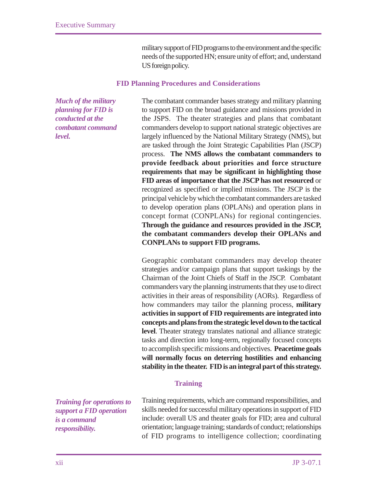military support of FID programs to the environment and the specific needs of the supported HN; ensure unity of effort; and, understand US foreign policy.

### **FID Planning Procedures and Considerations**

*Much of the military planning for FID is conducted at the combatant command level.*

The combatant commander bases strategy and military planning to support FID on the broad guidance and missions provided in the JSPS. The theater strategies and plans that combatant commanders develop to support national strategic objectives are largely influenced by the National Military Strategy (NMS), but are tasked through the Joint Strategic Capabilities Plan (JSCP) process. **The NMS allows the combatant commanders to provide feedback about priorities and force structure requirements that may be significant in highlighting those FID areas of importance that the JSCP has not resourced** or recognized as specified or implied missions. The JSCP is the principal vehicle by which the combatant commanders are tasked to develop operation plans (OPLANs) and operation plans in concept format (CONPLANs) for regional contingencies. **Through the guidance and resources provided in the JSCP, the combatant commanders develop their OPLANs and CONPLANs to support FID programs.**

Geographic combatant commanders may develop theater strategies and/or campaign plans that support taskings by the Chairman of the Joint Chiefs of Staff in the JSCP. Combatant commanders vary the planning instruments that they use to direct activities in their areas of responsibility (AORs). Regardless of how commanders may tailor the planning process, **military activities in support of FID requirements are integrated into concepts and plans from the strategic level down to the tactical level**. Theater strategy translates national and alliance strategic tasks and direction into long-term, regionally focused concepts to accomplish specific missions and objectives. **Peacetime goals will normally focus on deterring hostilities and enhancing stability in the theater. FID is an integral part of this strategy.**

# **Training**

*Training for operations to support a FID operation is a command responsibility.*

Training requirements, which are command responsibilities, and skills needed for successful military operations in support of FID include: overall US and theater goals for FID; area and cultural orientation; language training; standards of conduct; relationships of FID programs to intelligence collection; coordinating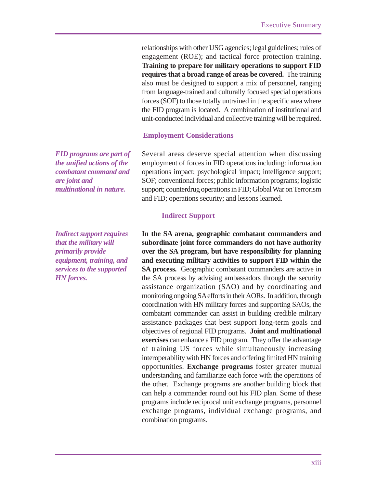relationships with other USG agencies; legal guidelines; rules of engagement (ROE); and tactical force protection training. **Training to prepare for military operations to support FID requires that a broad range of areas be covered.** The training also must be designed to support a mix of personnel, ranging from language-trained and culturally focused special operations forces (SOF) to those totally untrained in the specific area where the FID program is located. A combination of institutional and unit-conducted individual and collective training will be required.

#### **Employment Considerations**

Several areas deserve special attention when discussing employment of forces in FID operations including: information operations impact; psychological impact; intelligence support; SOF; conventional forces; public information programs; logistic support; counterdrug operations in FID; Global War on Terrorism and FID; operations security; and lessons learned.

# **Indirect Support**

**In the SA arena, geographic combatant commanders and subordinate joint force commanders do not have authority over the SA program, but have responsibility for planning and executing military activities to support FID within the SA process.** Geographic combatant commanders are active in the SA process by advising ambassadors through the security assistance organization (SAO) and by coordinating and monitoring ongoing SA efforts in their AORs. In addition, through coordination with HN military forces and supporting SAOs, the combatant commander can assist in building credible military assistance packages that best support long-term goals and objectives of regional FID programs. **Joint and multinational exercises** can enhance a FID program. They offer the advantage of training US forces while simultaneously increasing interoperability with HN forces and offering limited HN training opportunities. **Exchange programs** foster greater mutual understanding and familiarize each force with the operations of the other. Exchange programs are another building block that can help a commander round out his FID plan. Some of these programs include reciprocal unit exchange programs, personnel exchange programs, individual exchange programs, and combination programs.

*FID programs are part of the unified actions of the combatant command and are joint and multinational in nature.*

*Indirect support requires that the military will primarily provide equipment, training, and services to the supported HN forces.*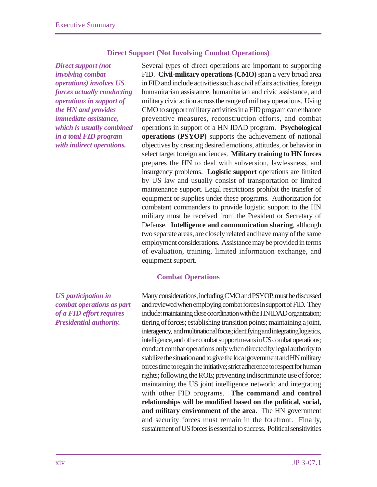### **Direct Support (Not Involving Combat Operations)**

*Direct support (not involving combat operations) involves US forces actually conducting operations in support of the HN and provides immediate assistance, which is usually combined in a total FID program with indirect operations.*

*US participation in combat operations as part of a FID effort requires Presidential authority.*

Several types of direct operations are important to supporting FID. **Civil-military operations (CMO)** span a very broad area in FID and include activities such as civil affairs activities, foreign humanitarian assistance, humanitarian and civic assistance, and military civic action across the range of military operations. Using CMO to support military activities in a FID program can enhance preventive measures, reconstruction efforts, and combat operations in support of a HN IDAD program. **Psychological operations (PSYOP)** supports the achievement of national objectives by creating desired emotions, attitudes, or behavior in select target foreign audiences. **Military training to HN forces** prepares the HN to deal with subversion, lawlessness, and insurgency problems. **Logistic support** operations are limited by US law and usually consist of transportation or limited maintenance support. Legal restrictions prohibit the transfer of equipment or supplies under these programs. Authorization for combatant commanders to provide logistic support to the HN military must be received from the President or Secretary of Defense. **Intelligence and communication sharing**, although two separate areas, are closely related and have many of the same employment considerations. Assistance may be provided in terms of evaluation, training, limited information exchange, and equipment support.

#### **Combat Operations**

Many considerations, including CMO and PSYOP, must be discussed and reviewed when employing combat forces in support of FID. They include: maintaining close coordination with the HN IDAD organization; tiering of forces; establishing transition points; maintaining a joint, interagency, and multinational focus; identifying and integrating logistics, intelligence, and other combat support means in US combat operations; conduct combat operations only when directed by legal authority to stabilize the situation and to give the local government and HN military forces time to regain the initiative; strict adherence to respect for human rights; following the ROE; preventing indiscriminate use of force; maintaining the US joint intelligence network; and integrating with other FID programs. **The command and control relationships will be modified based on the political, social, and military environment of the area.** The HN government and security forces must remain in the forefront. Finally, sustainment of US forces is essential to success. Political sensitivities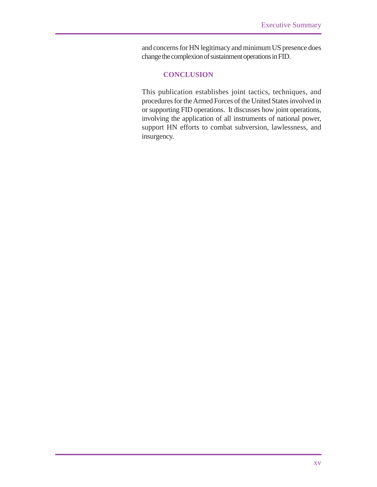and concerns for HN legitimacy and minimum US presence does change the complexion of sustainment operations in FID.

# **CONCLUSION**

This publication establishes joint tactics, techniques, and procedures for the Armed Forces of the United States involved in or supporting FID operations. It discusses how joint operations, involving the application of all instruments of national power, support HN efforts to combat subversion, lawlessness, and insurgency.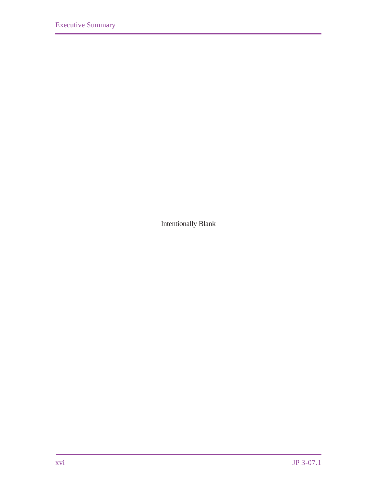Intentionally Blank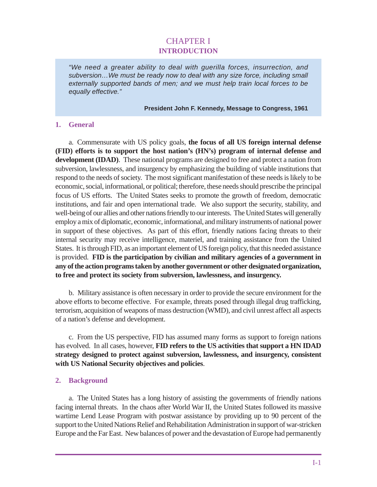# CHAPTER I **INTRODUCTION**

<span id="page-17-0"></span>*"We need a greater ability to deal with guerilla forces, insurrection, and subversion…We must be ready now to deal with any size force, including small externally supported bands of men; and we must help train local forces to be equally effective."*

#### **President John F. Kennedy, Message to Congress, 1961**

#### **1. General**

a. Commensurate with US policy goals, **the focus of all US foreign internal defense (FID) efforts is to support the host nation's (HN's) program of internal defense and development (IDAD)**. These national programs are designed to free and protect a nation from subversion, lawlessness, and insurgency by emphasizing the building of viable institutions that respond to the needs of society. The most significant manifestation of these needs is likely to be economic, social, informational, or political; therefore, these needs should prescribe the principal focus of US efforts. The United States seeks to promote the growth of freedom, democratic institutions, and fair and open international trade. We also support the security, stability, and well-being of our allies and other nations friendly to our interests. The United States will generally employ a mix of diplomatic, economic, informational, and military instruments of national power in support of these objectives. As part of this effort, friendly nations facing threats to their internal security may receive intelligence, materiel, and training assistance from the United States. It is through FID, as an important element of US foreign policy, that this needed assistance is provided. **FID is the participation by civilian and military agencies of a government in any of the action programs taken by another government or other designated organization, to free and protect its society from subversion, lawlessness, and insurgency.**

b. Military assistance is often necessary in order to provide the secure environment for the above efforts to become effective. For example, threats posed through illegal drug trafficking, terrorism, acquisition of weapons of mass destruction (WMD), and civil unrest affect all aspects of a nation's defense and development.

c. From the US perspective, FID has assumed many forms as support to foreign nations has evolved. In all cases, however, **FID refers to the US activities that support a HN IDAD strategy designed to protect against subversion, lawlessness, and insurgency, consistent with US National Security objectives and policies**.

#### **2. Background**

a. The United States has a long history of assisting the governments of friendly nations facing internal threats. In the chaos after World War II, the United States followed its massive wartime Lend Lease Program with postwar assistance by providing up to 90 percent of the support to the United Nations Relief and Rehabilitation Administration in support of war-stricken Europe and the Far East. New balances of power and the devastation of Europe had permanently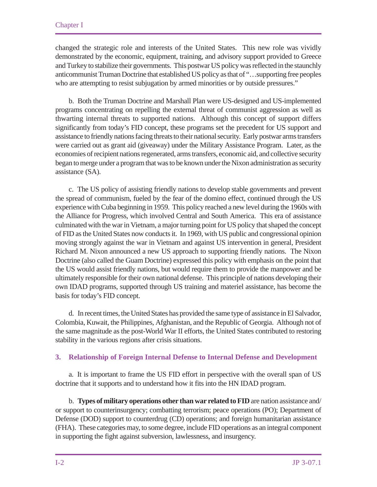<span id="page-18-0"></span>changed the strategic role and interests of the United States. This new role was vividly demonstrated by the economic, equipment, training, and advisory support provided to Greece and Turkey to stabilize their governments. This postwar US policy was reflected in the staunchly anticommunist Truman Doctrine that established US policy as that of "…supporting free peoples who are attempting to resist subjugation by armed minorities or by outside pressures."

b. Both the Truman Doctrine and Marshall Plan were US-designed and US-implemented programs concentrating on repelling the external threat of communist aggression as well as thwarting internal threats to supported nations. Although this concept of support differs significantly from today's FID concept, these programs set the precedent for US support and assistance to friendly nations facing threats to their national security. Early postwar arms transfers were carried out as grant aid (giveaway) under the Military Assistance Program. Later, as the economies of recipient nations regenerated, arms transfers, economic aid, and collective security began to merge under a program that was to be known under the Nixon administration as security assistance (SA).

c. The US policy of assisting friendly nations to develop stable governments and prevent the spread of communism, fueled by the fear of the domino effect, continued through the US experience with Cuba beginning in 1959. This policy reached a new level during the 1960s with the Alliance for Progress, which involved Central and South America. This era of assistance culminated with the war in Vietnam, a major turning point for US policy that shaped the concept of FID as the United States now conducts it. In 1969, with US public and congressional opinion moving strongly against the war in Vietnam and against US intervention in general, President Richard M. Nixon announced a new US approach to supporting friendly nations. The Nixon Doctrine (also called the Guam Doctrine) expressed this policy with emphasis on the point that the US would assist friendly nations, but would require them to provide the manpower and be ultimately responsible for their own national defense. This principle of nations developing their own IDAD programs, supported through US training and materiel assistance, has become the basis for today's FID concept.

d. In recent times, the United States has provided the same type of assistance in El Salvador, Colombia, Kuwait, the Philippines, Afghanistan, and the Republic of Georgia. Although not of the same magnitude as the post-World War II efforts, the United States contributed to restoring stability in the various regions after crisis situations.

# **3. Relationship of Foreign Internal Defense to Internal Defense and Development**

a. It is important to frame the US FID effort in perspective with the overall span of US doctrine that it supports and to understand how it fits into the HN IDAD program.

b. **Types of military operations other than war related to FID** are nation assistance and/ or support to counterinsurgency; combatting terrorism; peace operations (PO); Department of Defense (DOD) support to counterdrug (CD) operations; and foreign humanitarian assistance (FHA). These categories may, to some degree, include FID operations as an integral component in supporting the fight against subversion, lawlessness, and insurgency.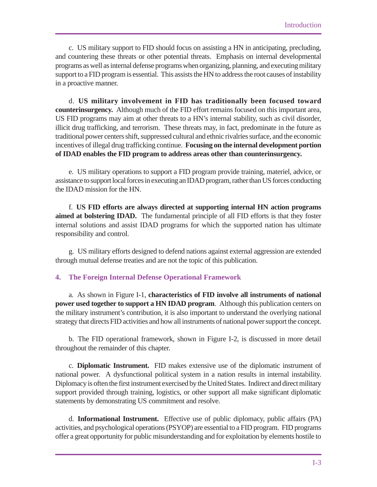<span id="page-19-0"></span>c. US military support to FID should focus on assisting a HN in anticipating, precluding, and countering these threats or other potential threats. Emphasis on internal developmental programs as well as internal defense programs when organizing, planning, and executing military support to a FID program is essential. This assists the HN to address the root causes of instability in a proactive manner.

d. **US military involvement in FID has traditionally been focused toward counterinsurgency.** Although much of the FID effort remains focused on this important area, US FID programs may aim at other threats to a HN's internal stability, such as civil disorder, illicit drug trafficking, and terrorism. These threats may, in fact, predominate in the future as traditional power centers shift, suppressed cultural and ethnic rivalries surface, and the economic incentives of illegal drug trafficking continue. **Focusing on the internal development portion of IDAD enables the FID program to address areas other than counterinsurgency.**

e. US military operations to support a FID program provide training, materiel, advice, or assistance to support local forces in executing an IDAD program, rather than US forces conducting the IDAD mission for the HN.

f. **US FID efforts are always directed at supporting internal HN action programs aimed at bolstering IDAD.** The fundamental principle of all FID efforts is that they foster internal solutions and assist IDAD programs for which the supported nation has ultimate responsibility and control.

g. US military efforts designed to defend nations against external aggression are extended through mutual defense treaties and are not the topic of this publication.

#### **4. The Foreign Internal Defense Operational Framework**

a. As shown in Figure I-1, **characteristics of FID involve all instruments of national power used together to support a HN IDAD program**. Although this publication centers on the military instrument's contribution, it is also important to understand the overlying national strategy that directs FID activities and how all instruments of national power support the concept.

b. The FID operational framework, shown in Figure I-2, is discussed in more detail throughout the remainder of this chapter.

c. **Diplomatic Instrument.** FID makes extensive use of the diplomatic instrument of national power. A dysfunctional political system in a nation results in internal instability. Diplomacy is often the first instrument exercised by the United States. Indirect and direct military support provided through training, logistics, or other support all make significant diplomatic statements by demonstrating US commitment and resolve.

d. **Informational Instrument.** Effective use of public diplomacy, public affairs (PA) activities, and psychological operations (PSYOP) are essential to a FID program. FID programs offer a great opportunity for public misunderstanding and for exploitation by elements hostile to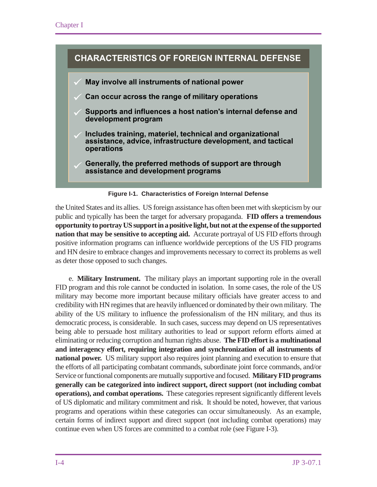<span id="page-20-0"></span>

**Figure I-1. Characteristics of Foreign Internal Defense**

the United States and its allies. US foreign assistance has often been met with skepticism by our public and typically has been the target for adversary propaganda. **FID offers a tremendous opportunity to portray US support in a positive light, but not at the expense of the supported nation that may be sensitive to accepting aid.** Accurate portrayal of US FID efforts through positive information programs can influence worldwide perceptions of the US FID programs and HN desire to embrace changes and improvements necessary to correct its problems as well as deter those opposed to such changes.

e. **Military Instrument.** The military plays an important supporting role in the overall FID program and this role cannot be conducted in isolation. In some cases, the role of the US military may become more important because military officials have greater access to and credibility with HN regimes that are heavily influenced or dominated by their own military. The ability of the US military to influence the professionalism of the HN military, and thus its democratic process, is considerable. In such cases, success may depend on US representatives being able to persuade host military authorities to lead or support reform efforts aimed at eliminating or reducing corruption and human rights abuse. **The FID effort is a multinational and interagency effort, requiring integration and synchronization of all instruments of national power.** US military support also requires joint planning and execution to ensure that the efforts of all participating combatant commands, subordinate joint force commands, and/or Service or functional components are mutually supportive and focused. **Military FID programs generally can be categorized into indirect support, direct support (not including combat operations), and combat operations.** These categories represent significantly different levels of US diplomatic and military commitment and risk. It should be noted, however, that various programs and operations within these categories can occur simultaneously. As an example, certain forms of indirect support and direct support (not including combat operations) may continue even when US forces are committed to a combat role (see Figure I-3).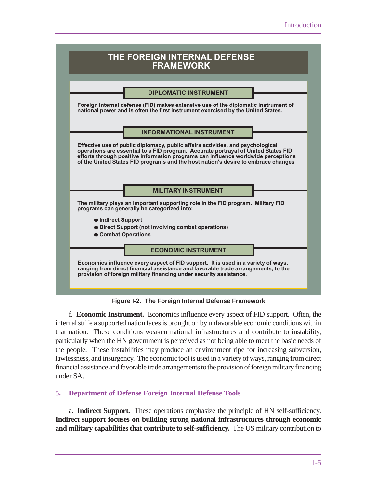<span id="page-21-0"></span>

**Figure I-2. The Foreign Internal Defense Framework**

f. **Economic Instrument.** Economics influence every aspect of FID support. Often, the internal strife a supported nation faces is brought on by unfavorable economic conditions within that nation. These conditions weaken national infrastructures and contribute to instability, particularly when the HN government is perceived as not being able to meet the basic needs of the people. These instabilities may produce an environment ripe for increasing subversion, lawlessness, and insurgency. The economic tool is used in a variety of ways, ranging from direct financial assistance and favorable trade arrangements to the provision of foreign military financing under SA.

# **5. Department of Defense Foreign Internal Defense Tools**

a. **Indirect Support.** These operations emphasize the principle of HN self-sufficiency. **Indirect support focuses on building strong national infrastructures through economic and military capabilities that contribute to self-sufficiency.** The US military contribution to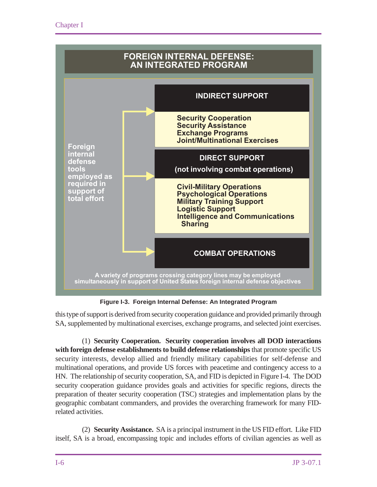<span id="page-22-0"></span>

**Figure I-3. Foreign Internal Defense: An Integrated Program**

this type of support is derived from security cooperation guidance and provided primarily through SA, supplemented by multinational exercises, exchange programs, and selected joint exercises.

(1) **Security Cooperation. Security cooperation involves all DOD interactions with foreign defense establishments to build defense relationships** that promote specific US security interests, develop allied and friendly military capabilities for self-defense and multinational operations, and provide US forces with peacetime and contingency access to a HN. The relationship of security cooperation, SA, and FID is depicted in Figure I-4. The DOD security cooperation guidance provides goals and activities for specific regions, directs the preparation of theater security cooperation (TSC) strategies and implementation plans by the geographic combatant commanders, and provides the overarching framework for many FIDrelated activities.

(2) **Security Assistance.** SA is a principal instrument in the US FID effort. Like FID itself, SA is a broad, encompassing topic and includes efforts of civilian agencies as well as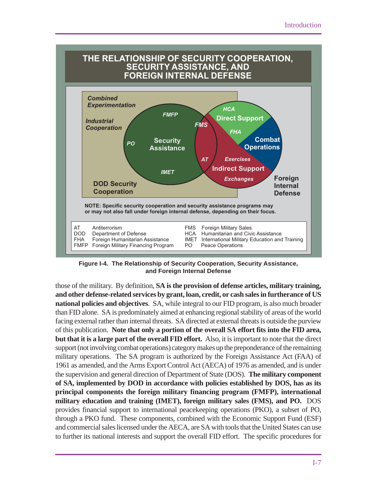<span id="page-23-0"></span>

**Figure I-4. The Relationship of Security Cooperation, Security Assistance, and Foreign Internal Defense**

those of the military. By definition, **SA is the provision of defense articles, military training, and other defense-related services by grant, loan, credit, or cash sales in furtherance of US national policies and objectives**. SA, while integral to our FID program, is also much broader than FID alone. SA is predominately aimed at enhancing regional stability of areas of the world facing external rather than internal threats. SA directed at external threats is outside the purview of this publication. **Note that only a portion of the overall SA effort fits into the FID area, but that it is a large part of the overall FID effort.** Also, it is important to note that the direct support (not involving combat operations) category makes up the preponderance of the remaining military operations. The SA program is authorized by the Foreign Assistance Act (FAA) of 1961 as amended, and the Arms Export Control Act (AECA) of 1976 as amended, and is under the supervision and general direction of Department of State (DOS). **The military component of SA, implemented by DOD in accordance with policies established by DOS, has as its principal components the foreign military financing program (FMFP), international military education and training (IMET), foreign military sales (FMS), and PO.** DOS provides financial support to international peacekeeping operations (PKO), a subset of PO, through a PKO fund. These components, combined with the Economic Support Fund (ESF) and commercial sales licensed under the AECA, are SA with tools that the United States can use to further its national interests and support the overall FID effort. The specific procedures for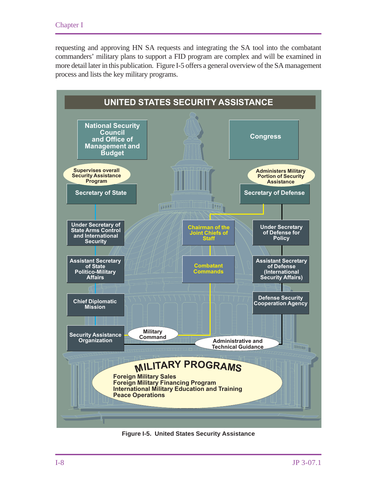<span id="page-24-0"></span>requesting and approving HN SA requests and integrating the SA tool into the combatant commanders' military plans to support a FID program are complex and will be examined in more detail later in this publication. Figure I-5 offers a general overview of the SA management process and lists the key military programs.



**Figure I-5. United States Security Assistance**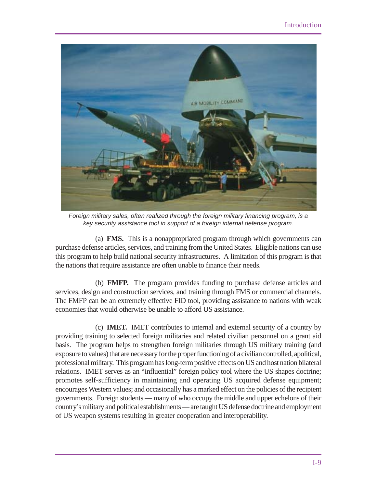

*Foreign military sales, often realized through the foreign military financing program, is a key security assistance tool in support of a foreign internal defense program.*

(a) **FMS.** This is a nonappropriated program through which governments can purchase defense articles, services, and training from the United States. Eligible nations can use this program to help build national security infrastructures. A limitation of this program is that the nations that require assistance are often unable to finance their needs.

(b) **FMFP.** The program provides funding to purchase defense articles and services, design and construction services, and training through FMS or commercial channels. The FMFP can be an extremely effective FID tool, providing assistance to nations with weak economies that would otherwise be unable to afford US assistance.

(c) **IMET.** IMET contributes to internal and external security of a country by providing training to selected foreign militaries and related civilian personnel on a grant aid basis. The program helps to strengthen foreign militaries through US military training (and exposure to values) that are necessary for the proper functioning of a civilian controlled, apolitical, professional military. This program has long-term positive effects on US and host nation bilateral relations. IMET serves as an "influential" foreign policy tool where the US shapes doctrine; promotes self-sufficiency in maintaining and operating US acquired defense equipment; encourages Western values; and occasionally has a marked effect on the policies of the recipient governments. Foreign students — many of who occupy the middle and upper echelons of their country's military and political establishments — are taught US defense doctrine and employment of US weapon systems resulting in greater cooperation and interoperability.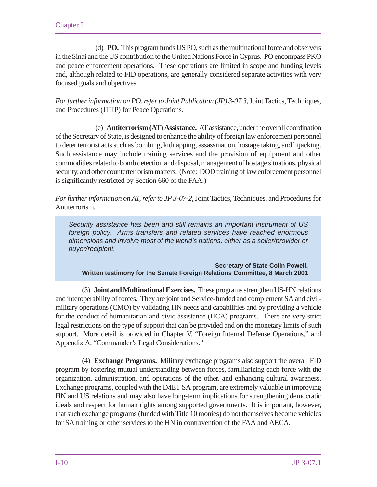(d) **PO.** This program funds US PO, such as the multinational force and observers in the Sinai and the US contribution to the United Nations Force in Cyprus. PO encompass PKO and peace enforcement operations. These operations are limited in scope and funding levels and, although related to FID operations, are generally considered separate activities with very focused goals and objectives.

*For further information on PO, refer to Joint Publication (JP) 3-07.3,* Joint Tactics, Techniques, and Procedures (JTTP) for Peace Operations*.*

(e) **Antiterrorism (AT) Assistance.** AT assistance, under the overall coordination of the Secretary of State, is designed to enhance the ability of foreign law enforcement personnel to deter terrorist acts such as bombing, kidnapping, assassination, hostage taking, and hijacking. Such assistance may include training services and the provision of equipment and other commodities related to bomb detection and disposal, management of hostage situations, physical security, and other counterterrorism matters. (Note: DOD training of law enforcement personnel is significantly restricted by Section 660 of the FAA.)

*For further information on AT, refer to JP 3-07-2,* Joint Tactics, Techniques, and Procedures for Antiterrorism*.*

*Security assistance has been and still remains an important instrument of US foreign policy. Arms transfers and related services have reached enormous dimensions and involve most of the world's nations, either as a seller/provider or buyer/recipient.*

**Secretary of State Colin Powell, Written testimony for the Senate Foreign Relations Committee, 8 March 2001**

(3) **Joint and Multinational Exercises.** These programs strengthen US-HN relations and interoperability of forces. They are joint and Service-funded and complement SA and civilmilitary operations (CMO) by validating HN needs and capabilities and by providing a vehicle for the conduct of humanitarian and civic assistance (HCA) programs. There are very strict legal restrictions on the type of support that can be provided and on the monetary limits of such support. More detail is provided in Chapter V, "Foreign Internal Defense Operations," and Appendix A, "Commander's Legal Considerations."

(4) **Exchange Programs.** Military exchange programs also support the overall FID program by fostering mutual understanding between forces, familiarizing each force with the organization, administration, and operations of the other, and enhancing cultural awareness. Exchange programs, coupled with the IMET SA program, are extremely valuable in improving HN and US relations and may also have long-term implications for strengthening democratic ideals and respect for human rights among supported governments. It is important, however, that such exchange programs (funded with Title 10 monies) do not themselves become vehicles for SA training or other services to the HN in contravention of the FAA and AECA.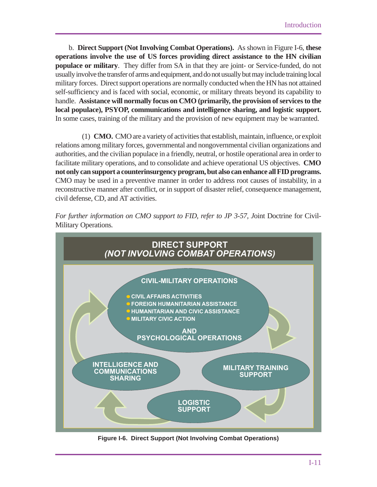<span id="page-27-0"></span>b. **Direct Support (Not Involving Combat Operations).** As shown in Figure I-6, **these operations involve the use of US forces providing direct assistance to the HN civilian populace or military**. They differ from SA in that they are joint- or Service-funded, do not usually involve the transfer of arms and equipment, and do not usually but may include training local military forces. Direct support operations are normally conducted when the HN has not attained self-sufficiency and is faced with social, economic, or military threats beyond its capability to handle. **Assistance will normally focus on CMO (primarily, the provision of services to the local populace), PSYOP, communications and intelligence sharing, and logistic support.** In some cases, training of the military and the provision of new equipment may be warranted.

(1) **CMO.** CMO are a variety of activities that establish, maintain, influence, or exploit relations among military forces, governmental and nongovernmental civilian organizations and authorities, and the civilian populace in a friendly, neutral, or hostile operational area in order to facilitate military operations, and to consolidate and achieve operational US objectives. **CMO not only can support a counterinsurgency program, but also can enhance all FID programs.** CMO may be used in a preventive manner in order to address root causes of instability, in a reconstructive manner after conflict, or in support of disaster relief, consequence management, civil defense, CD, and AT activities.

*For further information on CMO support to FID, refer to JP 3-57, J*oint Doctrine for Civil-Military Operations*.*



**Figure I-6. Direct Support (Not Involving Combat Operations)**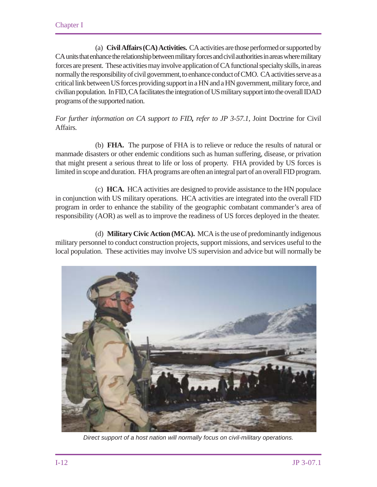(a) **Civil Affairs (CA) Activities.** CA activities are those performed or supported by CA units that enhance the relationship between military forces and civil authorities in areas where military forces are present. These activities may involve application of CA functional specialty skills, in areas normally the responsibility of civil government, to enhance conduct of CMO. CA activities serve as a critical link between US forces providing support in a HN and a HN government, military force, and civilian population. In FID, CA facilitates the integration of US military support into the overall IDAD programs of the supported nation.

*For further information on CA support to FID, refer to JP 3-57.1,* Joint Doctrine for Civil Affairs*.*

(b) **FHA.** The purpose of FHA is to relieve or reduce the results of natural or manmade disasters or other endemic conditions such as human suffering, disease, or privation that might present a serious threat to life or loss of property. FHA provided by US forces is limited in scope and duration. FHA programs are often an integral part of an overall FID program.

(c) **HCA.** HCA activities are designed to provide assistance to the HN populace in conjunction with US military operations. HCA activities are integrated into the overall FID program in order to enhance the stability of the geographic combatant commander's area of responsibility (AOR) as well as to improve the readiness of US forces deployed in the theater.

(d) **Military Civic Action (MCA).** MCA is the use of predominantly indigenous military personnel to conduct construction projects, support missions, and services useful to the local population. These activities may involve US supervision and advice but will normally be



*Direct support of a host nation will normally focus on civil-military operations.*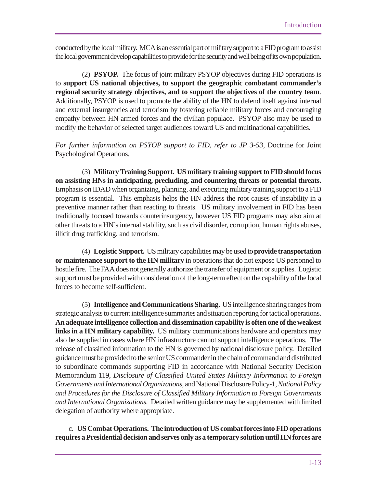conducted by the local military. MCA is an essential part of military support to a FID program to assist the local government develop capabilities to provide for the security and well being of its own population.

(2) **PSYOP.** The focus of joint military PSYOP objectives during FID operations is to **support US national objectives, to support the geographic combatant commander's regional security strategy objectives, and to support the objectives of the country team**. Additionally, PSYOP is used to promote the ability of the HN to defend itself against internal and external insurgencies and terrorism by fostering reliable military forces and encouraging empathy between HN armed forces and the civilian populace. PSYOP also may be used to modify the behavior of selected target audiences toward US and multinational capabilities.

*For further information on PSYOP support to FID, refer to JP 3-53,* Doctrine for Joint Psychological Operations*.*

(3) **Military Training Support. US military training support to FID should focus on assisting HNs in anticipating, precluding, and countering threats or potential threats.** Emphasis on IDAD when organizing, planning, and executing military training support to a FID program is essential. This emphasis helps the HN address the root causes of instability in a preventive manner rather than reacting to threats. US military involvement in FID has been traditionally focused towards counterinsurgency, however US FID programs may also aim at other threats to a HN's internal stability, such as civil disorder, corruption, human rights abuses, illicit drug trafficking, and terrorism.

(4) **Logistic Support.** US military capabilities may be used to **provide transportation or maintenance support to the HN military** in operations that do not expose US personnel to hostile fire. The FAA does not generally authorize the transfer of equipment or supplies. Logistic support must be provided with consideration of the long-term effect on the capability of the local forces to become self-sufficient.

(5) **Intelligence and Communications Sharing.** US intelligence sharing ranges from strategic analysis to current intelligence summaries and situation reporting for tactical operations. **An adequate intelligence collection and dissemination capability is often one of the weakest links in a HN military capability.** US military communications hardware and operators may also be supplied in cases where HN infrastructure cannot support intelligence operations. The release of classified information to the HN is governed by national disclosure policy. Detailed guidance must be provided to the senior US commander in the chain of command and distributed to subordinate commands supporting FID in accordance with National Security Decision Memorandum 119, *Disclosure of Classified United States Military Information to Foreign Governments and International Organizations*, and National Disclosure Policy-1, *National Policy and Procedures for the Disclosure of Classified Military Information to Foreign Governments and International Organizations.* Detailed written guidance may be supplemented with limited delegation of authority where appropriate.

c. **US Combat Operations. The introduction of US combat forces into FID operations requires a Presidential decision and serves only as a temporary solution until HN forces are**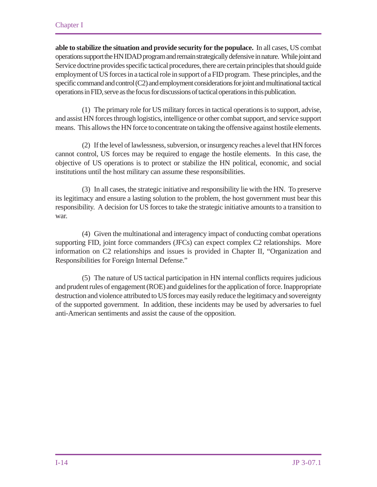**able to stabilize the situation and provide security for the populace.** In all cases, US combat operations support the HN IDAD program and remain strategically defensive in nature. While joint and Service doctrine provides specific tactical procedures, there are certain principles that should guide employment of US forces in a tactical role in support of a FID program. These principles, and the specific command and control (C2) and employment considerations for joint and multinational tactical operations in FID, serve as the focus for discussions of tactical operations in this publication.

(1) The primary role for US military forces in tactical operations is to support, advise, and assist HN forces through logistics, intelligence or other combat support, and service support means. This allows the HN force to concentrate on taking the offensive against hostile elements.

(2) If the level of lawlessness, subversion, or insurgency reaches a level that HN forces cannot control, US forces may be required to engage the hostile elements. In this case, the objective of US operations is to protect or stabilize the HN political, economic, and social institutions until the host military can assume these responsibilities.

(3) In all cases, the strategic initiative and responsibility lie with the HN. To preserve its legitimacy and ensure a lasting solution to the problem, the host government must bear this responsibility. A decision for US forces to take the strategic initiative amounts to a transition to war.

(4) Given the multinational and interagency impact of conducting combat operations supporting FID, joint force commanders (JFCs) can expect complex C2 relationships. More information on C2 relationships and issues is provided in Chapter II, "Organization and Responsibilities for Foreign Internal Defense."

(5) The nature of US tactical participation in HN internal conflicts requires judicious and prudent rules of engagement (ROE) and guidelines for the application of force. Inappropriate destruction and violence attributed to US forces may easily reduce the legitimacy and sovereignty of the supported government. In addition, these incidents may be used by adversaries to fuel anti-American sentiments and assist the cause of the opposition.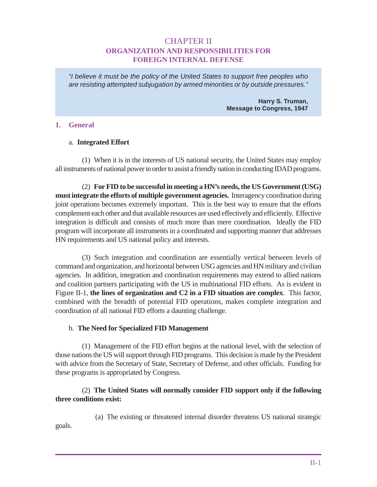# CHAPTER II **ORGANIZATION AND RESPONSIBILITIES FOR FOREIGN INTERNAL DEFENSE**

<span id="page-31-0"></span>*"I believe it must be the policy of the United States to support free peoples who are resisting attempted subjugation by armed minorities or by outside pressures."*

> **Harry S. Truman, Message to Congress, 1947**

### **1. General**

#### a. **Integrated Effort**

(1) When it is in the interests of US national security, the United States may employ all instruments of national power in order to assist a friendly nation in conducting IDAD programs.

(2) **For FID to be successful in meeting a HN's needs, the US Government (USG) must integrate the efforts of multiple government agencies.** Interagency coordination during joint operations becomes extremely important. This is the best way to ensure that the efforts complement each other and that available resources are used effectively and efficiently. Effective integration is difficult and consists of much more than mere coordination. Ideally the FID program will incorporate all instruments in a coordinated and supporting manner that addresses HN requirements and US national policy and interests.

(3) Such integration and coordination are essentially vertical between levels of command and organization, and horizontal between USG agencies and HN military and civilian agencies. In addition, integration and coordination requirements may extend to allied nations and coalition partners participating with the US in multinational FID efforts. As is evident in Figure II-1, **the lines of organization and C2 in a FID situation are complex**. This factor, combined with the breadth of potential FID operations, makes complete integration and coordination of all national FID efforts a daunting challenge.

# b. **The Need for Specialized FID Management**

(1) Management of the FID effort begins at the national level, with the selection of those nations the US will support through FID programs. This decision is made by the President with advice from the Secretary of State, Secretary of Defense, and other officials. Funding for these programs is appropriated by Congress.

# (2) **The United States will normally consider FID support only if the following three conditions exist:**

(a) The existing or threatened internal disorder threatens US national strategic goals.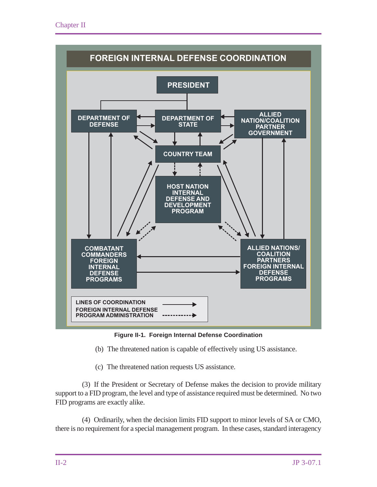<span id="page-32-0"></span>

**Figure II-1. Foreign Internal Defense Coordination**

- (b) The threatened nation is capable of effectively using US assistance.
- (c) The threatened nation requests US assistance.

(3) If the President or Secretary of Defense makes the decision to provide military support to a FID program, the level and type of assistance required must be determined. No two FID programs are exactly alike.

(4) Ordinarily, when the decision limits FID support to minor levels of SA or CMO, there is no requirement for a special management program. In these cases, standard interagency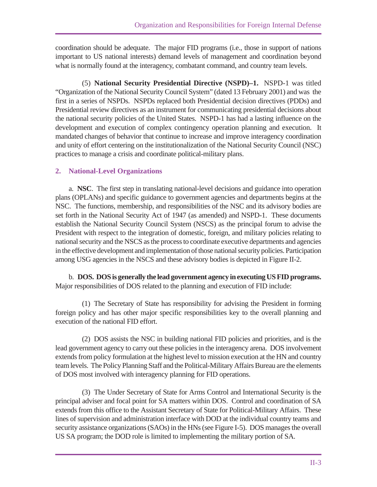<span id="page-33-0"></span>coordination should be adequate. The major FID programs (i.e., those in support of nations important to US national interests) demand levels of management and coordination beyond what is normally found at the interagency, combatant command, and country team levels.

(5) **National Security Presidential Directive (NSPD)–1.** NSPD-1 was titled "Organization of the National Security Council System" (dated 13 February 2001) and was the first in a series of NSPDs. NSPDs replaced both Presidential decision directives (PDDs) and Presidential review directives as an instrument for communicating presidential decisions about the national security policies of the United States. NSPD-1 has had a lasting influence on the development and execution of complex contingency operation planning and execution. It mandated changes of behavior that continue to increase and improve interagency coordination and unity of effort centering on the institutionalization of the National Security Council (NSC) practices to manage a crisis and coordinate political-military plans.

# **2. National-Level Organizations**

a. **NSC**. The first step in translating national-level decisions and guidance into operation plans (OPLANs) and specific guidance to government agencies and departments begins at the NSC. The functions, membership, and responsibilities of the NSC and its advisory bodies are set forth in the National Security Act of 1947 (as amended) and NSPD-1. These documents establish the National Security Council System (NSCS) as the principal forum to advise the President with respect to the integration of domestic, foreign, and military policies relating to national security and the NSCS as the process to coordinate executive departments and agencies in the effective development and implementation of those national security policies. Participation among USG agencies in the NSCS and these advisory bodies is depicted in Figure II-2.

b. **DOS. DOS is generally the lead government agency in executing US FID programs.** Major responsibilities of DOS related to the planning and execution of FID include:

(1) The Secretary of State has responsibility for advising the President in forming foreign policy and has other major specific responsibilities key to the overall planning and execution of the national FID effort.

(2) DOS assists the NSC in building national FID policies and priorities, and is the lead government agency to carry out these policies in the interagency arena. DOS involvement extends from policy formulation at the highest level to mission execution at the HN and country team levels. The Policy Planning Staff and the Political-Military Affairs Bureau are the elements of DOS most involved with interagency planning for FID operations.

(3) The Under Secretary of State for Arms Control and International Security is the principal adviser and focal point for SA matters within DOS. Control and coordination of SA extends from this office to the Assistant Secretary of State for Political-Military Affairs. These lines of supervision and administration interface with DOD at the individual country teams and security assistance organizations (SAOs) in the HNs (see Figure I-5). DOS manages the overall US SA program; the DOD role is limited to implementing the military portion of SA.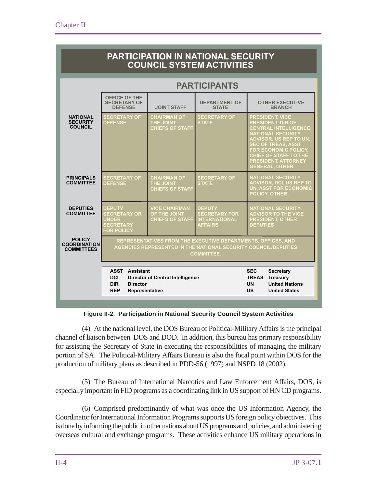<span id="page-34-0"></span>

| <b>PARTICIPATION IN NATIONAL SECURITY</b><br><b>COUNCIL SYSTEM ACTIVITIES</b> |                                                                                                                                                                                                                                                                                                 |                                                                |                                                                                 |                                                                                                                                                                                                                                                                                             |  |  |
|-------------------------------------------------------------------------------|-------------------------------------------------------------------------------------------------------------------------------------------------------------------------------------------------------------------------------------------------------------------------------------------------|----------------------------------------------------------------|---------------------------------------------------------------------------------|---------------------------------------------------------------------------------------------------------------------------------------------------------------------------------------------------------------------------------------------------------------------------------------------|--|--|
|                                                                               | <b>PARTICIPANTS</b>                                                                                                                                                                                                                                                                             |                                                                |                                                                                 |                                                                                                                                                                                                                                                                                             |  |  |
|                                                                               | OFFICE OF THE<br><b>SECRETARY OF</b><br><b>DEFENSE</b>                                                                                                                                                                                                                                          | <b>JOINT STAFF</b>                                             | <b>DEPARTMENT OF</b><br><b>STATE</b>                                            | <b>OTHER EXECUTIVE</b><br><b>BRANCH</b>                                                                                                                                                                                                                                                     |  |  |
| <b>NATIONAL</b><br><b>SECURITY</b><br><b>COUNCIL</b>                          | <b>SECRETARY OF</b><br><b>DEFENSE</b>                                                                                                                                                                                                                                                           | <b>CHAIRMAN OF</b><br>THE JOINT<br><b>CHIEFS OF STAFF</b>      | <b>SECRETARY OF</b><br><b>STATE</b>                                             | <b>PRESIDENT, VICE</b><br><b>PRESIDENT. DIR OF</b><br><b>CENTRAL INTELLIGENCE.</b><br><b>NATIONAL SECURITY</b><br><b>ADVISOR, US REP TO UN,</b><br><b>SEC OF TREAS, ASST</b><br><b>FOR ECONOMIC POLICY,</b><br><b>CHIEF OF STAFF TO THE</b><br>PRESIDENT, ATTORNEY<br><b>GENERAL, OTHER</b> |  |  |
| <b>PRINCIPALS</b><br><b>COMMITTEE</b>                                         | <b>SECRETARY OF</b><br><b>DEFENSE</b>                                                                                                                                                                                                                                                           | <b>CHAIRMAN OF</b><br>THE JOINT<br><b>CHIEFS OF STAFF</b>      | <b>SECRETARY OF</b><br><b>STATE</b>                                             | <b>NATIONAL SECURITY</b><br><b>ADVISOR, DCI, US REP TO</b><br><b>UN, ASST FOR ECONOMIC</b><br><b>POLICY, OTHER</b>                                                                                                                                                                          |  |  |
| <b>DEPUTIES</b><br><b>COMMITTEE</b>                                           | <b>DEPUTY</b><br><b>SECRETARY OR</b><br><b>UNDER</b><br><b>SECRETARY</b><br><b>FOR POLICY</b>                                                                                                                                                                                                   | <b>VICE CHAIRMAN</b><br>OF THE JOINT<br><b>CHIEFS OF STAFF</b> | <b>DEPUTY</b><br><b>SECRETARY FOR</b><br><b>INTERNATIONAL</b><br><b>AFFAIRS</b> | <b>NATIONAL SECURITY</b><br><b>ADVISOR TO THE VICE</b><br><b>PRESIDENT. OTHER</b><br><b>DEPUTIES</b>                                                                                                                                                                                        |  |  |
| <b>POLICY</b><br><b>COORDINATION</b><br><b>COMMITTEES</b>                     | REPRESENTATIVES FROM THE EXECUTIVE DEPARTMENTS, OFFICES, AND<br>AGENCIES REPRESENTED IN THE NATIONAL SECURITY COUNCIL/DEPUTIES<br><b>COMMITTEE.</b>                                                                                                                                             |                                                                |                                                                                 |                                                                                                                                                                                                                                                                                             |  |  |
|                                                                               | <b>SEC</b><br><b>ASST</b> Assistant<br><b>Secretary</b><br><b>DCI</b><br><b>Director of Central Intelligence</b><br><b>TREAS</b><br><b>Treasury</b><br><b>DIR</b><br><b>UN</b><br><b>United Nations</b><br><b>Director</b><br><b>REP</b><br><b>US</b><br><b>United States</b><br>Representative |                                                                |                                                                                 |                                                                                                                                                                                                                                                                                             |  |  |

**Figure II-2. Participation in National Security Council System Activities**

(4) At the national level, the DOS Bureau of Political-Military Affairs is the principal channel of liaison between DOS and DOD. In addition, this bureau has primary responsibility for assisting the Secretary of State in executing the responsibilities of managing the military portion of SA. The Political-Military Affairs Bureau is also the focal point within DOS for the production of military plans as described in PDD-56 (1997) and NSPD 18 (2002).

(5) The Bureau of International Narcotics and Law Enforcement Affairs, DOS, is especially important in FID programs as a coordinating link in US support of HN CD programs.

(6) Comprised predominantly of what was once the US Information Agency, the Coordinator for International Information Programs supports US foreign policy objectives. This is done by informing the public in other nations about US programs and policies, and administering overseas cultural and exchange programs. These activities enhance US military operations in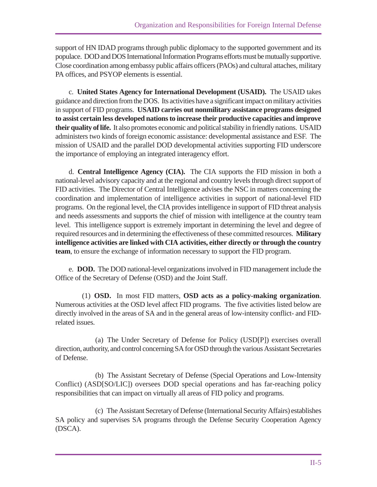support of HN IDAD programs through public diplomacy to the supported government and its populace. DOD and DOS International Information Programs efforts must be mutually supportive. Close coordination among embassy public affairs officers (PAOs) and cultural attaches, military PA offices, and PSYOP elements is essential.

c. **United States Agency for International Development (USAID).** The USAID takes guidance and direction from the DOS. Its activities have a significant impact on military activities in support of FID programs. **USAID carries out nonmilitary assistance programs designed to assist certain less developed nations to increase their productive capacities and improve their quality of life.** It also promotes economic and political stability in friendly nations. USAID administers two kinds of foreign economic assistance: developmental assistance and ESF. The mission of USAID and the parallel DOD developmental activities supporting FID underscore the importance of employing an integrated interagency effort.

d. **Central Intelligence Agency (CIA).** The CIA supports the FID mission in both a national-level advisory capacity and at the regional and country levels through direct support of FID activities. The Director of Central Intelligence advises the NSC in matters concerning the coordination and implementation of intelligence activities in support of national-level FID programs. On the regional level, the CIA provides intelligence in support of FID threat analysis and needs assessments and supports the chief of mission with intelligence at the country team level. This intelligence support is extremely important in determining the level and degree of required resources and in determining the effectiveness of these committed resources. **Military intelligence activities are linked with CIA activities, either directly or through the country team**, to ensure the exchange of information necessary to support the FID program.

e. **DOD.** The DOD national-level organizations involved in FID management include the Office of the Secretary of Defense (OSD) and the Joint Staff.

(1) **OSD.** In most FID matters, **OSD acts as a policy-making organization**. Numerous activities at the OSD level affect FID programs. The five activities listed below are directly involved in the areas of SA and in the general areas of low-intensity conflict- and FIDrelated issues.

(a) The Under Secretary of Defense for Policy (USD[P]) exercises overall direction, authority, and control concerning SA for OSD through the various Assistant Secretaries of Defense.

(b) The Assistant Secretary of Defense (Special Operations and Low-Intensity Conflict) (ASD[SO/LIC]) oversees DOD special operations and has far-reaching policy responsibilities that can impact on virtually all areas of FID policy and programs.

(c) The Assistant Secretary of Defense (International Security Affairs) establishes SA policy and supervises SA programs through the Defense Security Cooperation Agency (DSCA).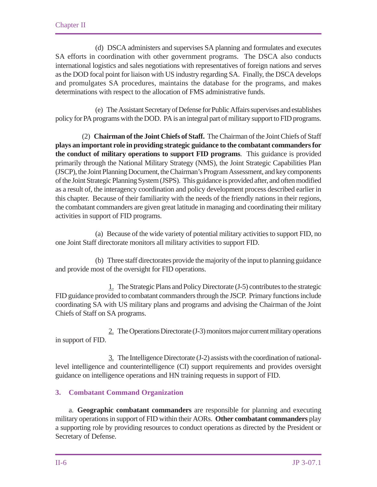(d) DSCA administers and supervises SA planning and formulates and executes SA efforts in coordination with other government programs. The DSCA also conducts international logistics and sales negotiations with representatives of foreign nations and serves as the DOD focal point for liaison with US industry regarding SA. Finally, the DSCA develops and promulgates SA procedures, maintains the database for the programs, and makes determinations with respect to the allocation of FMS administrative funds.

(e) The Assistant Secretary of Defense for Public Affairs supervises and establishes policy for PA programs with the DOD. PA is an integral part of military support to FID programs.

(2) **Chairman of the Joint Chiefs of Staff.** The Chairman of the Joint Chiefs of Staff **plays an important role in providing strategic guidance to the combatant commanders for the conduct of military operations to support FID programs**. This guidance is provided primarily through the National Military Strategy (NMS), the Joint Strategic Capabilities Plan (JSCP), the Joint Planning Document, the Chairman's Program Assessment, and key components of the Joint Strategic Planning System (JSPS). This guidance is provided after, and often modified as a result of, the interagency coordination and policy development process described earlier in this chapter. Because of their familiarity with the needs of the friendly nations in their regions, the combatant commanders are given great latitude in managing and coordinating their military activities in support of FID programs.

(a) Because of the wide variety of potential military activities to support FID, no one Joint Staff directorate monitors all military activities to support FID.

(b) Three staff directorates provide the majority of the input to planning guidance and provide most of the oversight for FID operations.

1. The Strategic Plans and Policy Directorate (J-5) contributes to the strategic FID guidance provided to combatant commanders through the JSCP. Primary functions include coordinating SA with US military plans and programs and advising the Chairman of the Joint Chiefs of Staff on SA programs.

2. The Operations Directorate (J-3) monitors major current military operations in support of FID.

3. The Intelligence Directorate (J-2) assists with the coordination of nationallevel intelligence and counterintelligence (CI) support requirements and provides oversight guidance on intelligence operations and HN training requests in support of FID.

# **3. Combatant Command Organization**

a. **Geographic combatant commanders** are responsible for planning and executing military operations in support of FID within their AORs. **Other combatant commanders** play a supporting role by providing resources to conduct operations as directed by the President or Secretary of Defense.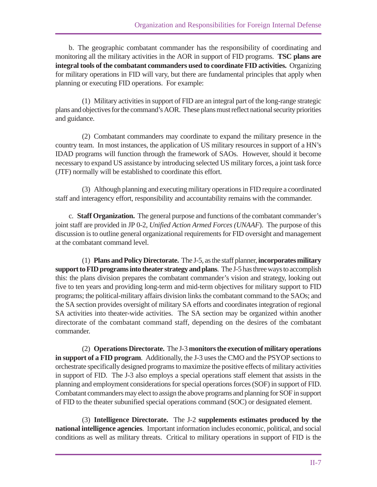b. The geographic combatant commander has the responsibility of coordinating and monitoring all the military activities in the AOR in support of FID programs. **TSC plans are integral tools of the combatant commanders used to coordinate FID activities.** Organizing for military operations in FID will vary, but there are fundamental principles that apply when planning or executing FID operations. For example:

(1) Military activities in support of FID are an integral part of the long-range strategic plans and objectives for the command's AOR. These plans must reflect national security priorities and guidance.

(2) Combatant commanders may coordinate to expand the military presence in the country team. In most instances, the application of US military resources in support of a HN's IDAD programs will function through the framework of SAOs. However, should it become necessary to expand US assistance by introducing selected US military forces, a joint task force (JTF) normally will be established to coordinate this effort.

(3) Although planning and executing military operations in FID require a coordinated staff and interagency effort, responsibility and accountability remains with the commander.

c. **Staff Organization.** The general purpose and functions of the combatant commander's joint staff are provided in JP 0-2, *Unified Action Armed Forces (UNAAF*). The purpose of this discussion is to outline general organizational requirements for FID oversight and management at the combatant command level.

(1) **Plans and Policy Directorate.** The J-5, as the staff planner, **incorporates military support to FID programs into theater strategy and plans**. The J-5 has three ways to accomplish this: the plans division prepares the combatant commander's vision and strategy, looking out five to ten years and providing long-term and mid-term objectives for military support to FID programs; the political-military affairs division links the combatant command to the SAOs; and the SA section provides oversight of military SA efforts and coordinates integration of regional SA activities into theater-wide activities. The SA section may be organized within another directorate of the combatant command staff, depending on the desires of the combatant commander.

(2) **Operations Directorate.** The J-3 **monitors the execution of military operations in support of a FID program**. Additionally, the J-3 uses the CMO and the PSYOP sections to orchestrate specifically designed programs to maximize the positive effects of military activities in support of FID. The J-3 also employs a special operations staff element that assists in the planning and employment considerations for special operations forces (SOF) in support of FID. Combatant commanders may elect to assign the above programs and planning for SOF in support of FID to the theater subunified special operations command (SOC) or designated element.

(3) **Intelligence Directorate.** The J-2 **supplements estimates produced by the national intelligence agencies**. Important information includes economic, political, and social conditions as well as military threats. Critical to military operations in support of FID is the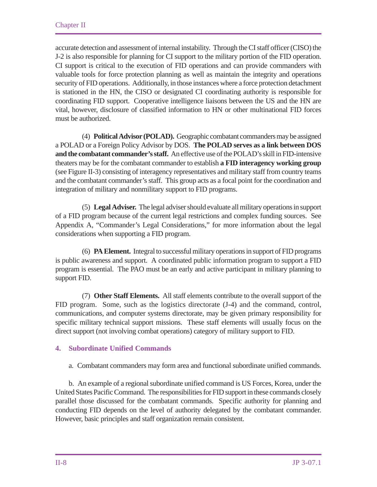accurate detection and assessment of internal instability. Through the CI staff officer (CISO) the J-2 is also responsible for planning for CI support to the military portion of the FID operation. CI support is critical to the execution of FID operations and can provide commanders with valuable tools for force protection planning as well as maintain the integrity and operations security of FID operations. Additionally, in those instances where a force protection detachment is stationed in the HN, the CISO or designated CI coordinating authority is responsible for coordinating FID support. Cooperative intelligence liaisons between the US and the HN are vital, however, disclosure of classified information to HN or other multinational FID forces must be authorized.

(4) **Political Advisor (POLAD).** Geographic combatant commanders may be assigned a POLAD or a Foreign Policy Advisor by DOS. **The POLAD serves as a link between DOS and the combatant commander's staff.** An effective use of the POLAD's skill in FID-intensive theaters may be for the combatant commander to establish **a FID interagency working group** (see Figure II-3) consisting of interagency representatives and military staff from country teams and the combatant commander's staff. This group acts as a focal point for the coordination and integration of military and nonmilitary support to FID programs.

(5) **Legal Adviser.** The legal adviser should evaluate all military operations in support of a FID program because of the current legal restrictions and complex funding sources. See Appendix A, "Commander's Legal Considerations," for more information about the legal considerations when supporting a FID program.

(6) **PA Element.** Integral to successful military operations in support of FID programs is public awareness and support. A coordinated public information program to support a FID program is essential. The PAO must be an early and active participant in military planning to support FID.

(7) **Other Staff Elements.** All staff elements contribute to the overall support of the FID program. Some, such as the logistics directorate (J-4) and the command, control, communications, and computer systems directorate, may be given primary responsibility for specific military technical support missions. These staff elements will usually focus on the direct support (not involving combat operations) category of military support to FID.

# **4. Subordinate Unified Commands**

a. Combatant commanders may form area and functional subordinate unified commands.

b. An example of a regional subordinate unified command is US Forces, Korea, under the United States Pacific Command. The responsibilities for FID support in these commands closely parallel those discussed for the combatant commands. Specific authority for planning and conducting FID depends on the level of authority delegated by the combatant commander. However, basic principles and staff organization remain consistent.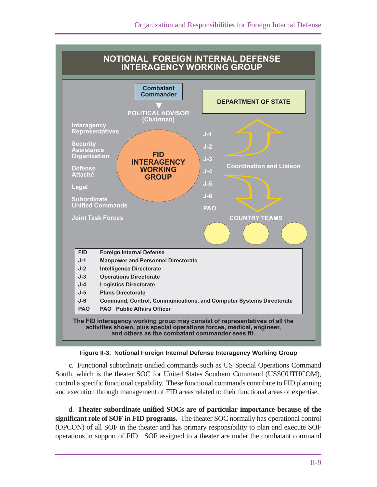

**Figure II-3. Notional Foreign Internal Defense Interagency Working Group**

c. Functional subordinate unified commands such as US Special Operations Command South, which is the theater SOC for United States Southern Command (USSOUTHCOM), control a specific functional capability. These functional commands contribute to FID planning and execution through management of FID areas related to their functional areas of expertise.

d. **Theater subordinate unified SOCs are of particular importance because of the significant role of SOF in FID programs.** The theater SOC normally has operational control (OPCON) of all SOF in the theater and has primary responsibility to plan and execute SOF operations in support of FID. SOF assigned to a theater are under the combatant command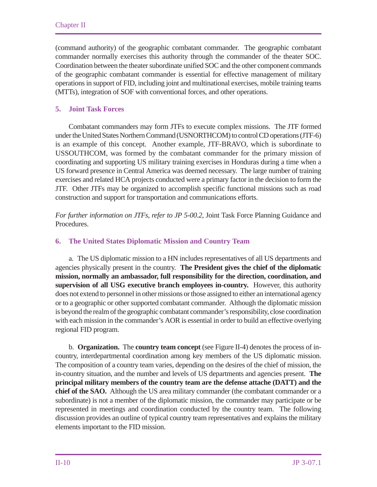(command authority) of the geographic combatant commander. The geographic combatant commander normally exercises this authority through the commander of the theater SOC. Coordination between the theater subordinate unified SOC and the other component commands of the geographic combatant commander is essential for effective management of military operations in support of FID, including joint and multinational exercises, mobile training teams (MTTs), integration of SOF with conventional forces, and other operations.

## **5. Joint Task Forces**

Combatant commanders may form JTFs to execute complex missions. The JTF formed under the United States Northern Command (USNORTHCOM) to control CD operations (JTF-6) is an example of this concept. Another example, JTF-BRAVO, which is subordinate to USSOUTHCOM, was formed by the combatant commander for the primary mission of coordinating and supporting US military training exercises in Honduras during a time when a US forward presence in Central America was deemed necessary. The large number of training exercises and related HCA projects conducted were a primary factor in the decision to form the JTF. Other JTFs may be organized to accomplish specific functional missions such as road construction and support for transportation and communications efforts.

*For further information on JTFs, refer to JP 5-00.2,* Joint Task Force Planning Guidance and Procedures.

## **6. The United States Diplomatic Mission and Country Team**

a. The US diplomatic mission to a HN includes representatives of all US departments and agencies physically present in the country. **The President gives the chief of the diplomatic mission, normally an ambassador, full responsibility for the direction, coordination, and supervision of all USG executive branch employees in-country.** However, this authority does not extend to personnel in other missions or those assigned to either an international agency or to a geographic or other supported combatant commander. Although the diplomatic mission is beyond the realm of the geographic combatant commander's responsibility, close coordination with each mission in the commander's AOR is essential in order to build an effective overlying regional FID program.

b. **Organization.** The **country team concept** (see Figure II-4) denotes the process of incountry, interdepartmental coordination among key members of the US diplomatic mission. The composition of a country team varies, depending on the desires of the chief of mission, the in-country situation, and the number and levels of US departments and agencies present. **The principal military members of the country team are the defense attache (DATT) and the chief of the SAO.** Although the US area military commander (the combatant commander or a subordinate) is not a member of the diplomatic mission, the commander may participate or be represented in meetings and coordination conducted by the country team. The following discussion provides an outline of typical country team representatives and explains the military elements important to the FID mission.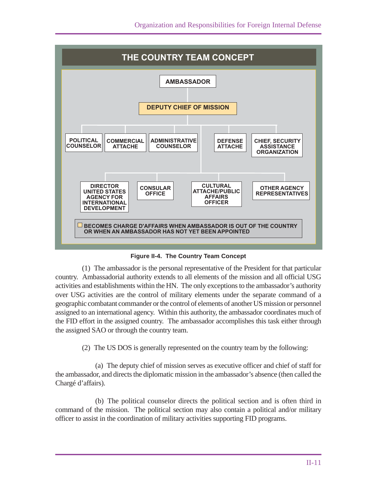

**Figure II-4. The Country Team Concept**

(1) The ambassador is the personal representative of the President for that particular country. Ambassadorial authority extends to all elements of the mission and all official USG activities and establishments within the HN. The only exceptions to the ambassador's authority over USG activities are the control of military elements under the separate command of a geographic combatant commander or the control of elements of another US mission or personnel assigned to an international agency. Within this authority, the ambassador coordinates much of the FID effort in the assigned country. The ambassador accomplishes this task either through the assigned SAO or through the country team.

(2) The US DOS is generally represented on the country team by the following:

(a) The deputy chief of mission serves as executive officer and chief of staff for the ambassador, and directs the diplomatic mission in the ambassador's absence (then called the Chargé d'affairs).

(b) The political counselor directs the political section and is often third in command of the mission. The political section may also contain a political and/or military officer to assist in the coordination of military activities supporting FID programs.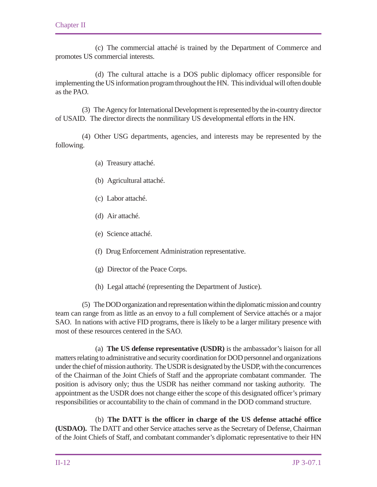(c) The commercial attaché is trained by the Department of Commerce and promotes US commercial interests.

(d) The cultural attache is a DOS public diplomacy officer responsible for implementing the US information program throughout the HN. This individual will often double as the PAO.

(3) The Agency for International Development is represented by the in-country director of USAID. The director directs the nonmilitary US developmental efforts in the HN.

(4) Other USG departments, agencies, and interests may be represented by the following.

- (a) Treasury attaché.
- (b) Agricultural attaché.
- (c) Labor attaché.
- (d) Air attaché.
- (e) Science attaché.
- (f) Drug Enforcement Administration representative.
- (g) Director of the Peace Corps.
- (h) Legal attaché (representing the Department of Justice).

(5) The DOD organization and representation within the diplomatic mission and country team can range from as little as an envoy to a full complement of Service attachés or a major SAO. In nations with active FID programs, there is likely to be a larger military presence with most of these resources centered in the SAO.

(a) **The US defense representative (USDR)** is the ambassador's liaison for all matters relating to administrative and security coordination for DOD personnel and organizations under the chief of mission authority. The USDR is designated by the USDP, with the concurrences of the Chairman of the Joint Chiefs of Staff and the appropriate combatant commander. The position is advisory only; thus the USDR has neither command nor tasking authority. The appointment as the USDR does not change either the scope of this designated officer's primary responsibilities or accountability to the chain of command in the DOD command structure.

(b) **The DATT is the officer in charge of the US defense attaché office (USDAO).** The DATT and other Service attaches serve as the Secretary of Defense, Chairman of the Joint Chiefs of Staff, and combatant commander's diplomatic representative to their HN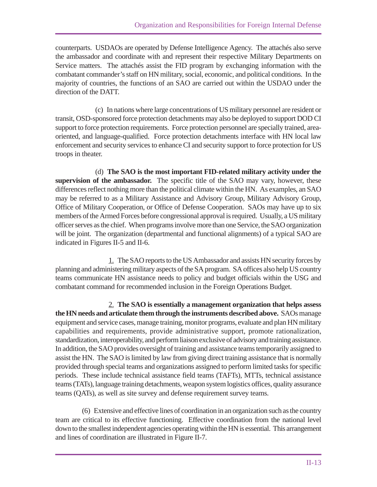counterparts. USDAOs are operated by Defense Intelligence Agency. The attachés also serve the ambassador and coordinate with and represent their respective Military Departments on Service matters. The attachés assist the FID program by exchanging information with the combatant commander's staff on HN military, social, economic, and political conditions. In the majority of countries, the functions of an SAO are carried out within the USDAO under the direction of the DATT.

(c) In nations where large concentrations of US military personnel are resident or transit, OSD-sponsored force protection detachments may also be deployed to support DOD CI support to force protection requirements. Force protection personnel are specially trained, areaoriented, and language-qualified. Force protection detachments interface with HN local law enforcement and security services to enhance CI and security support to force protection for US troops in theater.

(d) **The SAO is the most important FID-related military activity under the supervision of the ambassador.** The specific title of the SAO may vary, however, these differences reflect nothing more than the political climate within the HN. As examples, an SAO may be referred to as a Military Assistance and Advisory Group, Military Advisory Group, Office of Military Cooperation, or Office of Defense Cooperation. SAOs may have up to six members of the Armed Forces before congressional approval is required. Usually, a US military officer serves as the chief. When programs involve more than one Service, the SAO organization will be joint. The organization (departmental and functional alignments) of a typical SAO are indicated in Figures II-5 and II-6.

1. The SAO reports to the US Ambassador and assists HN security forces by planning and administering military aspects of the SA program. SA offices also help US country teams communicate HN assistance needs to policy and budget officials within the USG and combatant command for recommended inclusion in the Foreign Operations Budget.

2. **The SAO is essentially a management organization that helps assess the HN needs and articulate them through the instruments described above.** SAOs manage equipment and service cases, manage training, monitor programs, evaluate and plan HN military capabilities and requirements, provide administrative support, promote rationalization, standardization, interoperability, and perform liaison exclusive of advisory and training assistance. In addition, the SAO provides oversight of training and assistance teams temporarily assigned to assist the HN. The SAO is limited by law from giving direct training assistance that is normally provided through special teams and organizations assigned to perform limited tasks for specific periods. These include technical assistance field teams (TAFTs), MTTs, technical assistance teams (TATs), language training detachments, weapon system logistics offices, quality assurance teams (QATs), as well as site survey and defense requirement survey teams.

(6) Extensive and effective lines of coordination in an organization such as the country team are critical to its effective functioning. Effective coordination from the national level down to the smallest independent agencies operating within the HN is essential. This arrangement and lines of coordination are illustrated in Figure II-7.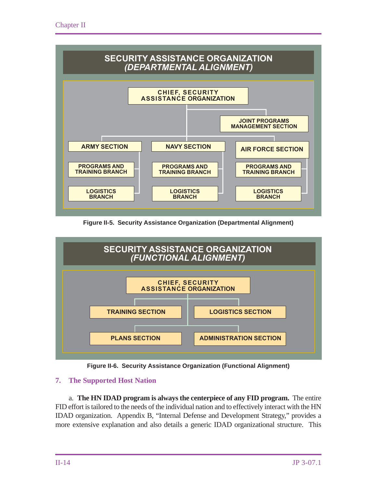

**Figure II-5. Security Assistance Organization (Departmental Alignment)**



**Figure II-6. Security Assistance Organization (Functional Alignment)**

# **7. The Supported Host Nation**

a. **The HN IDAD program is always the centerpiece of any FID program.** The entire FID effort is tailored to the needs of the individual nation and to effectively interact with the HN IDAD organization. Appendix B, "Internal Defense and Development Strategy," provides a more extensive explanation and also details a generic IDAD organizational structure. This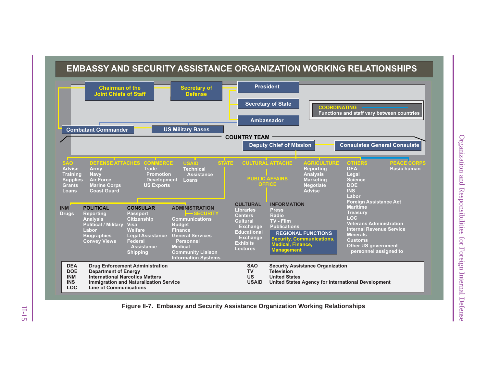# **EMBASSY AND SECURITY ASSISTANCE ORGANIZATION WORKING RELATIONSHIPS**

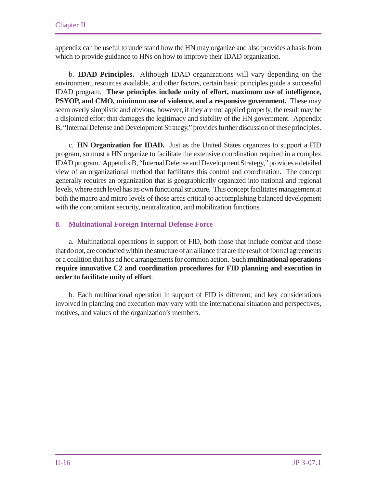appendix can be useful to understand how the HN may organize and also provides a basis from which to provide guidance to HNs on how to improve their IDAD organization.

b. **IDAD Principles.** Although IDAD organizations will vary depending on the environment, resources available, and other factors, certain basic principles guide a successful IDAD program. **These principles include unity of effort, maximum use of intelligence, PSYOP, and CMO, minimum use of violence, and a responsive government.** These may seem overly simplistic and obvious; however, if they are not applied properly, the result may be a disjointed effort that damages the legitimacy and stability of the HN government. Appendix B, "Internal Defense and Development Strategy," provides further discussion of these principles.

c. **HN Organization for IDAD.** Just as the United States organizes to support a FID program, so must a HN organize to facilitate the extensive coordination required in a complex IDAD program. Appendix B, "Internal Defense and Development Strategy," provides a detailed view of an organizational method that facilitates this control and coordination. The concept generally requires an organization that is geographically organized into national and regional levels, where each level has its own functional structure. This concept facilitates management at both the macro and micro levels of those areas critical to accomplishing balanced development with the concomitant security, neutralization, and mobilization functions.

## **8. Multinational Foreign Internal Defense Force**

a. Multinational operations in support of FID, both those that include combat and those that do not, are conducted within the structure of an alliance that are the result of formal agreements or a coalition that has ad hoc arrangements for common action. Such **multinational operations require innovative C2 and coordination procedures for FID planning and execution in order to facilitate unity of effort**.

b. Each multinational operation in support of FID is different, and key considerations involved in planning and execution may vary with the international situation and perspectives, motives, and values of the organization's members.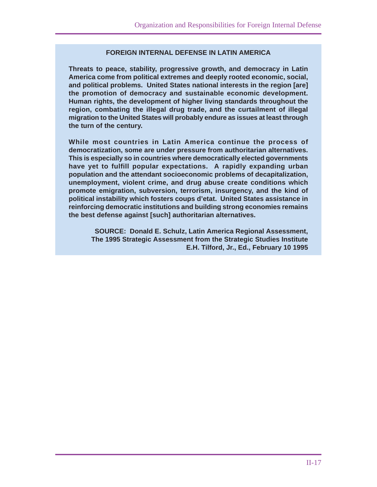## **FOREIGN INTERNAL DEFENSE IN LATIN AMERICA**

**Threats to peace, stability, progressive growth, and democracy in Latin America come from political extremes and deeply rooted economic, social, and political problems. United States national interests in the region [are] the promotion of democracy and sustainable economic development. Human rights, the development of higher living standards throughout the region, combating the illegal drug trade, and the curtailment of illegal migration to the United States will probably endure as issues at least through the turn of the century.**

**While most countries in Latin America continue the process of democratization, some are under pressure from authoritarian alternatives. This is especially so in countries where democratically elected governments have yet to fulfill popular expectations. A rapidly expanding urban population and the attendant socioeconomic problems of decapitalization, unemployment, violent crime, and drug abuse create conditions which promote emigration, subversion, terrorism, insurgency, and the kind of political instability which fosters coups d'etat. United States assistance in reinforcing democratic institutions and building strong economies remains the best defense against [such] authoritarian alternatives.**

**SOURCE: Donald E. Schulz, Latin America Regional Assessment, The 1995 Strategic Assessment from the Strategic Studies Institute E.H. Tilford, Jr., Ed., February 10 1995**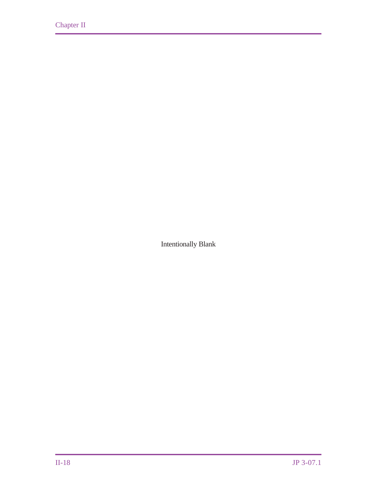Intentionally Blank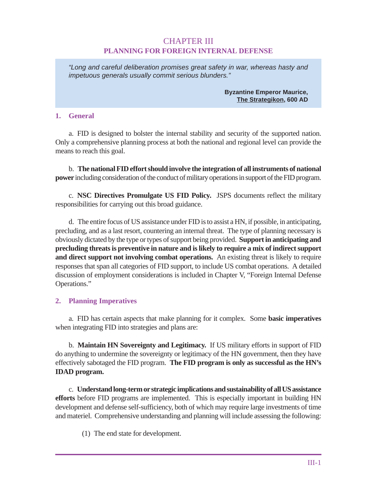# CHAPTER III **PLANNING FOR FOREIGN INTERNAL DEFENSE**

*"Long and careful deliberation promises great safety in war, whereas hasty and impetuous generals usually commit serious blunders."*

> **Byzantine Emperor Maurice, The Strategikon, 600 AD**

### **1. General**

a. FID is designed to bolster the internal stability and security of the supported nation. Only a comprehensive planning process at both the national and regional level can provide the means to reach this goal.

b. **The national FID effort should involve the integration of all instruments of national power** including consideration of the conduct of military operations in support of the FID program.

c. **NSC Directives Promulgate US FID Policy.** JSPS documents reflect the military responsibilities for carrying out this broad guidance.

d. The entire focus of US assistance under FID is to assist a HN, if possible, in anticipating, precluding, and as a last resort, countering an internal threat. The type of planning necessary is obviously dictated by the type or types of support being provided. **Support in anticipating and precluding threats is preventive in nature and is likely to require a mix of indirect support and direct support not involving combat operations.** An existing threat is likely to require responses that span all categories of FID support, to include US combat operations. A detailed discussion of employment considerations is included in Chapter V, "Foreign Internal Defense Operations."

## **2. Planning Imperatives**

a. FID has certain aspects that make planning for it complex. Some **basic imperatives** when integrating FID into strategies and plans are:

b. **Maintain HN Sovereignty and Legitimacy.** If US military efforts in support of FID do anything to undermine the sovereignty or legitimacy of the HN government, then they have effectively sabotaged the FID program. **The FID program is only as successful as the HN's IDAD program.**

c. **Understand long-term or strategic implications and sustainability of all US assistance efforts** before FID programs are implemented. This is especially important in building HN development and defense self-sufficiency, both of which may require large investments of time and materiel. Comprehensive understanding and planning will include assessing the following:

(1) The end state for development.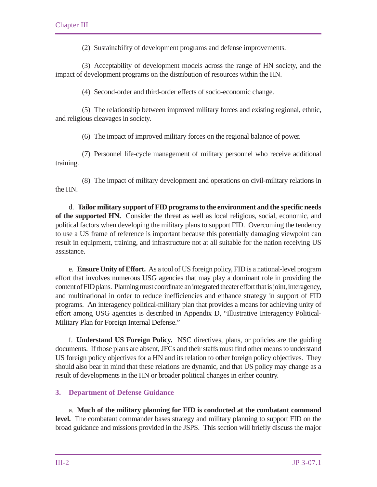(2) Sustainability of development programs and defense improvements.

(3) Acceptability of development models across the range of HN society, and the impact of development programs on the distribution of resources within the HN.

(4) Second-order and third-order effects of socio-economic change.

(5) The relationship between improved military forces and existing regional, ethnic, and religious cleavages in society.

(6) The impact of improved military forces on the regional balance of power.

(7) Personnel life-cycle management of military personnel who receive additional training.

(8) The impact of military development and operations on civil-military relations in the HN.

d. **Tailor military support of FID programs to the environment and the specific needs of the supported HN.** Consider the threat as well as local religious, social, economic, and political factors when developing the military plans to support FID. Overcoming the tendency to use a US frame of reference is important because this potentially damaging viewpoint can result in equipment, training, and infrastructure not at all suitable for the nation receiving US assistance.

e. **Ensure Unity of Effort.** As a tool of US foreign policy, FID is a national-level program effort that involves numerous USG agencies that may play a dominant role in providing the content of FID plans. Planning must coordinate an integrated theater effort that is joint, interagency, and multinational in order to reduce inefficiencies and enhance strategy in support of FID programs. An interagency political-military plan that provides a means for achieving unity of effort among USG agencies is described in Appendix D, "Illustrative Interagency Political-Military Plan for Foreign Internal Defense."

f. **Understand US Foreign Policy.** NSC directives, plans, or policies are the guiding documents. If those plans are absent, JFCs and their staffs must find other means to understand US foreign policy objectives for a HN and its relation to other foreign policy objectives. They should also bear in mind that these relations are dynamic, and that US policy may change as a result of developments in the HN or broader political changes in either country.

# **3. Department of Defense Guidance**

a. **Much of the military planning for FID is conducted at the combatant command level.** The combatant commander bases strategy and military planning to support FID on the broad guidance and missions provided in the JSPS. This section will briefly discuss the major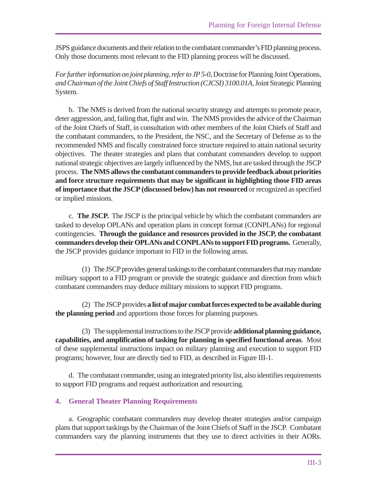JSPS guidance documents and their relation to the combatant commander's FID planning process. Only those documents most relevant to the FID planning process will be discussed.

*For further information on joint planning, refer to JP 5-0,* Doctrine for Planning Joint Operations*,* and Chairman of the Joint Chiefs of Staff Instruction (CJCSI) 3100.01A, Joint Strategic Planning System*.*

b. The NMS is derived from the national security strategy and attempts to promote peace, deter aggression, and, failing that, fight and win. The NMS provides the advice of the Chairman of the Joint Chiefs of Staff, in consultation with other members of the Joint Chiefs of Staff and the combatant commanders, to the President, the NSC, and the Secretary of Defense as to the recommended NMS and fiscally constrained force structure required to attain national security objectives. The theater strategies and plans that combatant commanders develop to support national strategic objectives are largely influenced by the NMS, but are tasked through the JSCP process. **The NMS allows the combatant commanders to provide feedback about priorities and force structure requirements that may be significant in highlighting those FID areas of importance that the JSCP (discussed below) has not resourced** or recognized as specified or implied missions.

c. **The JSCP.** The JSCP is the principal vehicle by which the combatant commanders are tasked to develop OPLANs and operation plans in concept format (CONPLANs) for regional contingencies. **Through the guidance and resources provided in the JSCP, the combatant commanders develop their OPLANs and CONPLANs to support FID programs.** Generally, the JSCP provides guidance important to FID in the following areas.

(1) The JSCP provides general taskings to the combatant commanders that may mandate military support to a FID program or provide the strategic guidance and direction from which combatant commanders may deduce military missions to support FID programs.

(2) The JSCP provides **a list of major combat forces expected to be available during the planning period** and apportions those forces for planning purposes.

(3) The supplemental instructions to the JSCP provide **additional planning guidance, capabilities, and amplification of tasking for planning in specified functional areas**. Most of these supplemental instructions impact on military planning and execution to support FID programs; however, four are directly tied to FID, as described in Figure III-1.

d. The combatant commander, using an integrated priority list, also identifies requirements to support FID programs and request authorization and resourcing.

# **4. General Theater Planning Requirements**

a. Geographic combatant commanders may develop theater strategies and/or campaign plans that support taskings by the Chairman of the Joint Chiefs of Staff in the JSCP. Combatant commanders vary the planning instruments that they use to direct activities in their AORs.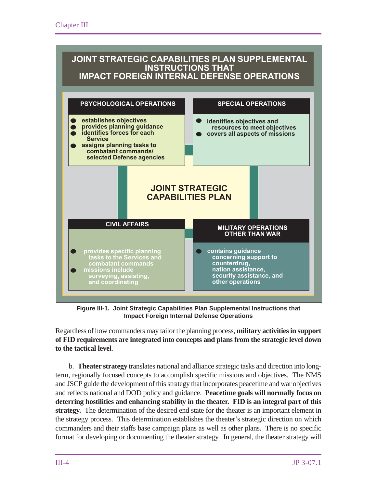

**Figure III-1. Joint Strategic Capabilities Plan Supplemental Instructions that Impact Foreign Internal Defense Operations**

Regardless of how commanders may tailor the planning process, **military activities in support of FID requirements are integrated into concepts and plans from the strategic level down to the tactical level**.

b. **Theater strategy** translates national and alliance strategic tasks and direction into longterm, regionally focused concepts to accomplish specific missions and objectives. The NMS and JSCP guide the development of this strategy that incorporates peacetime and war objectives and reflects national and DOD policy and guidance. **Peacetime goals will normally focus on deterring hostilities and enhancing stability in the theater. FID is an integral part of this strategy.** The determination of the desired end state for the theater is an important element in the strategy process. This determination establishes the theater's strategic direction on which commanders and their staffs base campaign plans as well as other plans. There is no specific format for developing or documenting the theater strategy. In general, the theater strategy will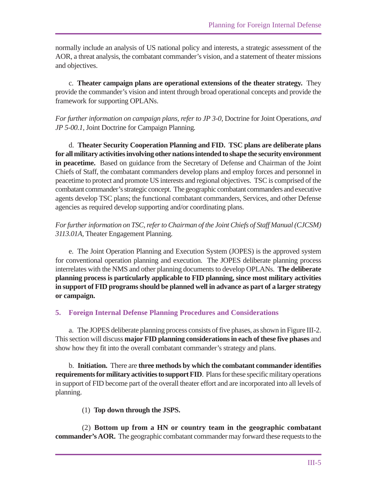normally include an analysis of US national policy and interests, a strategic assessment of the AOR, a threat analysis, the combatant commander's vision, and a statement of theater missions and objectives.

c. **Theater campaign plans are operational extensions of the theater strategy.** They provide the commander's vision and intent through broad operational concepts and provide the framework for supporting OPLANs.

*For further information on campaign plans, refer to JP 3-0,* Doctrine for Joint Operations*, and JP 5-00.1,* Joint Doctrine for Campaign Planning*.*

d. **Theater Security Cooperation Planning and FID. TSC plans are deliberate plans for all military activities involving other nations intended to shape the security environment in peacetime.** Based on guidance from the Secretary of Defense and Chairman of the Joint Chiefs of Staff, the combatant commanders develop plans and employ forces and personnel in peacetime to protect and promote US interests and regional objectives. TSC is comprised of the combatant commander's strategic concept. The geographic combatant commanders and executive agents develop TSC plans; the functional combatant commanders, Services, and other Defense agencies as required develop supporting and/or coordinating plans.

*For further information on TSC, refer to Chairman of the Joint Chiefs of Staff Manual (CJCSM) 3113.01A,* Theater Engagement Planning*.*

e. The Joint Operation Planning and Execution System (JOPES) is the approved system for conventional operation planning and execution. The JOPES deliberate planning process interrelates with the NMS and other planning documents to develop OPLANs. **The deliberate planning process is particularly applicable to FID planning, since most military activities in support of FID programs should be planned well in advance as part of a larger strategy or campaign.**

## **5. Foreign Internal Defense Planning Procedures and Considerations**

a. The JOPES deliberate planning process consists of five phases, as shown in Figure III-2. This section will discuss **major FID planning considerations in each of these five phases** and show how they fit into the overall combatant commander's strategy and plans.

b. **Initiation.** There are **three methods by which the combatant commander identifies requirements for military activities to support FID**. Plans for these specific military operations in support of FID become part of the overall theater effort and are incorporated into all levels of planning.

(1) **Top down through the JSPS.**

(2) **Bottom up from a HN or country team in the geographic combatant commander's AOR.** The geographic combatant commander may forward these requests to the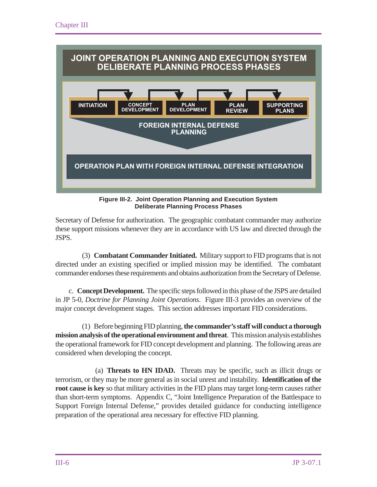

**Deliberate Planning Process Phases**

Secretary of Defense for authorization. The geographic combatant commander may authorize these support missions whenever they are in accordance with US law and directed through the JSPS.

(3) **Combatant Commander Initiated.** Military support to FID programs that is not directed under an existing specified or implied mission may be identified. The combatant commander endorses these requirements and obtains authorization from the Secretary of Defense.

c. **Concept Development.** The specific steps followed in this phase of the JSPS are detailed in JP 5-0, *Doctrine for Planning Joint Operations*. Figure III-3 provides an overview of the major concept development stages. This section addresses important FID considerations.

(1) Before beginning FID planning, **the commander's staff will conduct a thorough mission analysis of the operational environment and threat**. This mission analysis establishes the operational framework for FID concept development and planning. The following areas are considered when developing the concept.

(a) **Threats to HN IDAD.** Threats may be specific, such as illicit drugs or terrorism, or they may be more general as in social unrest and instability. **Identification of the root cause is key** so that military activities in the FID plans may target long-term causes rather than short-term symptoms. Appendix C, "Joint Intelligence Preparation of the Battlespace to Support Foreign Internal Defense," provides detailed guidance for conducting intelligence preparation of the operational area necessary for effective FID planning.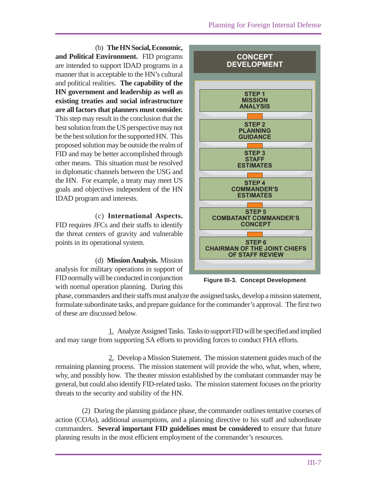(b) **The HN Social, Economic, and Political Environment.** FID programs are intended to support IDAD programs in a manner that is acceptable to the HN's cultural and political realities. **The capability of the HN government and leadership as well as existing treaties and social infrastructure are all factors that planners must consider.** This step may result in the conclusion that the best solution from the US perspective may not be the best solution for the supported HN. This proposed solution may be outside the realm of FID and may be better accomplished through other means. This situation must be resolved in diplomatic channels between the USG and the HN. For example, a treaty may meet US goals and objectives independent of the HN IDAD program and interests.

(c) **International Aspects.** FID requires JFCs and their staffs to identify the threat centers of gravity and vulnerable points in its operational system.

(d) **Mission Analysis.** Mission analysis for military operations in support of FID normally will be conducted in conjunction with normal operation planning. During this



**Figure III-3. Concept Development**

phase, commanders and their staffs must analyze the assigned tasks, develop a mission statement, formulate subordinate tasks, and prepare guidance for the commander's approval. The first two of these are discussed below.

1. Analyze Assigned Tasks. Tasks to support FID will be specified and implied and may range from supporting SA efforts to providing forces to conduct FHA efforts.

2. Develop a Mission Statement. The mission statement guides much of the remaining planning process. The mission statement will provide the who, what, when, where, why, and possibly how. The theater mission established by the combatant commander may be general, but could also identify FID-related tasks. The mission statement focuses on the priority threats to the security and stability of the HN.

(2) During the planning guidance phase, the commander outlines tentative courses of action (COAs), additional assumptions, and a planning directive to his staff and subordinate commanders. **Several important FID guidelines must be considered** to ensure that future planning results in the most efficient employment of the commander's resources.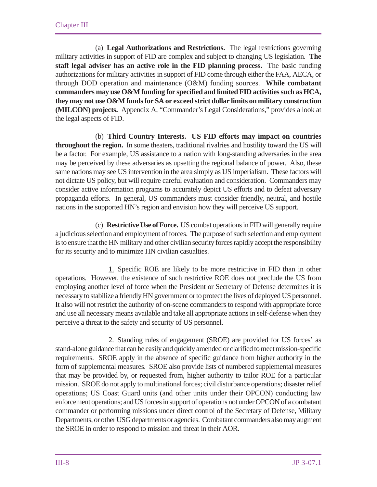(a) **Legal Authorizations and Restrictions.** The legal restrictions governing military activities in support of FID are complex and subject to changing US legislation. **The staff legal adviser has an active role in the FID planning process.** The basic funding authorizations for military activities in support of FID come through either the FAA, AECA, or through DOD operation and maintenance (O&M) funding sources. **While combatant commanders may use O&M funding for specified and limited FID activities such as HCA, they may not use O&M funds for SA or exceed strict dollar limits on military construction (MILCON) projects.** Appendix A, "Commander's Legal Considerations," provides a look at the legal aspects of FID.

(b) **Third Country Interests. US FID efforts may impact on countries throughout the region.** In some theaters, traditional rivalries and hostility toward the US will be a factor. For example, US assistance to a nation with long-standing adversaries in the area may be perceived by these adversaries as upsetting the regional balance of power. Also, these same nations may see US intervention in the area simply as US imperialism. These factors will not dictate US policy, but will require careful evaluation and consideration. Commanders may consider active information programs to accurately depict US efforts and to defeat adversary propaganda efforts. In general, US commanders must consider friendly, neutral, and hostile nations in the supported HN's region and envision how they will perceive US support.

(c) **Restrictive Use of Force.** US combat operations in FID will generally require a judicious selection and employment of forces. The purpose of such selection and employment is to ensure that the HN military and other civilian security forces rapidly accept the responsibility for its security and to minimize HN civilian casualties.

1. Specific ROE are likely to be more restrictive in FID than in other operations. However, the existence of such restrictive ROE does not preclude the US from employing another level of force when the President or Secretary of Defense determines it is necessary to stabilize a friendly HN government or to protect the lives of deployed US personnel. It also will not restrict the authority of on-scene commanders to respond with appropriate force and use all necessary means available and take all appropriate actions in self-defense when they perceive a threat to the safety and security of US personnel.

2. Standing rules of engagement (SROE) are provided for US forces' as stand-alone guidance that can be easily and quickly amended or clarified to meet mission-specific requirements. SROE apply in the absence of specific guidance from higher authority in the form of supplemental measures. SROE also provide lists of numbered supplemental measures that may be provided by, or requested from, higher authority to tailor ROE for a particular mission. SROE do not apply to multinational forces; civil disturbance operations; disaster relief operations; US Coast Guard units (and other units under their OPCON) conducting law enforcement operations; and US forces in support of operations not under OPCON of a combatant commander or performing missions under direct control of the Secretary of Defense, Military Departments, or other USG departments or agencies. Combatant commanders also may augment the SROE in order to respond to mission and threat in their AOR.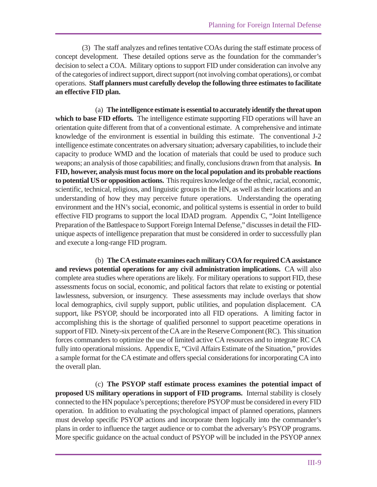(3) The staff analyzes and refines tentative COAs during the staff estimate process of concept development. These detailed options serve as the foundation for the commander's decision to select a COA. Military options to support FID under consideration can involve any of the categories of indirect support, direct support (not involving combat operations), or combat operations. **Staff planners must carefully develop the following three estimates to facilitate an effective FID plan.**

(a) **The intelligence estimate is essential to accurately identify the threat upon** which to base FID efforts. The intelligence estimate supporting FID operations will have an orientation quite different from that of a conventional estimate. A comprehensive and intimate knowledge of the environment is essential in building this estimate. The conventional J-2 intelligence estimate concentrates on adversary situation; adversary capabilities, to include their capacity to produce WMD and the location of materials that could be used to produce such weapons; an analysis of those capabilities; and finally, conclusions drawn from that analysis. **In FID, however, analysis must focus more on the local population and its probable reactions to potential US or opposition actions.** This requires knowledge of the ethnic, racial, economic, scientific, technical, religious, and linguistic groups in the HN, as well as their locations and an understanding of how they may perceive future operations. Understanding the operating environment and the HN's social, economic, and political systems is essential in order to build effective FID programs to support the local IDAD program. Appendix C, "Joint Intelligence Preparation of the Battlespace to Support Foreign Internal Defense," discusses in detail the FIDunique aspects of intelligence preparation that must be considered in order to successfully plan and execute a long-range FID program.

(b) **The CA estimate examines each military COA for required CA assistance and reviews potential operations for any civil administration implications.** CA will also complete area studies where operations are likely. For military operations to support FID, these assessments focus on social, economic, and political factors that relate to existing or potential lawlessness, subversion, or insurgency. These assessments may include overlays that show local demographics, civil supply support, public utilities, and population displacement. CA support, like PSYOP, should be incorporated into all FID operations. A limiting factor in accomplishing this is the shortage of qualified personnel to support peacetime operations in support of FID. Ninety-six percent of the CA are in the Reserve Component (RC). This situation forces commanders to optimize the use of limited active CA resources and to integrate RC CA fully into operational missions. Appendix E, "Civil Affairs Estimate of the Situation," provides a sample format for the CA estimate and offers special considerations for incorporating CA into the overall plan.

(c) **The PSYOP staff estimate process examines the potential impact of proposed US military operations in support of FID programs.** Internal stability is closely connected to the HN populace's perceptions; therefore PSYOP must be considered in every FID operation. In addition to evaluating the psychological impact of planned operations, planners must develop specific PSYOP actions and incorporate them logically into the commander's plans in order to influence the target audience or to combat the adversary's PSYOP programs. More specific guidance on the actual conduct of PSYOP will be included in the PSYOP annex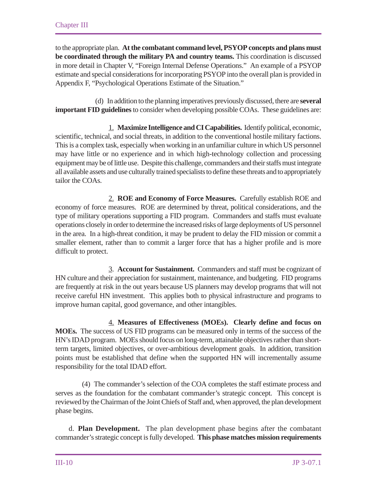to the appropriate plan. **At the combatant command level, PSYOP concepts and plans must be coordinated through the military PA and country teams.** This coordination is discussed in more detail in Chapter V, "Foreign Internal Defense Operations." An example of a PSYOP estimate and special considerations for incorporating PSYOP into the overall plan is provided in Appendix F, "Psychological Operations Estimate of the Situation."

(d) In addition to the planning imperatives previously discussed, there are **several important FID guidelines** to consider when developing possible COAs. These guidelines are:

1. **Maximize Intelligence and CI Capabilities.** Identify political, economic, scientific, technical, and social threats, in addition to the conventional hostile military factions. This is a complex task, especially when working in an unfamiliar culture in which US personnel may have little or no experience and in which high-technology collection and processing equipment may be of little use. Despite this challenge, commanders and their staffs must integrate all available assets and use culturally trained specialists to define these threats and to appropriately tailor the COAs.

2. **ROE and Economy of Force Measures.** Carefully establish ROE and economy of force measures. ROE are determined by threat, political considerations, and the type of military operations supporting a FID program. Commanders and staffs must evaluate operations closely in order to determine the increased risks of large deployments of US personnel in the area. In a high-threat condition, it may be prudent to delay the FID mission or commit a smaller element, rather than to commit a larger force that has a higher profile and is more difficult to protect.

3. **Account for Sustainment.** Commanders and staff must be cognizant of HN culture and their appreciation for sustainment, maintenance, and budgeting. FID programs are frequently at risk in the out years because US planners may develop programs that will not receive careful HN investment. This applies both to physical infrastructure and programs to improve human capital, good governance, and other intangibles.

4. **Measures of Effectiveness (MOEs). Clearly define and focus on MOEs.** The success of US FID programs can be measured only in terms of the success of the HN's IDAD program. MOEs should focus on long-term, attainable objectives rather than shortterm targets, limited objectives, or over-ambitious development goals. In addition, transition points must be established that define when the supported HN will incrementally assume responsibility for the total IDAD effort.

(4) The commander's selection of the COA completes the staff estimate process and serves as the foundation for the combatant commander's strategic concept. This concept is reviewed by the Chairman of the Joint Chiefs of Staff and, when approved, the plan development phase begins.

d. **Plan Development.** The plan development phase begins after the combatant commander's strategic concept is fully developed. **This phase matches mission requirements**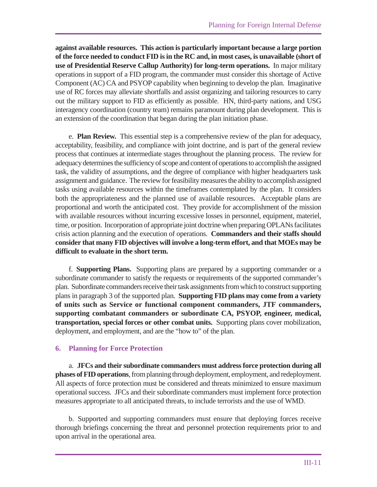**against available resources. This action is particularly important because a large portion of the force needed to conduct FID is in the RC and, in most cases, is unavailable (short of use of Presidential Reserve Callup Authority) for long-term operations.** In major military operations in support of a FID program, the commander must consider this shortage of Active Component (AC) CA and PSYOP capability when beginning to develop the plan. Imaginative use of RC forces may alleviate shortfalls and assist organizing and tailoring resources to carry out the military support to FID as efficiently as possible. HN, third-party nations, and USG interagency coordination (country team) remains paramount during plan development. This is an extension of the coordination that began during the plan initiation phase.

e. **Plan Review.** This essential step is a comprehensive review of the plan for adequacy, acceptability, feasibility, and compliance with joint doctrine, and is part of the general review process that continues at intermediate stages throughout the planning process. The review for adequacy determines the sufficiency of scope and content of operations to accomplish the assigned task, the validity of assumptions, and the degree of compliance with higher headquarters task assignment and guidance. The review for feasibility measures the ability to accomplish assigned tasks using available resources within the timeframes contemplated by the plan. It considers both the appropriateness and the planned use of available resources. Acceptable plans are proportional and worth the anticipated cost. They provide for accomplishment of the mission with available resources without incurring excessive losses in personnel, equipment, materiel, time, or position. Incorporation of appropriate joint doctrine when preparing OPLANs facilitates crisis action planning and the execution of operations. **Commanders and their staffs should consider that many FID objectives will involve a long-term effort, and that MOEs may be difficult to evaluate in the short term.**

f. **Supporting Plans.** Supporting plans are prepared by a supporting commander or a subordinate commander to satisfy the requests or requirements of the supported commander's plan. Subordinate commanders receive their task assignments from which to construct supporting plans in paragraph 3 of the supported plan. **Supporting FID plans may come from a variety of units such as Service or functional component commanders, JTF commanders, supporting combatant commanders or subordinate CA, PSYOP, engineer, medical, transportation, special forces or other combat units.** Supporting plans cover mobilization, deployment, and employment, and are the "how to" of the plan.

# **6. Planning for Force Protection**

a. **JFCs and their subordinate commanders must address force protection during all phases of FID operations**, from planning through deployment, employment, and redeployment. All aspects of force protection must be considered and threats minimized to ensure maximum operational success. JFCs and their subordinate commanders must implement force protection measures appropriate to all anticipated threats, to include terrorists and the use of WMD.

b. Supported and supporting commanders must ensure that deploying forces receive thorough briefings concerning the threat and personnel protection requirements prior to and upon arrival in the operational area.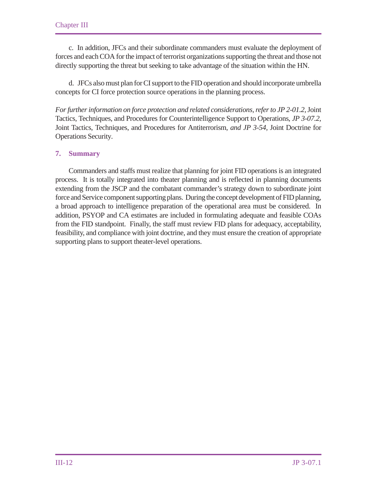c. In addition, JFCs and their subordinate commanders must evaluate the deployment of forces and each COA for the impact of terrorist organizations supporting the threat and those not directly supporting the threat but seeking to take advantage of the situation within the HN.

d. JFCs also must plan for CI support to the FID operation and should incorporate umbrella concepts for CI force protection source operations in the planning process.

*For further information on force protection and related considerations, refer to JP 2-01.2,* Joint Tactics, Techniques, and Procedures for Counterintelligence Support to Operations*, JP 3-07.2,* Joint Tactics, Techniques, and Procedures for Antiterrorism*, and JP 3-54,* Joint Doctrine for Operations Security*.*

## **7. Summary**

Commanders and staffs must realize that planning for joint FID operations is an integrated process. It is totally integrated into theater planning and is reflected in planning documents extending from the JSCP and the combatant commander's strategy down to subordinate joint force and Service component supporting plans. During the concept development of FID planning, a broad approach to intelligence preparation of the operational area must be considered. In addition, PSYOP and CA estimates are included in formulating adequate and feasible COAs from the FID standpoint. Finally, the staff must review FID plans for adequacy, acceptability, feasibility, and compliance with joint doctrine, and they must ensure the creation of appropriate supporting plans to support theater-level operations.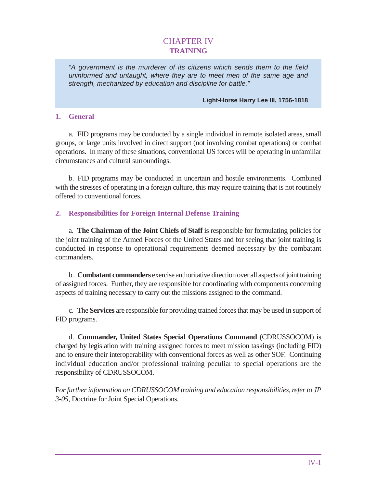# CHAPTER IV **TRAINING**

*"A government is the murderer of its citizens which sends them to the field uninformed and untaught, where they are to meet men of the same age and strength, mechanized by education and discipline for battle."*

### **Light-Horse Harry Lee III, 1756-1818**

### **1. General**

a. FID programs may be conducted by a single individual in remote isolated areas, small groups, or large units involved in direct support (not involving combat operations) or combat operations. In many of these situations, conventional US forces will be operating in unfamiliar circumstances and cultural surroundings.

b. FID programs may be conducted in uncertain and hostile environments. Combined with the stresses of operating in a foreign culture, this may require training that is not routinely offered to conventional forces.

## **2. Responsibilities for Foreign Internal Defense Training**

a. **The Chairman of the Joint Chiefs of Staff** is responsible for formulating policies for the joint training of the Armed Forces of the United States and for seeing that joint training is conducted in response to operational requirements deemed necessary by the combatant commanders.

b. **Combatant commanders** exercise authoritative direction over all aspects of joint training of assigned forces. Further, they are responsible for coordinating with components concerning aspects of training necessary to carry out the missions assigned to the command.

c. The **Services** are responsible for providing trained forces that may be used in support of FID programs.

d. **Commander, United States Special Operations Command** (CDRUSSOCOM) is charged by legislation with training assigned forces to meet mission taskings (including FID) and to ensure their interoperability with conventional forces as well as other SOF. Continuing individual education and/or professional training peculiar to special operations are the responsibility of CDRUSSOCOM.

F*or further information on CDRUSSOCOM training and education responsibilities, refer to JP 3-05,* Doctrine for Joint Special Operations*.*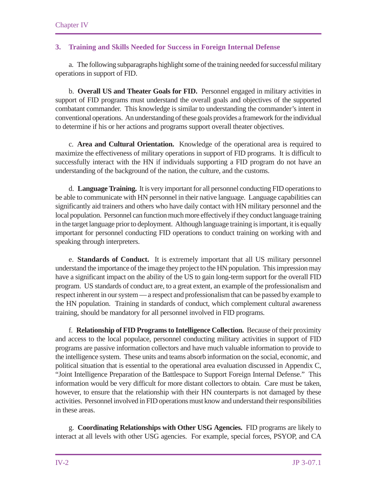## **3. Training and Skills Needed for Success in Foreign Internal Defense**

a. The following subparagraphs highlight some of the training needed for successful military operations in support of FID.

b. **Overall US and Theater Goals for FID.** Personnel engaged in military activities in support of FID programs must understand the overall goals and objectives of the supported combatant commander. This knowledge is similar to understanding the commander's intent in conventional operations. An understanding of these goals provides a framework for the individual to determine if his or her actions and programs support overall theater objectives.

c. **Area and Cultural Orientation.** Knowledge of the operational area is required to maximize the effectiveness of military operations in support of FID programs. It is difficult to successfully interact with the HN if individuals supporting a FID program do not have an understanding of the background of the nation, the culture, and the customs.

d. **Language Training.** It is very important for all personnel conducting FID operations to be able to communicate with HN personnel in their native language. Language capabilities can significantly aid trainers and others who have daily contact with HN military personnel and the local population. Personnel can function much more effectively if they conduct language training in the target language prior to deployment. Although language training is important, it is equally important for personnel conducting FID operations to conduct training on working with and speaking through interpreters.

e. **Standards of Conduct.** It is extremely important that all US military personnel understand the importance of the image they project to the HN population. This impression may have a significant impact on the ability of the US to gain long-term support for the overall FID program. US standards of conduct are, to a great extent, an example of the professionalism and respect inherent in our system — a respect and professionalism that can be passed by example to the HN population. Training in standards of conduct, which complement cultural awareness training, should be mandatory for all personnel involved in FID programs.

f. **Relationship of FID Programs to Intelligence Collection.** Because of their proximity and access to the local populace, personnel conducting military activities in support of FID programs are passive information collectors and have much valuable information to provide to the intelligence system. These units and teams absorb information on the social, economic, and political situation that is essential to the operational area evaluation discussed in Appendix C, "Joint Intelligence Preparation of the Battlespace to Support Foreign Internal Defense." This information would be very difficult for more distant collectors to obtain. Care must be taken, however, to ensure that the relationship with their HN counterparts is not damaged by these activities. Personnel involved in FID operations must know and understand their responsibilities in these areas.

g. **Coordinating Relationships with Other USG Agencies.** FID programs are likely to interact at all levels with other USG agencies. For example, special forces, PSYOP, and CA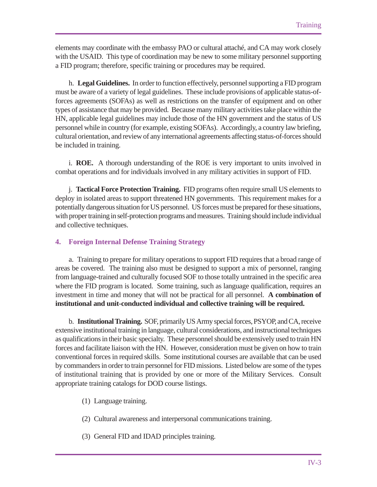elements may coordinate with the embassy PAO or cultural attaché, and CA may work closely with the USAID. This type of coordination may be new to some military personnel supporting a FID program; therefore, specific training or procedures may be required.

h. **Legal Guidelines.** In order to function effectively, personnel supporting a FID program must be aware of a variety of legal guidelines. These include provisions of applicable status-offorces agreements (SOFAs) as well as restrictions on the transfer of equipment and on other types of assistance that may be provided. Because many military activities take place within the HN, applicable legal guidelines may include those of the HN government and the status of US personnel while in country (for example, existing SOFAs). Accordingly, a country law briefing, cultural orientation, and review of any international agreements affecting status-of-forces should be included in training.

i. **ROE.** A thorough understanding of the ROE is very important to units involved in combat operations and for individuals involved in any military activities in support of FID.

j. **Tactical Force Protection Training.** FID programs often require small US elements to deploy in isolated areas to support threatened HN governments. This requirement makes for a potentially dangerous situation for US personnel. US forces must be prepared for these situations, with proper training in self-protection programs and measures. Training should include individual and collective techniques.

## **4. Foreign Internal Defense Training Strategy**

a. Training to prepare for military operations to support FID requires that a broad range of areas be covered. The training also must be designed to support a mix of personnel, ranging from language-trained and culturally focused SOF to those totally untrained in the specific area where the FID program is located. Some training, such as language qualification, requires an investment in time and money that will not be practical for all personnel. **A combination of institutional and unit-conducted individual and collective training will be required.**

b. **Institutional Training.** SOF, primarily US Army special forces, PSYOP, and CA, receive extensive institutional training in language, cultural considerations, and instructional techniques as qualifications in their basic specialty. These personnel should be extensively used to train HN forces and facilitate liaison with the HN. However, consideration must be given on how to train conventional forces in required skills. Some institutional courses are available that can be used by commanders in order to train personnel for FID missions. Listed below are some of the types of institutional training that is provided by one or more of the Military Services. Consult appropriate training catalogs for DOD course listings.

- (1) Language training.
- (2) Cultural awareness and interpersonal communications training.
- (3) General FID and IDAD principles training.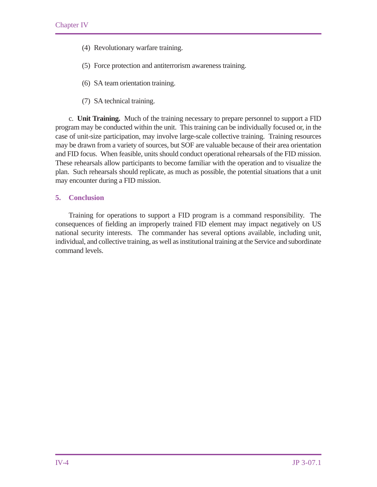- (4) Revolutionary warfare training.
- (5) Force protection and antiterrorism awareness training.
- (6) SA team orientation training.
- (7) SA technical training.

c. **Unit Training.** Much of the training necessary to prepare personnel to support a FID program may be conducted within the unit. This training can be individually focused or, in the case of unit-size participation, may involve large-scale collective training. Training resources may be drawn from a variety of sources, but SOF are valuable because of their area orientation and FID focus. When feasible, units should conduct operational rehearsals of the FID mission. These rehearsals allow participants to become familiar with the operation and to visualize the plan. Such rehearsals should replicate, as much as possible, the potential situations that a unit may encounter during a FID mission.

### **5. Conclusion**

Training for operations to support a FID program is a command responsibility. The consequences of fielding an improperly trained FID element may impact negatively on US national security interests. The commander has several options available, including unit, individual, and collective training, as well as institutional training at the Service and subordinate command levels.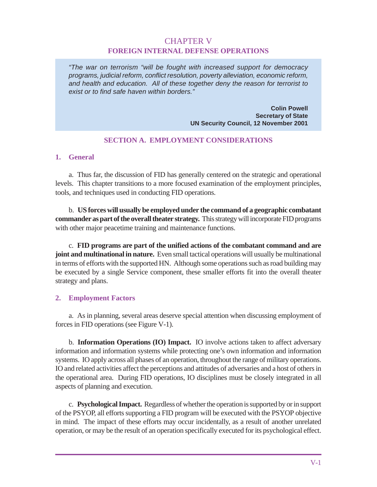# CHAPTER V **FOREIGN INTERNAL DEFENSE OPERATIONS**

*"The war on terrorism "will be fought with increased support for democracy programs, judicial reform, conflict resolution, poverty alleviation, economic reform, and health and education. All of these together deny the reason for terrorist to exist or to find safe haven within borders."*

> **Colin Powell Secretary of State UN Security Council, 12 November 2001**

## **SECTION A. EMPLOYMENT CONSIDERATIONS**

### **1. General**

a. Thus far, the discussion of FID has generally centered on the strategic and operational levels. This chapter transitions to a more focused examination of the employment principles, tools, and techniques used in conducting FID operations.

b. **US forces will usually be employed under the command of a geographic combatant commander as part of the overall theater strategy.** This strategy will incorporate FID programs with other major peacetime training and maintenance functions.

c. **FID programs are part of the unified actions of the combatant command and are joint and multinational in nature.** Even small tactical operations will usually be multinational in terms of efforts with the supported HN. Although some operations such as road building may be executed by a single Service component, these smaller efforts fit into the overall theater strategy and plans.

### **2. Employment Factors**

a. As in planning, several areas deserve special attention when discussing employment of forces in FID operations (see Figure V-1).

b. **Information Operations (IO) Impact.** IO involve actions taken to affect adversary information and information systems while protecting one's own information and information systems. IO apply across all phases of an operation, throughout the range of military operations. IO and related activities affect the perceptions and attitudes of adversaries and a host of others in the operational area. During FID operations, IO disciplines must be closely integrated in all aspects of planning and execution.

c. **Psychological Impact.** Regardless of whether the operation is supported by or in support of the PSYOP, all efforts supporting a FID program will be executed with the PSYOP objective in mind. The impact of these efforts may occur incidentally, as a result of another unrelated operation, or may be the result of an operation specifically executed for its psychological effect.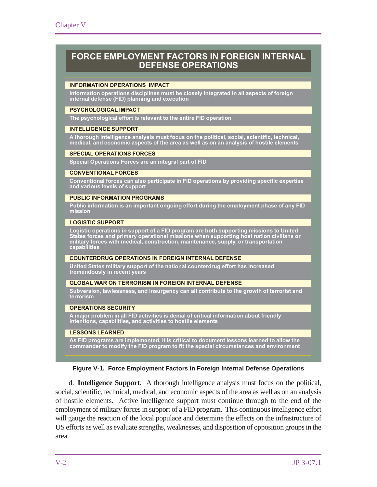# **FORCE EMPLOYMENT FACTORS IN FOREIGN INTERNAL DEFENSE OPERATIONS**

### **INFORMATION OPERATIONS IMPACT**

**Information operations disciplines must be closely integrated in all aspects of foreign internal defense (FID) planning and execution**

### **PSYCHOLOGICAL IMPACT**

**The psychological effort is relevant to the entire FID operation**

### **INTELLIGENCE SUPPORT**

**A thorough intelligence analysis must focus on the political, social, scientific, technical, medical, and economic aspects of the area as well as on an analysis of hostile elements**

#### **SPECIAL OPERATIONS FORCES**

**Special Operations Forces are an integral part of FID**

### **CONVENTIONAL FORCES**

**Conventional forces can also participate in FID operations by providing specific expertise and various levels of support**

#### **PUBLIC INFORMATION PROGRAMS**

**Public information is an important ongoing effort during the employment phase of any FID mission**

### **LOGISTIC SUPPORT**

**Logistic operations in support of a FID program are both supporting missions to United States forces and primary operational missions when supporting host nation civilians or military forces with medical, construction, maintenance, supply, or transportation capabilities**

#### **COUNTERDRUG OPERATIONS IN FOREIGN INTERNAL DEFENSE**

**United States military support of the national counterdrug effort has increased tremendously in recent years**

### **GLOBAL WAR ON TERRORISM IN FOREIGN INTERNAL DEFENSE**

**Subversion, lawlessness, and insurgency can all contribute to the growth of terrorist and terrorism**

### **OPERATIONS SECURITY**

**A major problem in all FID activities is denial of critical information about friendly intentions, capabilities, and activities to hostile elements**

#### **LESSONS LEARNED**

**As FID programs are implemented, it is critical to document lessons learned to allow the commander to modify the FID program to fit the special circumstances and environment**

### **Figure V-1. Force Employment Factors in Foreign Internal Defense Operations**

d. **Intelligence Support.** A thorough intelligence analysis must focus on the political, social, scientific, technical, medical, and economic aspects of the area as well as on an analysis of hostile elements. Active intelligence support must continue through to the end of the employment of military forces in support of a FID program. This continuous intelligence effort will gauge the reaction of the local populace and determine the effects on the infrastructure of US efforts as well as evaluate strengths, weaknesses, and disposition of opposition groups in the area.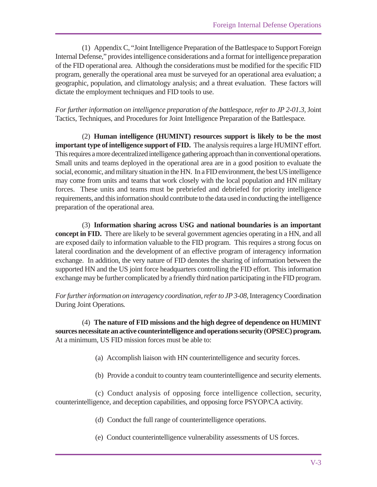(1) Appendix C, "Joint Intelligence Preparation of the Battlespace to Support Foreign Internal Defense," provides intelligence considerations and a format for intelligence preparation of the FID operational area. Although the considerations must be modified for the specific FID program, generally the operational area must be surveyed for an operational area evaluation; a geographic, population, and climatology analysis; and a threat evaluation. These factors will dictate the employment techniques and FID tools to use.

*For further information on intelligence preparation of the battlespace, refer to JP 2-01.3,* Joint Tactics, Techniques, and Procedures for Joint Intelligence Preparation of the Battlespace*.*

(2) **Human intelligence (HUMINT) resources support is likely to be the most important type of intelligence support of FID.** The analysis requires a large HUMINT effort. This requires a more decentralized intelligence gathering approach than in conventional operations. Small units and teams deployed in the operational area are in a good position to evaluate the social, economic, and military situation in the HN. In a FID environment, the best US intelligence may come from units and teams that work closely with the local population and HN military forces. These units and teams must be prebriefed and debriefed for priority intelligence requirements, and this information should contribute to the data used in conducting the intelligence preparation of the operational area.

(3) **Information sharing across USG and national boundaries is an important concept in FID.** There are likely to be several government agencies operating in a HN, and all are exposed daily to information valuable to the FID program. This requires a strong focus on lateral coordination and the development of an effective program of interagency information exchange. In addition, the very nature of FID denotes the sharing of information between the supported HN and the US joint force headquarters controlling the FID effort. This information exchange may be further complicated by a friendly third nation participating in the FID program.

For further information on interagency coordination, refer to JP 3-08, Interagency Coordination During Joint Operations*.*

(4) **The nature of FID missions and the high degree of dependence on HUMINT sources necessitate an active counterintelligence and operations security (OPSEC) program.** At a minimum, US FID mission forces must be able to:

- (a) Accomplish liaison with HN counterintelligence and security forces.
- (b) Provide a conduit to country team counterintelligence and security elements.

(c) Conduct analysis of opposing force intelligence collection, security, counterintelligence, and deception capabilities, and opposing force PSYOP/CA activity.

(d) Conduct the full range of counterintelligence operations.

(e) Conduct counterintelligence vulnerability assessments of US forces.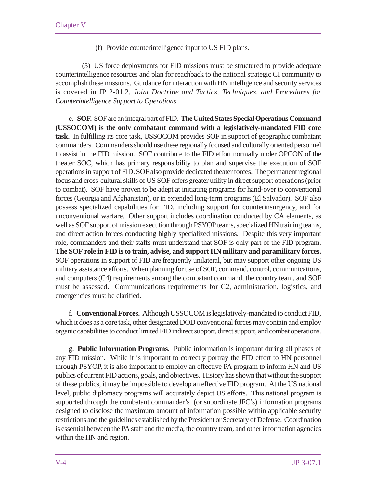(f) Provide counterintelligence input to US FID plans.

(5) US force deployments for FID missions must be structured to provide adequate counterintelligence resources and plan for reachback to the national strategic CI community to accomplish these missions. Guidance for interaction with HN intelligence and security services is covered in JP 2-01.2, *Joint Doctrine and Tactics, Techniques, and Procedures for Counterintelligence Support to Operations*.

e. **SOF.** SOF are an integral part of FID. **The United States Special Operations Command (USSOCOM) is the only combatant command with a legislatively-mandated FID core task.** In fulfilling its core task, USSOCOM provides SOF in support of geographic combatant commanders. Commanders should use these regionally focused and culturally oriented personnel to assist in the FID mission. SOF contribute to the FID effort normally under OPCON of the theater SOC, which has primary responsibility to plan and supervise the execution of SOF operations in support of FID. SOF also provide dedicated theater forces. The permanent regional focus and cross-cultural skills of US SOF offers greater utility in direct support operations (prior to combat). SOF have proven to be adept at initiating programs for hand-over to conventional forces (Georgia and Afghanistan), or in extended long-term programs (El Salvador). SOF also possess specialized capabilities for FID, including support for counterinsurgency, and for unconventional warfare. Other support includes coordination conducted by CA elements, as well as SOF support of mission execution through PSYOP teams, specialized HN training teams, and direct action forces conducting highly specialized missions. Despite this very important role, commanders and their staffs must understand that SOF is only part of the FID program. **The SOF role in FID is to train, advise, and support HN military and paramilitary forces.** SOF operations in support of FID are frequently unilateral, but may support other ongoing US military assistance efforts. When planning for use of SOF, command, control, communications, and computers (C4) requirements among the combatant command, the country team, and SOF must be assessed. Communications requirements for C2, administration, logistics, and emergencies must be clarified.

f. **Conventional Forces.** Although USSOCOM is legislatively-mandated to conduct FID, which it does as a core task, other designated DOD conventional forces may contain and employ organic capabilities to conduct limited FID indirect support, direct support, and combat operations.

g. **Public Information Programs.** Public information is important during all phases of any FID mission. While it is important to correctly portray the FID effort to HN personnel through PSYOP, it is also important to employ an effective PA program to inform HN and US publics of current FID actions, goals, and objectives. History has shown that without the support of these publics, it may be impossible to develop an effective FID program. At the US national level, public diplomacy programs will accurately depict US efforts. This national program is supported through the combatant commander's (or subordinate JFC's) information programs designed to disclose the maximum amount of information possible within applicable security restrictions and the guidelines established by the President or Secretary of Defense. Coordination is essential between the PA staff and the media, the country team, and other information agencies within the HN and region.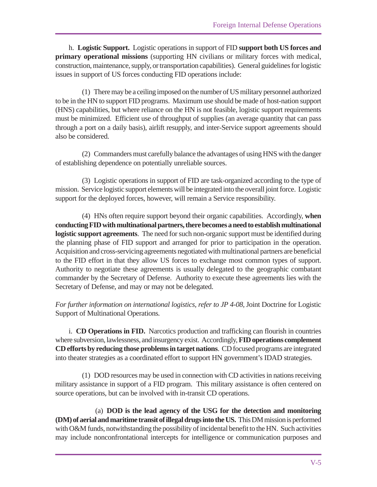h. **Logistic Support.** Logistic operations in support of FID **support both US forces and primary operational missions** (supporting HN civilians or military forces with medical, construction, maintenance, supply, or transportation capabilities). General guidelines for logistic issues in support of US forces conducting FID operations include:

(1) There may be a ceiling imposed on the number of US military personnel authorized to be in the HN to support FID programs. Maximum use should be made of host-nation support (HNS) capabilities, but where reliance on the HN is not feasible, logistic support requirements must be minimized. Efficient use of throughput of supplies (an average quantity that can pass through a port on a daily basis), airlift resupply, and inter-Service support agreements should also be considered.

(2) Commanders must carefully balance the advantages of using HNS with the danger of establishing dependence on potentially unreliable sources.

(3) Logistic operations in support of FID are task-organized according to the type of mission. Service logistic support elements will be integrated into the overall joint force. Logistic support for the deployed forces, however, will remain a Service responsibility.

(4) HNs often require support beyond their organic capabilities. Accordingly, **when conducting FID with multinational partners, there becomes a need to establish multinational logistic support agreements**. The need for such non-organic support must be identified during the planning phase of FID support and arranged for prior to participation in the operation. Acquisition and cross-servicing agreements negotiated with multinational partners are beneficial to the FID effort in that they allow US forces to exchange most common types of support. Authority to negotiate these agreements is usually delegated to the geographic combatant commander by the Secretary of Defense. Authority to execute these agreements lies with the Secretary of Defense, and may or may not be delegated.

*For further information on international logistics, refer to JP 4-08, Joint Doctrine for Logistic* Support of Multinational Operations*.*

i. **CD Operations in FID.** Narcotics production and trafficking can flourish in countries where subversion, lawlessness, and insurgency exist. Accordingly, **FID operations complement CD efforts by reducing those problems in target nations**. CD focused programs are integrated into theater strategies as a coordinated effort to support HN government's IDAD strategies.

(1) DOD resources may be used in connection with CD activities in nations receiving military assistance in support of a FID program. This military assistance is often centered on source operations, but can be involved with in-transit CD operations.

(a) **DOD is the lead agency of the USG for the detection and monitoring (DM) of aerial and maritime transit of illegal drugs into the US.** This DM mission is performed with O&M funds, notwithstanding the possibility of incidental benefit to the HN. Such activities may include nonconfrontational intercepts for intelligence or communication purposes and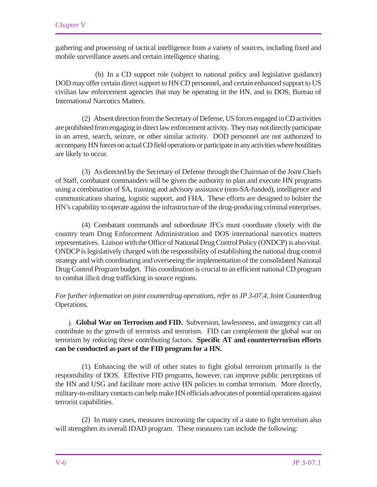gathering and processing of tactical intelligence from a variety of sources, including fixed and mobile surveillance assets and certain intelligence sharing.

(b) In a CD support role (subject to national policy and legislative guidance) DOD may offer certain direct support to HN CD personnel, and certain enhanced support to US civilian law enforcement agencies that may be operating in the HN, and to DOS, Bureau of International Narcotics Matters.

(2) Absent direction from the Secretary of Defense, US forces engaged in CD activities are prohibited from engaging in direct law enforcement activity. They may not directly participate in an arrest, search, seizure, or other similar activity. DOD personnel are not authorized to accompany HN forces on actual CD field operations or participate in any activities where hostilities are likely to occur.

(3) As directed by the Secretary of Defense through the Chairman of the Joint Chiefs of Staff, combatant commanders will be given the authority to plan and execute HN programs using a combination of SA, training and advisory assistance (non-SA-funded), intelligence and communications sharing, logistic support, and FHA. These efforts are designed to bolster the HN's capability to operate against the infrastructure of the drug-producing criminal enterprises.

(4) Combatant commands and subordinate JFCs must coordinate closely with the country team Drug Enforcement Administration and DOS international narcotics matters representatives. Liaison with the Office of National Drug Control Policy (ONDCP) is also vital. ONDCP is legislatively charged with the responsibility of establishing the national drug control strategy and with coordinating and overseeing the implementation of the consolidated National Drug Control Program budget. This coordination is crucial to an efficient national CD program to combat illicit drug trafficking in source regions.

*For further information on joint counterdrug operations, refer to JP 3-07.4,* Joint Counterdrug Operations*.*

j. **Global War on Terrorism and FID.** Subversion, lawlessness, and insurgency can all contribute to the growth of terrorists and terrorism. FID can complement the global war on terrorism by reducing these contributing factors. **Specific AT and counterterrorism efforts can be conducted as part of the FID program for a HN.**

(1) Enhancing the will of other states to fight global terrorism primarily is the responsibility of DOS. Effective FID programs, however, can improve public perceptions of the HN and USG and facilitate more active HN policies to combat terrorism. More directly, military-to-military contacts can help make HN officials advocates of potential operations against terrorist capabilities.

(2) In many cases, measures increasing the capacity of a state to fight terrorism also will strengthen its overall IDAD program. These measures can include the following: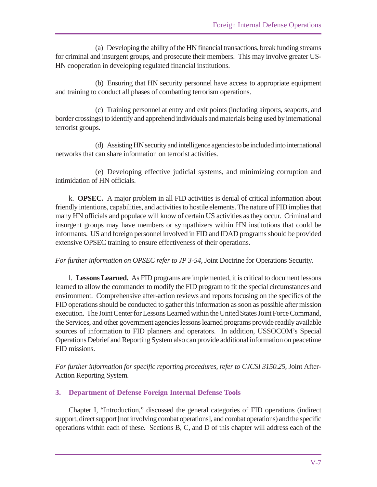(a) Developing the ability of the HN financial transactions, break funding streams for criminal and insurgent groups, and prosecute their members. This may involve greater US-HN cooperation in developing regulated financial institutions.

(b) Ensuring that HN security personnel have access to appropriate equipment and training to conduct all phases of combatting terrorism operations.

(c) Training personnel at entry and exit points (including airports, seaports, and border crossings) to identify and apprehend individuals and materials being used by international terrorist groups.

(d) Assisting HN security and intelligence agencies to be included into international networks that can share information on terrorist activities.

(e) Developing effective judicial systems, and minimizing corruption and intimidation of HN officials.

k. **OPSEC.** A major problem in all FID activities is denial of critical information about friendly intentions, capabilities, and activities to hostile elements. The nature of FID implies that many HN officials and populace will know of certain US activities as they occur. Criminal and insurgent groups may have members or sympathizers within HN institutions that could be informants. US and foreign personnel involved in FID and IDAD programs should be provided extensive OPSEC training to ensure effectiveness of their operations.

*For further information on OPSEC refer to JP 3-54,* Joint Doctrine for Operations Security*.*

l. **Lessons Learned.** As FID programs are implemented, it is critical to document lessons learned to allow the commander to modify the FID program to fit the special circumstances and environment. Comprehensive after-action reviews and reports focusing on the specifics of the FID operations should be conducted to gather this information as soon as possible after mission execution. The Joint Center for Lessons Learned within the United States Joint Force Command, the Services, and other government agencies lessons learned programs provide readily available sources of information to FID planners and operators. In addition, USSOCOM's Special Operations Debrief and Reporting System also can provide additional information on peacetime FID missions.

*For further information for specific reporting procedures, refer to CJCSI 3150.25,* Joint After-Action Reporting System*.*

### **3. Department of Defense Foreign Internal Defense Tools**

Chapter I, "Introduction," discussed the general categories of FID operations (indirect support, direct support [not involving combat operations], and combat operations) and the specific operations within each of these. Sections B, C, and D of this chapter will address each of the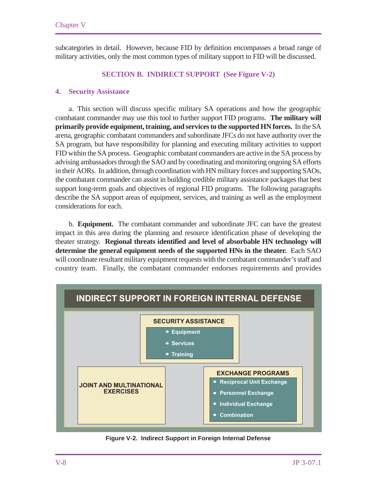subcategories in detail. However, because FID by definition encompasses a broad range of military activities, only the most common types of military support to FID will be discussed.

### **SECTION B. INDIRECT SUPPORT (See Figure V-2)**

#### **4. Security Assistance**

a. This section will discuss specific military SA operations and how the geographic combatant commander may use this tool to further support FID programs. **The military will primarily provide equipment, training, and services to the supported HN forces.** In the SA arena, geographic combatant commanders and subordinate JFCs do not have authority over the SA program, but have responsibility for planning and executing military activities to support FID within the SA process. Geographic combatant commanders are active in the SA process by advising ambassadors through the SAO and by coordinating and monitoring ongoing SA efforts in their AORs. In addition, through coordination with HN military forces and supporting SAOs, the combatant commander can assist in building credible military assistance packages that best support long-term goals and objectives of regional FID programs. The following paragraphs describe the SA support areas of equipment, services, and training as well as the employment considerations for each.

b. **Equipment.** The combatant commander and subordinate JFC can have the greatest impact in this area during the planning and resource identification phase of developing the theater strategy. **Regional threats identified and level of absorbable HN technology will determine the general equipment needs of the supported HNs in the theater.** Each SAO will coordinate resultant military equipment requests with the combatant commander's staff and country team. Finally, the combatant commander endorses requirements and provides



**Figure V-2. Indirect Support in Foreign Internal Defense**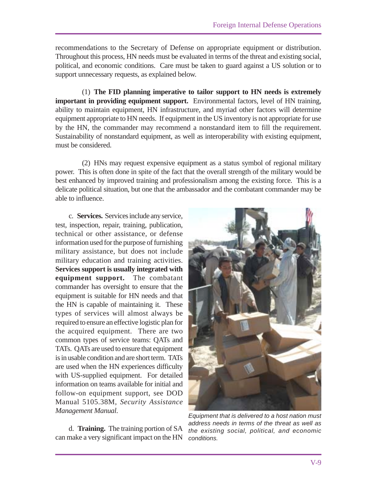recommendations to the Secretary of Defense on appropriate equipment or distribution. Throughout this process, HN needs must be evaluated in terms of the threat and existing social, political, and economic conditions. Care must be taken to guard against a US solution or to support unnecessary requests, as explained below.

(1) **The FID planning imperative to tailor support to HN needs is extremely important in providing equipment support.** Environmental factors, level of HN training, ability to maintain equipment, HN infrastructure, and myriad other factors will determine equipment appropriate to HN needs. If equipment in the US inventory is not appropriate for use by the HN, the commander may recommend a nonstandard item to fill the requirement. Sustainability of nonstandard equipment, as well as interoperability with existing equipment, must be considered.

(2) HNs may request expensive equipment as a status symbol of regional military power. This is often done in spite of the fact that the overall strength of the military would be best enhanced by improved training and professionalism among the existing force. This is a delicate political situation, but one that the ambassador and the combatant commander may be able to influence.

c. **Services.** Services include any service, test, inspection, repair, training, publication, technical or other assistance, or defense information used for the purpose of furnishing military assistance, but does not include military education and training activities. **Services support is usually integrated with equipment support.** The combatant commander has oversight to ensure that the equipment is suitable for HN needs and that the HN is capable of maintaining it. These types of services will almost always be required to ensure an effective logistic plan for the acquired equipment. There are two common types of service teams: QATs and TATs. QATs are used to ensure that equipment is in usable condition and are short term. TATs are used when the HN experiences difficulty with US-supplied equipment. For detailed information on teams available for initial and follow-on equipment support, see DOD Manual 5105.38M, *Security Assistance Management Manual*.

d. **Training.** The training portion of SA can make a very significant impact on the HN *conditions.*



*Equipment that is delivered to a host nation must address needs in terms of the threat as well as the existing social, political, and economic*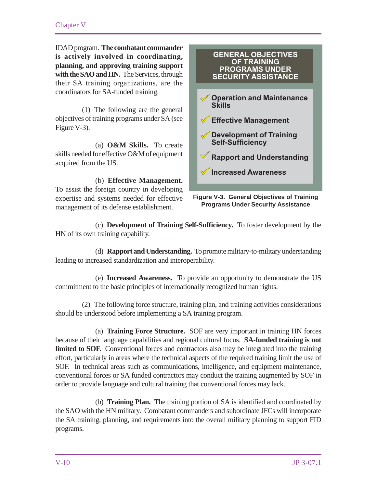IDAD program. **The combatant commander is actively involved in coordinating, planning, and approving training support with the SAO and HN.** The Services, through their SA training organizations, are the coordinators for SA-funded training.

(1) The following are the general objectives of training programs under SA (see Figure V-3).

(a) **O&M Skills.** To create skills needed for effective O&M of equipment acquired from the US.

(b) **Effective Management.** To assist the foreign country in developing expertise and systems needed for effective management of its defense establishment.



**Figure V-3. General Objectives of Training Programs Under Security Assistance**

(c) **Development of Training Self-Sufficiency.** To foster development by the HN of its own training capability.

(d) **Rapport and Understanding.** To promote military-to-military understanding leading to increased standardization and interoperability.

(e) **Increased Awareness.** To provide an opportunity to demonstrate the US commitment to the basic principles of internationally recognized human rights.

(2) The following force structure, training plan, and training activities considerations should be understood before implementing a SA training program.

(a) **Training Force Structure.** SOF are very important in training HN forces because of their language capabilities and regional cultural focus. **SA-funded training is not limited to SOF.** Conventional forces and contractors also may be integrated into the training effort, particularly in areas where the technical aspects of the required training limit the use of SOF. In technical areas such as communications, intelligence, and equipment maintenance, conventional forces or SA funded contractors may conduct the training augmented by SOF in order to provide language and cultural training that conventional forces may lack.

(b) **Training Plan.** The training portion of SA is identified and coordinated by the SAO with the HN military. Combatant commanders and subordinate JFCs will incorporate the SA training, planning, and requirements into the overall military planning to support FID programs.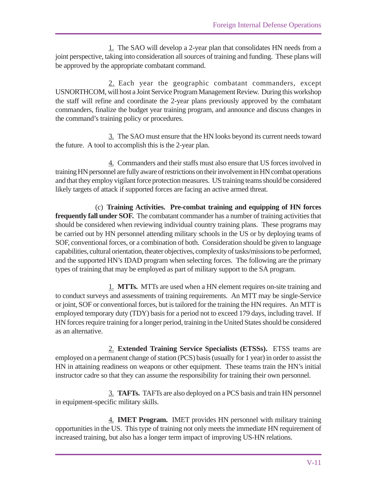1. The SAO will develop a 2-year plan that consolidates HN needs from a joint perspective, taking into consideration all sources of training and funding. These plans will be approved by the appropriate combatant command.

2. Each year the geographic combatant commanders, except USNORTHCOM, will host a Joint Service Program Management Review. During this workshop the staff will refine and coordinate the 2-year plans previously approved by the combatant commanders, finalize the budget year training program, and announce and discuss changes in the command's training policy or procedures.

3. The SAO must ensure that the HN looks beyond its current needs toward the future. A tool to accomplish this is the 2-year plan.

4. Commanders and their staffs must also ensure that US forces involved in training HN personnel are fully aware of restrictions on their involvement in HN combat operations and that they employ vigilant force protection measures. US training teams should be considered likely targets of attack if supported forces are facing an active armed threat.

(c) **Training Activities. Pre-combat training and equipping of HN forces frequently fall under SOF.** The combatant commander has a number of training activities that should be considered when reviewing individual country training plans. These programs may be carried out by HN personnel attending military schools in the US or by deploying teams of SOF, conventional forces, or a combination of both. Consideration should be given to language capabilities, cultural orientation, theater objectives, complexity of tasks/missions to be performed, and the supported HN's IDAD program when selecting forces. The following are the primary types of training that may be employed as part of military support to the SA program.

1. **MTTs.** MTTs are used when a HN element requires on-site training and to conduct surveys and assessments of training requirements. An MTT may be single-Service or joint, SOF or conventional forces, but is tailored for the training the HN requires. An MTT is employed temporary duty (TDY) basis for a period not to exceed 179 days, including travel. If HN forces require training for a longer period, training in the United States should be considered as an alternative.

2. **Extended Training Service Specialists (ETSSs).** ETSS teams are employed on a permanent change of station (PCS) basis (usually for 1 year) in order to assist the HN in attaining readiness on weapons or other equipment. These teams train the HN's initial instructor cadre so that they can assume the responsibility for training their own personnel.

3. **TAFTs.** TAFTs are also deployed on a PCS basis and train HN personnel in equipment-specific military skills.

4. **IMET Program.** IMET provides HN personnel with military training opportunities in the US. This type of training not only meets the immediate HN requirement of increased training, but also has a longer term impact of improving US-HN relations.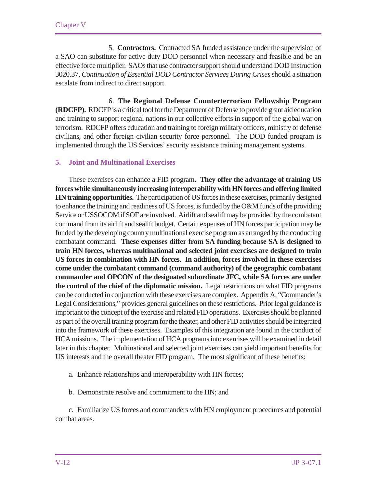5. **Contractors.** Contracted SA funded assistance under the supervision of a SAO can substitute for active duty DOD personnel when necessary and feasible and be an effective force multiplier. SAOs that use contractor support should understand DOD Instruction 3020.37, *Continuation of Essential DOD Contractor Services During Crises* should a situation escalate from indirect to direct support.

6. **The Regional Defense Counterterrorism Fellowship Program (RDCFP).** RDCFP is a critical tool for the Department of Defense to provide grant aid education and training to support regional nations in our collective efforts in support of the global war on terrorism. RDCFP offers education and training to foreign military officers, ministry of defense civilians, and other foreign civilian security force personnel. The DOD funded program is implemented through the US Services' security assistance training management systems.

## **5. Joint and Multinational Exercises**

These exercises can enhance a FID program. **They offer the advantage of training US forces while simultaneously increasing interoperability with HN forces and offering limited HN training opportunities.** The participation of US forces in these exercises, primarily designed to enhance the training and readiness of US forces, is funded by the O&M funds of the providing Service or USSOCOM if SOF are involved. Airlift and sealift may be provided by the combatant command from its airlift and sealift budget. Certain expenses of HN forces participation may be funded by the developing country multinational exercise program as arranged by the conducting combatant command. **These expenses differ from SA funding because SA is designed to train HN forces, whereas multinational and selected joint exercises are designed to train US forces in combination with HN forces. In addition, forces involved in these exercises come under the combatant command (command authority) of the geographic combatant commander and OPCON of the designated subordinate JFC, while SA forces are under the control of the chief of the diplomatic mission.** Legal restrictions on what FID programs can be conducted in conjunction with these exercises are complex. Appendix A, "Commander's Legal Considerations," provides general guidelines on these restrictions. Prior legal guidance is important to the concept of the exercise and related FID operations. Exercises should be planned as part of the overall training program for the theater, and other FID activities should be integrated into the framework of these exercises. Examples of this integration are found in the conduct of HCA missions. The implementation of HCA programs into exercises will be examined in detail later in this chapter. Multinational and selected joint exercises can yield important benefits for US interests and the overall theater FID program. The most significant of these benefits:

- a. Enhance relationships and interoperability with HN forces;
- b. Demonstrate resolve and commitment to the HN; and

c. Familiarize US forces and commanders with HN employment procedures and potential combat areas.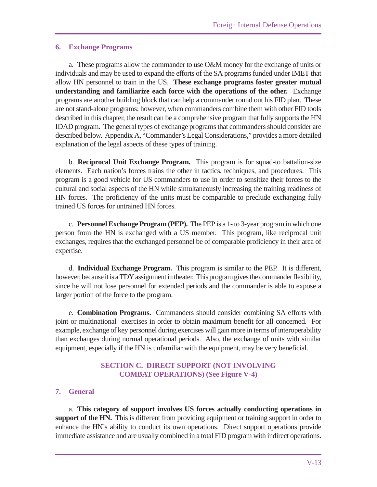### **6. Exchange Programs**

a. These programs allow the commander to use O&M money for the exchange of units or individuals and may be used to expand the efforts of the SA programs funded under IMET that allow HN personnel to train in the US. **These exchange programs foster greater mutual understanding and familiarize each force with the operations of the other.** Exchange programs are another building block that can help a commander round out his FID plan. These are not stand-alone programs; however, when commanders combine them with other FID tools described in this chapter, the result can be a comprehensive program that fully supports the HN IDAD program. The general types of exchange programs that commanders should consider are described below. Appendix A, "Commander's Legal Considerations," provides a more detailed explanation of the legal aspects of these types of training.

b. **Reciprocal Unit Exchange Program.** This program is for squad-to battalion-size elements. Each nation's forces trains the other in tactics, techniques, and procedures. This program is a good vehicle for US commanders to use in order to sensitize their forces to the cultural and social aspects of the HN while simultaneously increasing the training readiness of HN forces. The proficiency of the units must be comparable to preclude exchanging fully trained US forces for untrained HN forces.

c. **Personnel Exchange Program (PEP).** The PEP is a 1- to 3-year program in which one person from the HN is exchanged with a US member. This program, like reciprocal unit exchanges, requires that the exchanged personnel be of comparable proficiency in their area of expertise.

d. **Individual Exchange Program.** This program is similar to the PEP. It is different, however, because it is a TDY assignment in theater. This program gives the commander flexibility, since he will not lose personnel for extended periods and the commander is able to expose a larger portion of the force to the program.

e. **Combination Programs.** Commanders should consider combining SA efforts with joint or multinational exercises in order to obtain maximum benefit for all concerned. For example, exchange of key personnel during exercises will gain more in terms of interoperability than exchanges during normal operational periods. Also, the exchange of units with similar equipment, especially if the HN is unfamiliar with the equipment, may be very beneficial.

## **SECTION C. DIRECT SUPPORT (NOT INVOLVING COMBAT OPERATIONS) (See Figure V-4)**

## **7. General**

a. **This category of support involves US forces actually conducting operations in support of the HN.** This is different from providing equipment or training support in order to enhance the HN's ability to conduct its own operations. Direct support operations provide immediate assistance and are usually combined in a total FID program with indirect operations.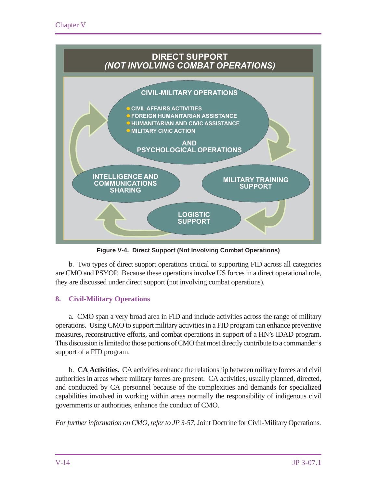

**Figure V-4. Direct Support (Not Involving Combat Operations)**

b. Two types of direct support operations critical to supporting FID across all categories are CMO and PSYOP. Because these operations involve US forces in a direct operational role, they are discussed under direct support (not involving combat operations).

# **8. Civil-Military Operations**

a. CMO span a very broad area in FID and include activities across the range of military operations. Using CMO to support military activities in a FID program can enhance preventive measures, reconstructive efforts, and combat operations in support of a HN's IDAD program. This discussion is limited to those portions of CMO that most directly contribute to a commander's support of a FID program.

b. **CA Activities.** CA activities enhance the relationship between military forces and civil authorities in areas where military forces are present. CA activities, usually planned, directed, and conducted by CA personnel because of the complexities and demands for specialized capabilities involved in working within areas normally the responsibility of indigenous civil governments or authorities, enhance the conduct of CMO.

*For further information on CMO, refer to JP 3-57,* Joint Doctrine for Civil-Military Operations*.*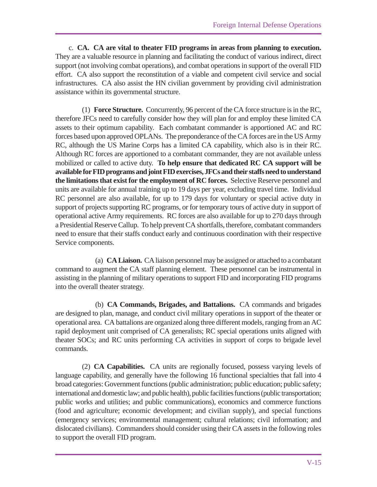c. **CA. CA are vital to theater FID programs in areas from planning to execution.** They are a valuable resource in planning and facilitating the conduct of various indirect, direct support (not involving combat operations), and combat operations in support of the overall FID effort. CA also support the reconstitution of a viable and competent civil service and social infrastructures. CA also assist the HN civilian government by providing civil administration assistance within its governmental structure.

(1) **Force Structure.** Concurrently, 96 percent of the CA force structure is in the RC, therefore JFCs need to carefully consider how they will plan for and employ these limited CA assets to their optimum capability. Each combatant commander is apportioned AC and RC forces based upon approved OPLANs. The preponderance of the CA forces are in the US Army RC, although the US Marine Corps has a limited CA capability, which also is in their RC. Although RC forces are apportioned to a combatant commander, they are not available unless mobilized or called to active duty. **To help ensure that dedicated RC CA support will be available for FID programs and joint FID exercises, JFCs and their staffs need to understand the limitations that exist for the employment of RC forces.** Selective Reserve personnel and units are available for annual training up to 19 days per year, excluding travel time. Individual RC personnel are also available, for up to 179 days for voluntary or special active duty in support of projects supporting RC programs, or for temporary tours of active duty in support of operational active Army requirements. RC forces are also available for up to 270 days through a Presidential Reserve Callup. To help prevent CA shortfalls, therefore, combatant commanders need to ensure that their staffs conduct early and continuous coordination with their respective Service components.

(a) **CA Liaison.** CA liaison personnel may be assigned or attached to a combatant command to augment the CA staff planning element. These personnel can be instrumental in assisting in the planning of military operations to support FID and incorporating FID programs into the overall theater strategy.

(b) **CA Commands, Brigades, and Battalions.** CA commands and brigades are designed to plan, manage, and conduct civil military operations in support of the theater or operational area. CA battalions are organized along three different models, ranging from an AC rapid deployment unit comprised of CA generalists; RC special operations units aligned with theater SOCs; and RC units performing CA activities in support of corps to brigade level commands.

(2) **CA Capabilities.** CA units are regionally focused, possess varying levels of language capability, and generally have the following 16 functional specialties that fall into 4 broad categories: Government functions (public administration; public education; public safety; international and domestic law; and public health), public facilities functions (public transportation; public works and utilities; and public communications), economics and commerce functions (food and agriculture; economic development; and civilian supply), and special functions (emergency services; environmental management; cultural relations; civil information; and dislocated civilians). Commanders should consider using their CA assets in the following roles to support the overall FID program.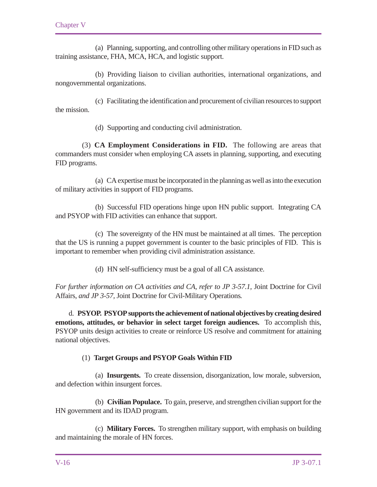(a) Planning, supporting, and controlling other military operations in FID such as training assistance, FHA, MCA, HCA, and logistic support.

(b) Providing liaison to civilian authorities, international organizations, and nongovernmental organizations.

(c) Facilitating the identification and procurement of civilian resources to support the mission.

(d) Supporting and conducting civil administration.

(3) **CA Employment Considerations in FID.** The following are areas that commanders must consider when employing CA assets in planning, supporting, and executing FID programs.

(a) CA expertise must be incorporated in the planning as well as into the execution of military activities in support of FID programs.

(b) Successful FID operations hinge upon HN public support. Integrating CA and PSYOP with FID activities can enhance that support.

(c) The sovereignty of the HN must be maintained at all times. The perception that the US is running a puppet government is counter to the basic principles of FID. This is important to remember when providing civil administration assistance.

(d) HN self-sufficiency must be a goal of all CA assistance.

*For further information on CA activities and CA, refer to JP 3-57.1, Joint Doctrine for Civil* Affairs, *and JP 3-57,* Joint Doctrine for Civil-Military Operations*.*

d. **PSYOP. PSYOP supports the achievement of national objectives by creating desired emotions, attitudes, or behavior in select target foreign audiences.** To accomplish this, PSYOP units design activities to create or reinforce US resolve and commitment for attaining national objectives.

# (1) **Target Groups and PSYOP Goals Within FID**

(a) **Insurgents.** To create dissension, disorganization, low morale, subversion, and defection within insurgent forces.

(b) **Civilian Populace.** To gain, preserve, and strengthen civilian support for the HN government and its IDAD program.

(c) **Military Forces.** To strengthen military support, with emphasis on building and maintaining the morale of HN forces.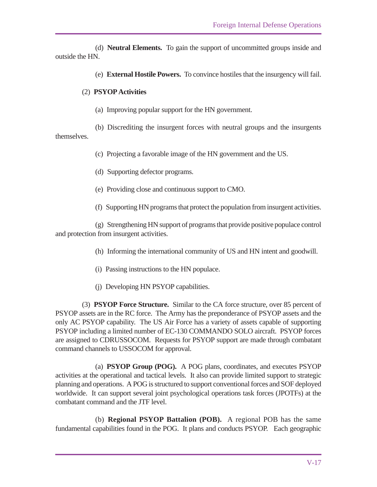(d) **Neutral Elements.** To gain the support of uncommitted groups inside and outside the HN.

(e) **External Hostile Powers.** To convince hostiles that the insurgency will fail.

### (2) **PSYOP Activities**

(a) Improving popular support for the HN government.

(b) Discrediting the insurgent forces with neutral groups and the insurgents themselves.

(c) Projecting a favorable image of the HN government and the US.

(d) Supporting defector programs.

(e) Providing close and continuous support to CMO.

(f) Supporting HN programs that protect the population from insurgent activities.

(g) Strengthening HN support of programs that provide positive populace control and protection from insurgent activities.

(h) Informing the international community of US and HN intent and goodwill.

(i) Passing instructions to the HN populace.

(j) Developing HN PSYOP capabilities.

(3) **PSYOP Force Structure.** Similar to the CA force structure, over 85 percent of PSYOP assets are in the RC force. The Army has the preponderance of PSYOP assets and the only AC PSYOP capability. The US Air Force has a variety of assets capable of supporting PSYOP including a limited number of EC-130 COMMANDO SOLO aircraft. PSYOP forces are assigned to CDRUSSOCOM. Requests for PSYOP support are made through combatant command channels to USSOCOM for approval.

(a) **PSYOP Group (POG).** A POG plans, coordinates, and executes PSYOP activities at the operational and tactical levels. It also can provide limited support to strategic planning and operations. A POG is structured to support conventional forces and SOF deployed worldwide. It can support several joint psychological operations task forces (JPOTFs) at the combatant command and the JTF level.

(b) **Regional PSYOP Battalion (POB).** A regional POB has the same fundamental capabilities found in the POG. It plans and conducts PSYOP. Each geographic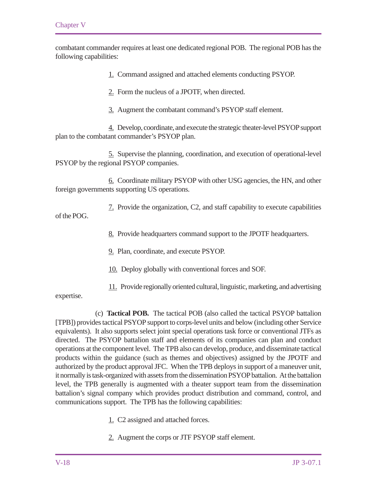combatant commander requires at least one dedicated regional POB. The regional POB has the following capabilities:

1. Command assigned and attached elements conducting PSYOP.

2. Form the nucleus of a JPOTF, when directed.

3. Augment the combatant command's PSYOP staff element.

4. Develop, coordinate, and execute the strategic theater-level PSYOP support plan to the combatant commander's PSYOP plan.

5. Supervise the planning, coordination, and execution of operational-level PSYOP by the regional PSYOP companies.

6. Coordinate military PSYOP with other USG agencies, the HN, and other foreign governments supporting US operations.

7. Provide the organization, C2, and staff capability to execute capabilities of the POG.

8. Provide headquarters command support to the JPOTF headquarters.

9. Plan, coordinate, and execute PSYOP.

10. Deploy globally with conventional forces and SOF.

11. Provide regionally oriented cultural, linguistic, marketing, and advertising

expertise.

(c) **Tactical POB.** The tactical POB (also called the tactical PSYOP battalion [TPB]) provides tactical PSYOP support to corps-level units and below (including other Service equivalents). It also supports select joint special operations task force or conventional JTFs as directed. The PSYOP battalion staff and elements of its companies can plan and conduct operations at the component level. The TPB also can develop, produce, and disseminate tactical products within the guidance (such as themes and objectives) assigned by the JPOTF and authorized by the product approval JFC. When the TPB deploys in support of a maneuver unit, it normally is task-organized with assets from the dissemination PSYOP battalion. At the battalion level, the TPB generally is augmented with a theater support team from the dissemination battalion's signal company which provides product distribution and command, control, and communications support. The TPB has the following capabilities:

- 1. C2 assigned and attached forces.
- 2. Augment the corps or JTF PSYOP staff element.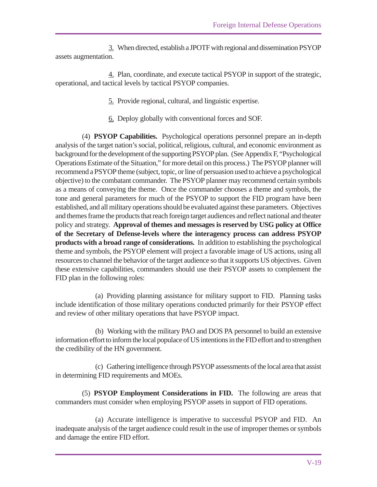3. When directed, establish a JPOTF with regional and dissemination PSYOP assets augmentation.

4. Plan, coordinate, and execute tactical PSYOP in support of the strategic, operational, and tactical levels by tactical PSYOP companies.

- 5. Provide regional, cultural, and linguistic expertise.
- 6. Deploy globally with conventional forces and SOF.

(4) **PSYOP Capabilities.** Psychological operations personnel prepare an in-depth analysis of the target nation's social, political, religious, cultural, and economic environment as background for the development of the supporting PSYOP plan. (See Appendix F, "Psychological Operations Estimate of the Situation," for more detail on this process.) The PSYOP planner will recommend a PSYOP theme (subject, topic, or line of persuasion used to achieve a psychological objective) to the combatant commander. The PSYOP planner may recommend certain symbols as a means of conveying the theme. Once the commander chooses a theme and symbols, the tone and general parameters for much of the PSYOP to support the FID program have been established, and all military operations should be evaluated against these parameters. Objectives and themes frame the products that reach foreign target audiences and reflect national and theater policy and strategy. **Approval of themes and messages is reserved by USG policy at Office of the Secretary of Defense-levels where the interagency process can address PSYOP products with a broad range of considerations.** In addition to establishing the psychological theme and symbols, the PSYOP element will project a favorable image of US actions, using all resources to channel the behavior of the target audience so that it supports US objectives. Given these extensive capabilities, commanders should use their PSYOP assets to complement the FID plan in the following roles:

(a) Providing planning assistance for military support to FID. Planning tasks include identification of those military operations conducted primarily for their PSYOP effect and review of other military operations that have PSYOP impact.

(b) Working with the military PAO and DOS PA personnel to build an extensive information effort to inform the local populace of US intentions in the FID effort and to strengthen the credibility of the HN government.

(c) Gathering intelligence through PSYOP assessments of the local area that assist in determining FID requirements and MOEs.

(5) **PSYOP Employment Considerations in FID.** The following are areas that commanders must consider when employing PSYOP assets in support of FID operations.

(a) Accurate intelligence is imperative to successful PSYOP and FID. An inadequate analysis of the target audience could result in the use of improper themes or symbols and damage the entire FID effort.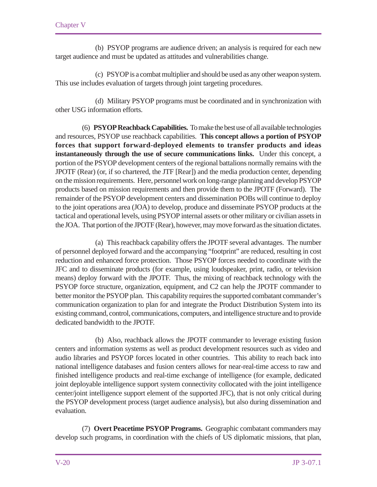(b) PSYOP programs are audience driven; an analysis is required for each new target audience and must be updated as attitudes and vulnerabilities change.

(c) PSYOP is a combat multiplier and should be used as any other weapon system. This use includes evaluation of targets through joint targeting procedures.

(d) Military PSYOP programs must be coordinated and in synchronization with other USG information efforts.

(6) **PSYOP Reachback Capabilities.** To make the best use of all available technologies and resources, PSYOP use reachback capabilities. **This concept allows a portion of PSYOP forces that support forward-deployed elements to transfer products and ideas instantaneously through the use of secure communications links.** Under this concept, a portion of the PSYOP development centers of the regional battalions normally remains with the JPOTF (Rear) (or, if so chartered, the JTF [Rear]) and the media production center, depending on the mission requirements. Here, personnel work on long-range planning and develop PSYOP products based on mission requirements and then provide them to the JPOTF (Forward). The remainder of the PSYOP development centers and dissemination POBs will continue to deploy to the joint operations area (JOA) to develop, produce and disseminate PSYOP products at the tactical and operational levels, using PSYOP internal assets or other military or civilian assets in the JOA. That portion of the JPOTF (Rear), however, may move forward as the situation dictates.

(a) This reachback capability offers the JPOTF several advantages. The number of personnel deployed forward and the accompanying "footprint" are reduced, resulting in cost reduction and enhanced force protection. Those PSYOP forces needed to coordinate with the JFC and to disseminate products (for example, using loudspeaker, print, radio, or television means) deploy forward with the JPOTF. Thus, the mixing of reachback technology with the PSYOP force structure, organization, equipment, and C2 can help the JPOTF commander to better monitor the PSYOP plan. This capability requires the supported combatant commander's communication organization to plan for and integrate the Product Distribution System into its existing command, control, communications, computers, and intelligence structure and to provide dedicated bandwidth to the JPOTF.

(b) Also, reachback allows the JPOTF commander to leverage existing fusion centers and information systems as well as product development resources such as video and audio libraries and PSYOP forces located in other countries. This ability to reach back into national intelligence databases and fusion centers allows for near-real-time access to raw and finished intelligence products and real-time exchange of intelligence (for example, dedicated joint deployable intelligence support system connectivity collocated with the joint intelligence center/joint intelligence support element of the supported JFC), that is not only critical during the PSYOP development process (target audience analysis), but also during dissemination and evaluation.

(7) **Overt Peacetime PSYOP Programs.** Geographic combatant commanders may develop such programs, in coordination with the chiefs of US diplomatic missions, that plan,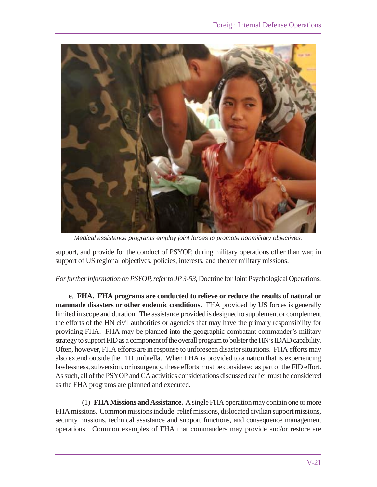

*Medical assistance programs employ joint forces to promote nonmilitary objectives.*

support, and provide for the conduct of PSYOP, during military operations other than war, in support of US regional objectives, policies, interests, and theater military missions.

*For further information on PSYOP, refer to JP 3-53,* Doctrine for Joint Psychological Operations*.*

e. **FHA. FHA programs are conducted to relieve or reduce the results of natural or manmade disasters or other endemic conditions.** FHA provided by US forces is generally limited in scope and duration. The assistance provided is designed to supplement or complement the efforts of the HN civil authorities or agencies that may have the primary responsibility for providing FHA. FHA may be planned into the geographic combatant commander's military strategy to support FID as a component of the overall program to bolster the HN's IDAD capability. Often, however, FHA efforts are in response to unforeseen disaster situations. FHA efforts may also extend outside the FID umbrella. When FHA is provided to a nation that is experiencing lawlessness, subversion, or insurgency, these efforts must be considered as part of the FID effort. As such, all of the PSYOP and CA activities considerations discussed earlier must be considered as the FHA programs are planned and executed.

(1) **FHA Missions and Assistance.** A single FHA operation may contain one or more FHA missions. Common missions include: relief missions, dislocated civilian support missions, security missions, technical assistance and support functions, and consequence management operations. Common examples of FHA that commanders may provide and/or restore are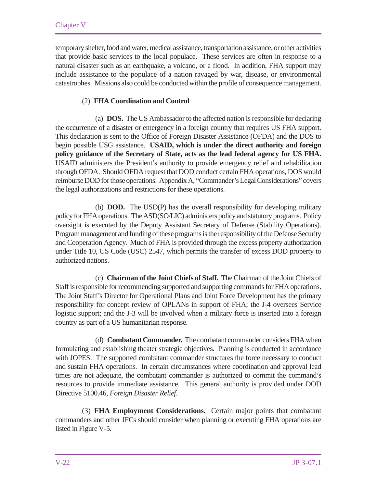temporary shelter, food and water, medical assistance, transportation assistance, or other activities that provide basic services to the local populace. These services are often in response to a natural disaster such as an earthquake, a volcano, or a flood. In addition, FHA support may include assistance to the populace of a nation ravaged by war, disease, or environmental catastrophes. Missions also could be conducted within the profile of consequence management.

## (2) **FHA Coordination and Control**

(a) **DOS.** The US Ambassador to the affected nation is responsible for declaring the occurrence of a disaster or emergency in a foreign country that requires US FHA support. This declaration is sent to the Office of Foreign Disaster Assistance (OFDA) and the DOS to begin possible USG assistance. **USAID, which is under the direct authority and foreign policy guidance of the Secretary of State, acts as the lead federal agency for US FHA.** USAID administers the President's authority to provide emergency relief and rehabilitation through OFDA. Should OFDA request that DOD conduct certain FHA operations, DOS would reimburse DOD for those operations. Appendix A, "Commander's Legal Considerations" covers the legal authorizations and restrictions for these operations.

(b) **DOD.** The USD(P) has the overall responsibility for developing military policy for FHA operations. The ASD(SO/LIC) administers policy and statutory programs. Policy oversight is executed by the Deputy Assistant Secretary of Defense (Stability Operations). Program management and funding of these programs is the responsibility of the Defense Security and Cooperation Agency. Much of FHA is provided through the excess property authorization under Title 10, US Code (USC) 2547, which permits the transfer of excess DOD property to authorized nations.

(c) **Chairman of the Joint Chiefs of Staff.** The Chairman of the Joint Chiefs of Staff is responsible for recommending supported and supporting commands for FHA operations. The Joint Staff's Director for Operational Plans and Joint Force Development has the primary responsibility for concept review of OPLANs in support of FHA; the J-4 oversees Service logistic support; and the J-3 will be involved when a military force is inserted into a foreign country as part of a US humanitarian response.

(d) **Combatant Commander.** The combatant commander considers FHA when formulating and establishing theater strategic objectives. Planning is conducted in accordance with JOPES. The supported combatant commander structures the force necessary to conduct and sustain FHA operations. In certain circumstances where coordination and approval lead times are not adequate, the combatant commander is authorized to commit the command's resources to provide immediate assistance. This general authority is provided under DOD Directive 5100.46, *Foreign Disaster Relief*.

(3) **FHA Employment Considerations.** Certain major points that combatant commanders and other JFCs should consider when planning or executing FHA operations are listed in Figure V-5.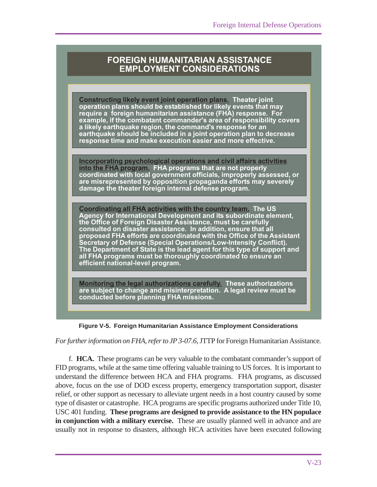

**Figure V-5. Foreign Humanitarian Assistance Employment Considerations**

*For further information on FHA, refer to JP 3-07.6,* JTTP for Foreign Humanitarian Assistance*.*

f. **HCA.** These programs can be very valuable to the combatant commander's support of FID programs, while at the same time offering valuable training to US forces. It is important to understand the difference between HCA and FHA programs. FHA programs, as discussed above, focus on the use of DOD excess property, emergency transportation support, disaster relief, or other support as necessary to alleviate urgent needs in a host country caused by some type of disaster or catastrophe. HCA programs are specific programs authorized under Title 10, USC 401 funding. **These programs are designed to provide assistance to the HN populace in conjunction with a military exercise.** These are usually planned well in advance and are usually not in response to disasters, although HCA activities have been executed following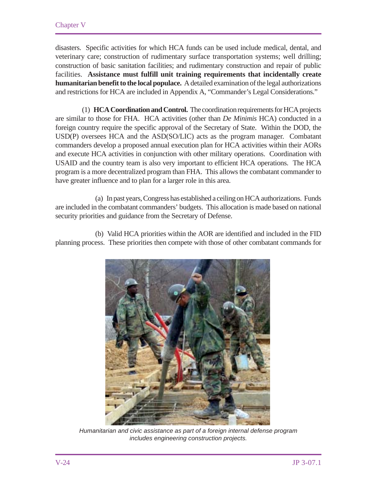disasters. Specific activities for which HCA funds can be used include medical, dental, and veterinary care; construction of rudimentary surface transportation systems; well drilling; construction of basic sanitation facilities; and rudimentary construction and repair of public facilities. **Assistance must fulfill unit training requirements that incidentally create humanitarian benefit to the local populace.** A detailed examination of the legal authorizations and restrictions for HCA are included in Appendix A, "Commander's Legal Considerations."

(1) **HCA Coordination and Control.** The coordination requirements for HCA projects are similar to those for FHA. HCA activities (other than *De Minimis* HCA) conducted in a foreign country require the specific approval of the Secretary of State. Within the DOD, the USD(P) oversees HCA and the ASD(SO/LIC) acts as the program manager. Combatant commanders develop a proposed annual execution plan for HCA activities within their AORs and execute HCA activities in conjunction with other military operations. Coordination with USAID and the country team is also very important to efficient HCA operations. The HCA program is a more decentralized program than FHA. This allows the combatant commander to have greater influence and to plan for a larger role in this area.

(a) In past years, Congress has established a ceiling on HCA authorizations. Funds are included in the combatant commanders' budgets. This allocation is made based on national security priorities and guidance from the Secretary of Defense.

(b) Valid HCA priorities within the AOR are identified and included in the FID planning process. These priorities then compete with those of other combatant commands for



*Humanitarian and civic assistance as part of a foreign internal defense program includes engineering construction projects.*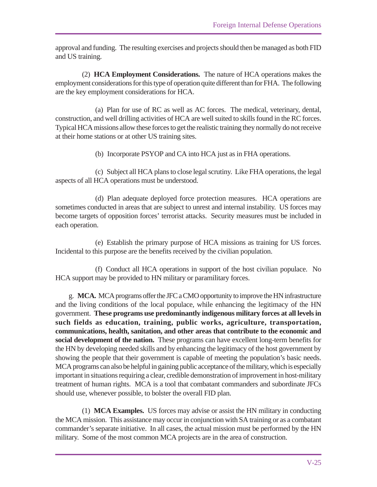approval and funding. The resulting exercises and projects should then be managed as both FID and US training.

(2) **HCA Employment Considerations.** The nature of HCA operations makes the employment considerations for this type of operation quite different than for FHA. The following are the key employment considerations for HCA.

(a) Plan for use of RC as well as AC forces. The medical, veterinary, dental, construction, and well drilling activities of HCA are well suited to skills found in the RC forces. Typical HCA missions allow these forces to get the realistic training they normally do not receive at their home stations or at other US training sites.

(b) Incorporate PSYOP and CA into HCA just as in FHA operations.

(c) Subject all HCA plans to close legal scrutiny. Like FHA operations, the legal aspects of all HCA operations must be understood.

(d) Plan adequate deployed force protection measures. HCA operations are sometimes conducted in areas that are subject to unrest and internal instability. US forces may become targets of opposition forces' terrorist attacks. Security measures must be included in each operation.

(e) Establish the primary purpose of HCA missions as training for US forces. Incidental to this purpose are the benefits received by the civilian population.

(f) Conduct all HCA operations in support of the host civilian populace. No HCA support may be provided to HN military or paramilitary forces.

g. **MCA.** MCA programs offer the JFC a CMO opportunity to improve the HN infrastructure and the living conditions of the local populace, while enhancing the legitimacy of the HN government. **These programs use predominantly indigenous military forces at all levels in such fields as education, training, public works, agriculture, transportation, communications, health, sanitation, and other areas that contribute to the economic and social development of the nation.** These programs can have excellent long-term benefits for the HN by developing needed skills and by enhancing the legitimacy of the host government by showing the people that their government is capable of meeting the population's basic needs. MCA programs can also be helpful in gaining public acceptance of the military, which is especially important in situations requiring a clear, credible demonstration of improvement in host-military treatment of human rights. MCA is a tool that combatant commanders and subordinate JFCs should use, whenever possible, to bolster the overall FID plan.

(1) **MCA Examples.** US forces may advise or assist the HN military in conducting the MCA mission. This assistance may occur in conjunction with SA training or as a combatant commander's separate initiative. In all cases, the actual mission must be performed by the HN military. Some of the most common MCA projects are in the area of construction.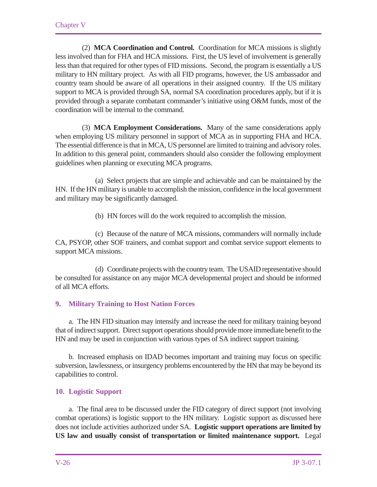(2) **MCA Coordination and Control.** Coordination for MCA missions is slightly less involved than for FHA and HCA missions. First, the US level of involvement is generally less than that required for other types of FID missions. Second, the program is essentially a US military to HN military project. As with all FID programs, however, the US ambassador and country team should be aware of all operations in their assigned country. If the US military support to MCA is provided through SA, normal SA coordination procedures apply, but if it is provided through a separate combatant commander's initiative using O&M funds, most of the coordination will be internal to the command.

(3) **MCA Employment Considerations.** Many of the same considerations apply when employing US military personnel in support of MCA as in supporting FHA and HCA. The essential difference is that in MCA, US personnel are limited to training and advisory roles. In addition to this general point, commanders should also consider the following employment guidelines when planning or executing MCA programs.

(a) Select projects that are simple and achievable and can be maintained by the HN. If the HN military is unable to accomplish the mission, confidence in the local government and military may be significantly damaged.

(b) HN forces will do the work required to accomplish the mission.

(c) Because of the nature of MCA missions, commanders will normally include CA, PSYOP, other SOF trainers, and combat support and combat service support elements to support MCA missions.

(d) Coordinate projects with the country team. The USAID representative should be consulted for assistance on any major MCA developmental project and should be informed of all MCA efforts.

# **9. Military Training to Host Nation Forces**

a. The HN FID situation may intensify and increase the need for military training beyond that of indirect support. Direct support operations should provide more immediate benefit to the HN and may be used in conjunction with various types of SA indirect support training.

b. Increased emphasis on IDAD becomes important and training may focus on specific subversion, lawlessness, or insurgency problems encountered by the HN that may be beyond its capabilities to control.

# **10. Logistic Support**

a. The final area to be discussed under the FID category of direct support (not involving combat operations) is logistic support to the HN military. Logistic support as discussed here does not include activities authorized under SA. **Logistic support operations are limited by US law and usually consist of transportation or limited maintenance support.** Legal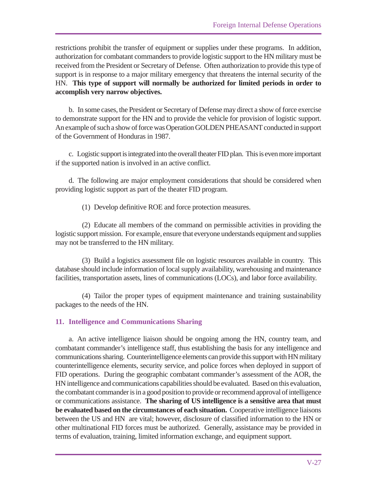restrictions prohibit the transfer of equipment or supplies under these programs. In addition, authorization for combatant commanders to provide logistic support to the HN military must be received from the President or Secretary of Defense. Often authorization to provide this type of support is in response to a major military emergency that threatens the internal security of the HN. **This type of support will normally be authorized for limited periods in order to accomplish very narrow objectives.**

b. In some cases, the President or Secretary of Defense may direct a show of force exercise to demonstrate support for the HN and to provide the vehicle for provision of logistic support. An example of such a show of force was Operation GOLDEN PHEASANT conducted in support of the Government of Honduras in 1987.

c. Logistic support is integrated into the overall theater FID plan. This is even more important if the supported nation is involved in an active conflict.

d. The following are major employment considerations that should be considered when providing logistic support as part of the theater FID program.

(1) Develop definitive ROE and force protection measures.

(2) Educate all members of the command on permissible activities in providing the logistic support mission. For example, ensure that everyone understands equipment and supplies may not be transferred to the HN military.

(3) Build a logistics assessment file on logistic resources available in country. This database should include information of local supply availability, warehousing and maintenance facilities, transportation assets, lines of communications (LOCs), and labor force availability.

(4) Tailor the proper types of equipment maintenance and training sustainability packages to the needs of the HN.

## **11. Intelligence and Communications Sharing**

a. An active intelligence liaison should be ongoing among the HN, country team, and combatant commander's intelligence staff, thus establishing the basis for any intelligence and communications sharing. Counterintelligence elements can provide this support with HN military counterintelligence elements, security service, and police forces when deployed in support of FID operations. During the geographic combatant commander's assessment of the AOR, the HN intelligence and communications capabilities should be evaluated. Based on this evaluation, the combatant commander is in a good position to provide or recommend approval of intelligence or communications assistance. **The sharing of US intelligence is a sensitive area that must be evaluated based on the circumstances of each situation.** Cooperative intelligence liaisons between the US and HN are vital; however, disclosure of classified information to the HN or other multinational FID forces must be authorized. Generally, assistance may be provided in terms of evaluation, training, limited information exchange, and equipment support.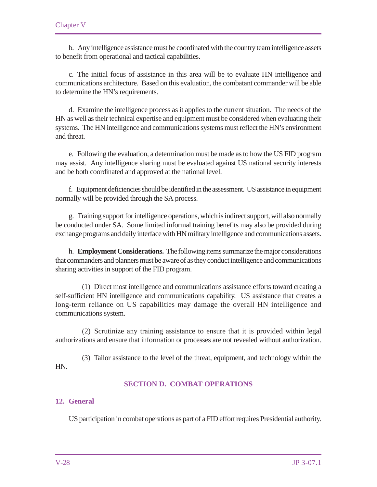b. Any intelligence assistance must be coordinated with the country team intelligence assets to benefit from operational and tactical capabilities.

c. The initial focus of assistance in this area will be to evaluate HN intelligence and communications architecture. Based on this evaluation, the combatant commander will be able to determine the HN's requirements.

d. Examine the intelligence process as it applies to the current situation. The needs of the HN as well as their technical expertise and equipment must be considered when evaluating their systems. The HN intelligence and communications systems must reflect the HN's environment and threat.

e. Following the evaluation, a determination must be made as to how the US FID program may assist. Any intelligence sharing must be evaluated against US national security interests and be both coordinated and approved at the national level.

f. Equipment deficiencies should be identified in the assessment. US assistance in equipment normally will be provided through the SA process.

g. Training support for intelligence operations, which is indirect support, will also normally be conducted under SA. Some limited informal training benefits may also be provided during exchange programs and daily interface with HN military intelligence and communications assets.

h. **Employment Considerations.** The following items summarize the major considerations that commanders and planners must be aware of as they conduct intelligence and communications sharing activities in support of the FID program.

(1) Direct most intelligence and communications assistance efforts toward creating a self-sufficient HN intelligence and communications capability. US assistance that creates a long-term reliance on US capabilities may damage the overall HN intelligence and communications system.

(2) Scrutinize any training assistance to ensure that it is provided within legal authorizations and ensure that information or processes are not revealed without authorization.

(3) Tailor assistance to the level of the threat, equipment, and technology within the HN.

# **SECTION D. COMBAT OPERATIONS**

## **12. General**

US participation in combat operations as part of a FID effort requires Presidential authority.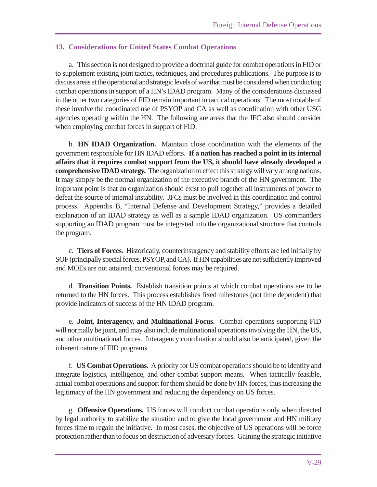## **13. Considerations for United States Combat Operations**

a. This section is not designed to provide a doctrinal guide for combat operations in FID or to supplement existing joint tactics, techniques, and procedures publications. The purpose is to discuss areas at the operational and strategic levels of war that must be considered when conducting combat operations in support of a HN's IDAD program. Many of the considerations discussed in the other two categories of FID remain important in tactical operations. The most notable of these involve the coordinated use of PSYOP and CA as well as coordination with other USG agencies operating within the HN. The following are areas that the JFC also should consider when employing combat forces in support of FID.

b. **HN IDAD Organization.** Maintain close coordination with the elements of the government responsible for HN IDAD efforts. **If a nation has reached a point in its internal affairs that it requires combat support from the US, it should have already developed a comprehensive IDAD strategy.** The organization to effect this strategy will vary among nations. It may simply be the normal organization of the executive branch of the HN government. The important point is that an organization should exist to pull together all instruments of power to defeat the source of internal instability. JFCs must be involved in this coordination and control process. Appendix B, "Internal Defense and Development Strategy," provides a detailed explanation of an IDAD strategy as well as a sample IDAD organization. US commanders supporting an IDAD program must be integrated into the organizational structure that controls the program.

c. **Tiers of Forces.** Historically, counterinsurgency and stability efforts are led initially by SOF (principally special forces, PSYOP, and CA). If HN capabilities are not sufficiently improved and MOEs are not attained, conventional forces may be required.

d. **Transition Points.** Establish transition points at which combat operations are to be returned to the HN forces. This process establishes fixed milestones (not time dependent) that provide indicators of success of the HN IDAD program.

e. **Joint, Interagency, and Multinational Focus.** Combat operations supporting FID will normally be joint, and may also include multinational operations involving the HN, the US, and other multinational forces. Interagency coordination should also be anticipated, given the inherent nature of FID programs.

f. **US Combat Operations.** A priority for US combat operations should be to identify and integrate logistics, intelligence, and other combat support means. When tactically feasible, actual combat operations and support for them should be done by HN forces, thus increasing the legitimacy of the HN government and reducing the dependency on US forces.

g. **Offensive Operations.** US forces will conduct combat operations only when directed by legal authority to stabilize the situation and to give the local government and HN military forces time to regain the initiative. In most cases, the objective of US operations will be force protection rather than to focus on destruction of adversary forces. Gaining the strategic initiative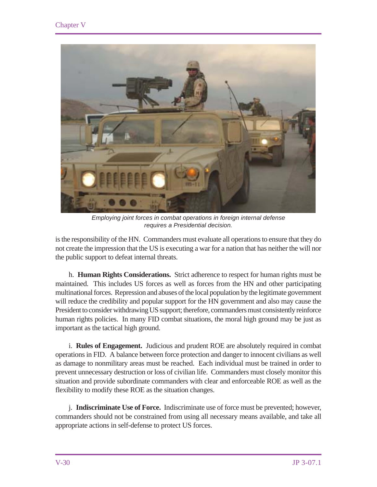

*Employing joint forces in combat operations in foreign internal defense requires a Presidential decision.*

is the responsibility of the HN. Commanders must evaluate all operations to ensure that they do not create the impression that the US is executing a war for a nation that has neither the will nor the public support to defeat internal threats.

h. **Human Rights Considerations.** Strict adherence to respect for human rights must be maintained. This includes US forces as well as forces from the HN and other participating multinational forces. Repression and abuses of the local population by the legitimate government will reduce the credibility and popular support for the HN government and also may cause the President to consider withdrawing US support; therefore, commanders must consistently reinforce human rights policies. In many FID combat situations, the moral high ground may be just as important as the tactical high ground.

i. **Rules of Engagement.** Judicious and prudent ROE are absolutely required in combat operations in FID. A balance between force protection and danger to innocent civilians as well as damage to nonmilitary areas must be reached. Each individual must be trained in order to prevent unnecessary destruction or loss of civilian life. Commanders must closely monitor this situation and provide subordinate commanders with clear and enforceable ROE as well as the flexibility to modify these ROE as the situation changes.

j. **Indiscriminate Use of Force.** Indiscriminate use of force must be prevented; however, commanders should not be constrained from using all necessary means available, and take all appropriate actions in self-defense to protect US forces.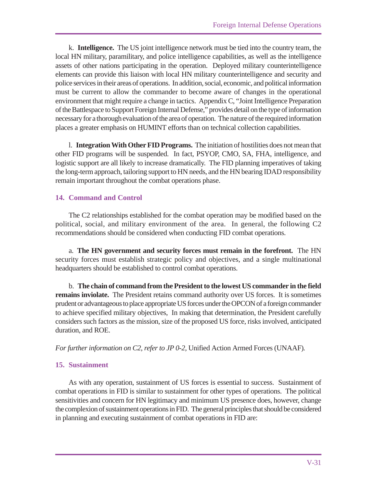k. **Intelligence.** The US joint intelligence network must be tied into the country team, the local HN military, paramilitary, and police intelligence capabilities, as well as the intelligence assets of other nations participating in the operation. Deployed military counterintelligence elements can provide this liaison with local HN military counterintelligence and security and police services in their areas of operations. In addition, social, economic, and political information must be current to allow the commander to become aware of changes in the operational environment that might require a change in tactics. Appendix C, "Joint Intelligence Preparation of the Battlespace to Support Foreign Internal Defense," provides detail on the type of information necessary for a thorough evaluation of the area of operation. The nature of the required information places a greater emphasis on HUMINT efforts than on technical collection capabilities.

l. **Integration With Other FID Programs.** The initiation of hostilities does not mean that other FID programs will be suspended. In fact, PSYOP, CMO, SA, FHA, intelligence, and logistic support are all likely to increase dramatically. The FID planning imperatives of taking the long-term approach, tailoring support to HN needs, and the HN bearing IDAD responsibility remain important throughout the combat operations phase.

### **14. Command and Control**

The C2 relationships established for the combat operation may be modified based on the political, social, and military environment of the area. In general, the following C2 recommendations should be considered when conducting FID combat operations.

a. **The HN government and security forces must remain in the forefront.** The HN security forces must establish strategic policy and objectives, and a single multinational headquarters should be established to control combat operations.

b. **The chain of command from the President to the lowest US commander in the field remains inviolate.** The President retains command authority over US forces. It is sometimes prudent or advantageous to place appropriate US forces under the OPCON of a foreign commander to achieve specified military objectives, In making that determination, the President carefully considers such factors as the mission, size of the proposed US force, risks involved, anticipated duration, and ROE.

*For further information on C2, refer to JP 0-2,* Unified Action Armed Forces (UNAAF)*.*

## **15. Sustainment**

As with any operation, sustainment of US forces is essential to success. Sustainment of combat operations in FID is similar to sustainment for other types of operations. The political sensitivities and concern for HN legitimacy and minimum US presence does, however, change the complexion of sustainment operations in FID. The general principles that should be considered in planning and executing sustainment of combat operations in FID are: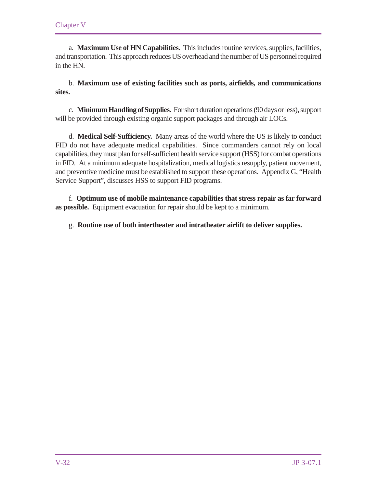a. **Maximum Use of HN Capabilities.** This includes routine services, supplies, facilities, and transportation. This approach reduces US overhead and the number of US personnel required in the HN.

b. **Maximum use of existing facilities such as ports, airfields, and communications sites.**

c. **Minimum Handling of Supplies.** For short duration operations (90 days or less), support will be provided through existing organic support packages and through air LOCs.

d. **Medical Self-Sufficiency.** Many areas of the world where the US is likely to conduct FID do not have adequate medical capabilities. Since commanders cannot rely on local capabilities, they must plan for self-sufficient health service support (HSS) for combat operations in FID. At a minimum adequate hospitalization, medical logistics resupply, patient movement, and preventive medicine must be established to support these operations. Appendix G, "Health Service Support", discusses HSS to support FID programs.

f. **Optimum use of mobile maintenance capabilities that stress repair as far forward as possible.** Equipment evacuation for repair should be kept to a minimum.

g. **Routine use of both intertheater and intratheater airlift to deliver supplies.**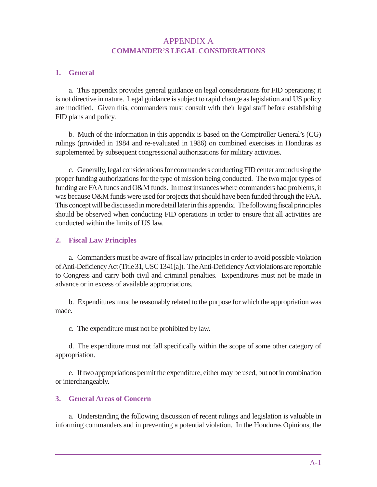# APPENDIX A **COMMANDER'S LEGAL CONSIDERATIONS**

### **1. General**

a. This appendix provides general guidance on legal considerations for FID operations; it is not directive in nature. Legal guidance is subject to rapid change as legislation and US policy are modified. Given this, commanders must consult with their legal staff before establishing FID plans and policy.

b. Much of the information in this appendix is based on the Comptroller General's (CG) rulings (provided in 1984 and re-evaluated in 1986) on combined exercises in Honduras as supplemented by subsequent congressional authorizations for military activities.

c. Generally, legal considerations for commanders conducting FID center around using the proper funding authorizations for the type of mission being conducted. The two major types of funding are FAA funds and O&M funds. In most instances where commanders had problems, it was because O&M funds were used for projects that should have been funded through the FAA. This concept will be discussed in more detail later in this appendix. The following fiscal principles should be observed when conducting FID operations in order to ensure that all activities are conducted within the limits of US law.

## **2. Fiscal Law Principles**

a. Commanders must be aware of fiscal law principles in order to avoid possible violation of Anti-Deficiency Act (Title 31, USC 1341[a]). The Anti-Deficiency Act violations are reportable to Congress and carry both civil and criminal penalties. Expenditures must not be made in advance or in excess of available appropriations.

b. Expenditures must be reasonably related to the purpose for which the appropriation was made.

c. The expenditure must not be prohibited by law.

d. The expenditure must not fall specifically within the scope of some other category of appropriation.

e. If two appropriations permit the expenditure, either may be used, but not in combination or interchangeably.

## **3. General Areas of Concern**

a. Understanding the following discussion of recent rulings and legislation is valuable in informing commanders and in preventing a potential violation. In the Honduras Opinions, the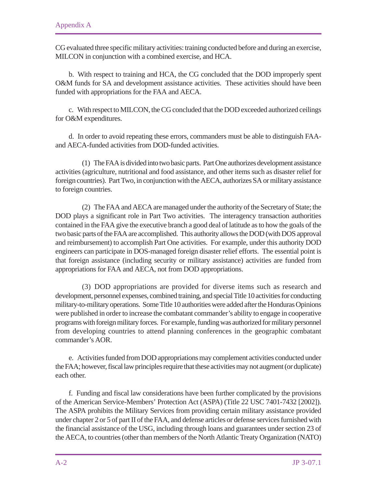CG evaluated three specific military activities: training conducted before and during an exercise, MILCON in conjunction with a combined exercise, and HCA.

b. With respect to training and HCA, the CG concluded that the DOD improperly spent O&M funds for SA and development assistance activities. These activities should have been funded with appropriations for the FAA and AECA.

c. With respect to MILCON, the CG concluded that the DOD exceeded authorized ceilings for O&M expenditures.

d. In order to avoid repeating these errors, commanders must be able to distinguish FAAand AECA-funded activities from DOD-funded activities.

(1) The FAA is divided into two basic parts. Part One authorizes development assistance activities (agriculture, nutritional and food assistance, and other items such as disaster relief for foreign countries). Part Two, in conjunction with the AECA, authorizes SA or military assistance to foreign countries.

(2) The FAA and AECA are managed under the authority of the Secretary of State; the DOD plays a significant role in Part Two activities. The interagency transaction authorities contained in the FAA give the executive branch a good deal of latitude as to how the goals of the two basic parts of the FAA are accomplished. This authority allows the DOD (with DOS approval and reimbursement) to accomplish Part One activities. For example, under this authority DOD engineers can participate in DOS-managed foreign disaster relief efforts. The essential point is that foreign assistance (including security or military assistance) activities are funded from appropriations for FAA and AECA, not from DOD appropriations.

(3) DOD appropriations are provided for diverse items such as research and development, personnel expenses, combined training, and special Title 10 activities for conducting military-to-military operations. Some Title 10 authorities were added after the Honduras Opinions were published in order to increase the combatant commander's ability to engage in cooperative programs with foreign military forces. For example, funding was authorized for military personnel from developing countries to attend planning conferences in the geographic combatant commander's AOR.

e. Activities funded from DOD appropriations may complement activities conducted under the FAA; however, fiscal law principles require that these activities may not augment (or duplicate) each other.

f. Funding and fiscal law considerations have been further complicated by the provisions of the American Service-Members' Protection Act (ASPA) (Title 22 USC 7401-7432 [2002]). The ASPA prohibits the Military Services from providing certain military assistance provided under chapter 2 or 5 of part II of the FAA, and defense articles or defense services furnished with the financial assistance of the USG, including through loans and guarantees under section 23 of the AECA, to countries (other than members of the North Atlantic Treaty Organization (NATO)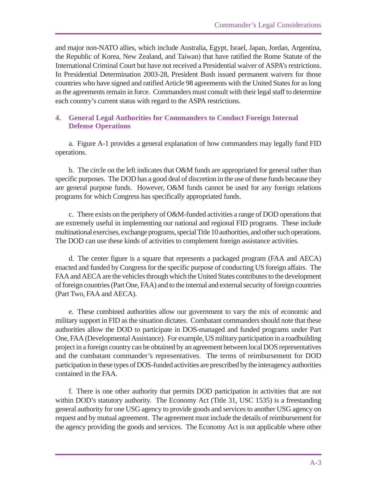and major non-NATO allies, which include Australia, Egypt, Israel, Japan, Jordan, Argentina, the Republic of Korea, New Zealand, and Taiwan) that have ratified the Rome Statute of the International Criminal Court but have not received a Presidential waiver of ASPA's restrictions. In Presidential Determination 2003-28, President Bush issued permanent waivers for those countries who have signed and ratified Article 98 agreements with the United States for as long as the agreements remain in force. Commanders must consult with their legal staff to determine each country's current status with regard to the ASPA restrictions.

### **4. General Legal Authorities for Commanders to Conduct Foreign Internal Defense Operations**

a. Figure A-1 provides a general explanation of how commanders may legally fund FID operations.

b. The circle on the left indicates that O&M funds are appropriated for general rather than specific purposes. The DOD has a good deal of discretion in the use of these funds because they are general purpose funds. However, O&M funds cannot be used for any foreign relations programs for which Congress has specifically appropriated funds.

c. There exists on the periphery of O&M-funded activities a range of DOD operations that are extremely useful in implementing our national and regional FID programs. These include multinational exercises, exchange programs, special Title 10 authorities, and other such operations. The DOD can use these kinds of activities to complement foreign assistance activities.

d. The center figure is a square that represents a packaged program (FAA and AECA) enacted and funded by Congress for the specific purpose of conducting US foreign affairs. The FAA and AECA are the vehicles through which the United States contributes to the development of foreign countries (Part One, FAA) and to the internal and external security of foreign countries (Part Two, FAA and AECA).

e. These combined authorities allow our government to vary the mix of economic and military support in FID as the situation dictates. Combatant commanders should note that these authorities allow the DOD to participate in DOS-managed and funded programs under Part One, FAA (Developmental Assistance). For example, US military participation in a roadbuilding project in a foreign country can be obtained by an agreement between local DOS representatives and the combatant commander's representatives. The terms of reimbursement for DOD participation in these types of DOS-funded activities are prescribed by the interagency authorities contained in the FAA.

f. There is one other authority that permits DOD participation in activities that are not within DOD's statutory authority. The Economy Act (Title 31, USC 1535) is a freestanding general authority for one USG agency to provide goods and services to another USG agency on request and by mutual agreement. The agreement must include the details of reimbursement for the agency providing the goods and services. The Economy Act is not applicable where other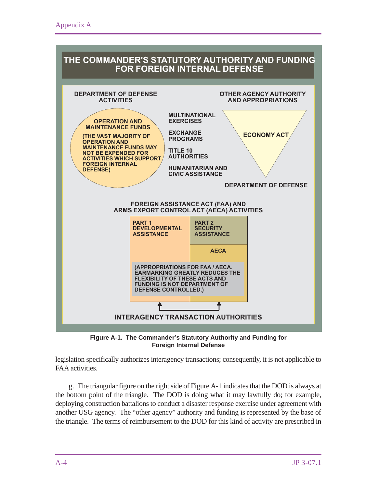

**Figure A-1. The Commander's Statutory Authority and Funding for Foreign Internal Defense**

legislation specifically authorizes interagency transactions; consequently, it is not applicable to FAA activities.

g. The triangular figure on the right side of Figure A-1 indicates that the DOD is always at the bottom point of the triangle. The DOD is doing what it may lawfully do; for example, deploying construction battalions to conduct a disaster response exercise under agreement with another USG agency. The "other agency" authority and funding is represented by the base of the triangle. The terms of reimbursement to the DOD for this kind of activity are prescribed in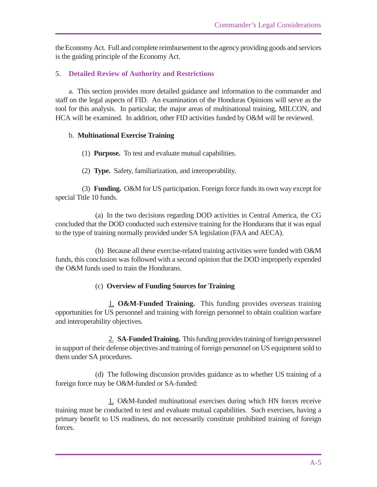the Economy Act. Full and complete reimbursement to the agency providing goods and services is the guiding principle of the Economy Act.

## **5. Detailed Review of Authority and Restrictions**

a. This section provides more detailed guidance and information to the commander and staff on the legal aspects of FID. An examination of the Honduras Opinions will serve as the tool for this analysis. In particular, the major areas of multinational training, MILCON, and HCA will be examined. In addition, other FID activities funded by O&M will be reviewed.

### b. **Multinational Exercise Training**

(1) **Purpose.** To test and evaluate mutual capabilities.

(2) **Type.** Safety, familiarization, and interoperability.

(3) **Funding.** O&M for US participation. Foreign force funds its own way except for special Title 10 funds.

(a) In the two decisions regarding DOD activities in Central America, the CG concluded that the DOD conducted such extensive training for the Hondurans that it was equal to the type of training normally provided under SA legislation (FAA and AECA).

(b) Because all these exercise-related training activities were funded with O&M funds, this conclusion was followed with a second opinion that the DOD improperly expended the O&M funds used to train the Hondurans.

## (c) **Overview of Funding Sources for Training**

1. **O&M-Funded Training.** This funding provides overseas training opportunities for US personnel and training with foreign personnel to obtain coalition warfare and interoperability objectives.

2. **SA-Funded Training.** This funding provides training of foreign personnel in support of their defense objectives and training of foreign personnel on US equipment sold to them under SA procedures.

(d) The following discussion provides guidance as to whether US training of a foreign force may be O&M-funded or SA-funded:

1. O&M-funded multinational exercises during which HN forces receive training must be conducted to test and evaluate mutual capabilities. Such exercises, having a primary benefit to US readiness, do not necessarily constitute prohibited training of foreign forces.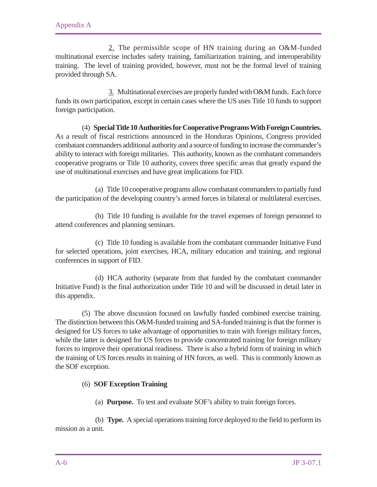2. The permissible scope of HN training during an O&M-funded multinational exercise includes safety training, familiarization training, and interoperability training. The level of training provided, however, must not be the formal level of training provided through SA.

3. Multinational exercises are properly funded with O&M funds. Each force funds its own participation, except in certain cases where the US uses Title 10 funds to support foreign participation.

(4) **Special Title 10 Authorities for Cooperative Programs With Foreign Countries.** As a result of fiscal restrictions announced in the Honduras Opinions, Congress provided combatant commanders additional authority and a source of funding to increase the commander's ability to interact with foreign militaries. This authority, known as the combatant commanders cooperative programs or Title 10 authority, covers three specific areas that greatly expand the use of multinational exercises and have great implications for FID.

(a) Title 10 cooperative programs allow combatant commanders to partially fund the participation of the developing country's armed forces in bilateral or multilateral exercises.

(b) Title 10 funding is available for the travel expenses of foreign personnel to attend conferences and planning seminars.

(c) Title 10 funding is available from the combatant commander Initiative Fund for selected operations, joint exercises, HCA, military education and training, and regional conferences in support of FID.

(d) HCA authority (separate from that funded by the combatant commander Initiative Fund) is the final authorization under Title 10 and will be discussed in detail later in this appendix.

(5) The above discussion focused on lawfully funded combined exercise training. The distinction between this O&M-funded training and SA-funded training is that the former is designed for US forces to take advantage of opportunities to train with foreign military forces, while the latter is designed for US forces to provide concentrated training for foreign military forces to improve their operational readiness. There is also a hybrid form of training in which the training of US forces results in training of HN forces, as well. This is commonly known as the SOF exception.

# (6) **SOF Exception Training**

(a) **Purpose.** To test and evaluate SOF's ability to train foreign forces.

(b) **Type.** A special operations training force deployed to the field to perform its mission as a unit.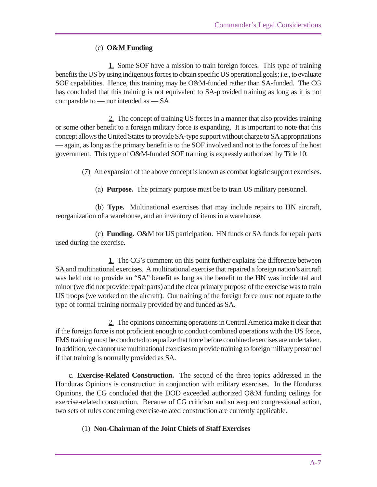## (c) **O&M Funding**

1. Some SOF have a mission to train foreign forces. This type of training benefits the US by using indigenous forces to obtain specific US operational goals; i.e., to evaluate SOF capabilities. Hence, this training may be O&M-funded rather than SA-funded. The CG has concluded that this training is not equivalent to SA-provided training as long as it is not comparable to — nor intended as — SA.

2. The concept of training US forces in a manner that also provides training or some other benefit to a foreign military force is expanding. It is important to note that this concept allows the United States to provide SA-type support without charge to SA appropriations — again, as long as the primary benefit is to the SOF involved and not to the forces of the host government. This type of O&M-funded SOF training is expressly authorized by Title 10.

(7) An expansion of the above concept is known as combat logistic support exercises.

(a) **Purpose.** The primary purpose must be to train US military personnel.

(b) **Type.** Multinational exercises that may include repairs to HN aircraft, reorganization of a warehouse, and an inventory of items in a warehouse.

(c) **Funding.** O&M for US participation. HN funds or SA funds for repair parts used during the exercise.

1. The CG's comment on this point further explains the difference between SA and multinational exercises. A multinational exercise that repaired a foreign nation's aircraft was held not to provide an "SA" benefit as long as the benefit to the HN was incidental and minor (we did not provide repair parts) and the clear primary purpose of the exercise was to train US troops (we worked on the aircraft). Our training of the foreign force must not equate to the type of formal training normally provided by and funded as SA.

2. The opinions concerning operations in Central America make it clear that if the foreign force is not proficient enough to conduct combined operations with the US force, FMS training must be conducted to equalize that force before combined exercises are undertaken. In addition, we cannot use multinational exercises to provide training to foreign military personnel if that training is normally provided as SA.

c. **Exercise-Related Construction.** The second of the three topics addressed in the Honduras Opinions is construction in conjunction with military exercises. In the Honduras Opinions, the CG concluded that the DOD exceeded authorized O&M funding ceilings for exercise-related construction. Because of CG criticism and subsequent congressional action, two sets of rules concerning exercise-related construction are currently applicable.

(1) **Non-Chairman of the Joint Chiefs of Staff Exercises**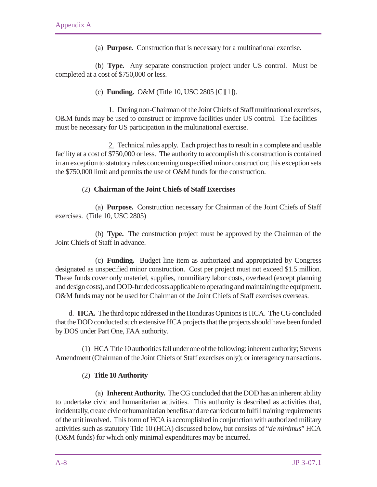(a) **Purpose.** Construction that is necessary for a multinational exercise.

(b) **Type.** Any separate construction project under US control. Must be completed at a cost of \$750,000 or less.

## (c) **Funding.** O&M (Title 10, USC 2805 [C][1]).

1. During non-Chairman of the Joint Chiefs of Staff multinational exercises, O&M funds may be used to construct or improve facilities under US control. The facilities must be necessary for US participation in the multinational exercise.

2. Technical rules apply. Each project has to result in a complete and usable facility at a cost of \$750,000 or less. The authority to accomplish this construction is contained in an exception to statutory rules concerning unspecified minor construction; this exception sets the \$750,000 limit and permits the use of O&M funds for the construction.

## (2) **Chairman of the Joint Chiefs of Staff Exercises**

(a) **Purpose.** Construction necessary for Chairman of the Joint Chiefs of Staff exercises. (Title 10, USC 2805)

(b) **Type.** The construction project must be approved by the Chairman of the Joint Chiefs of Staff in advance.

(c) **Funding.** Budget line item as authorized and appropriated by Congress designated as unspecified minor construction. Cost per project must not exceed \$1.5 million. These funds cover only materiel, supplies, nonmilitary labor costs, overhead (except planning and design costs), and DOD-funded costs applicable to operating and maintaining the equipment. O&M funds may not be used for Chairman of the Joint Chiefs of Staff exercises overseas.

d. **HCA.** The third topic addressed in the Honduras Opinions is HCA. The CG concluded that the DOD conducted such extensive HCA projects that the projects should have been funded by DOS under Part One, FAA authority.

(1) HCA Title 10 authorities fall under one of the following: inherent authority; Stevens Amendment (Chairman of the Joint Chiefs of Staff exercises only); or interagency transactions.

# (2) **Title 10 Authority**

(a) **Inherent Authority.** The CG concluded that the DOD has an inherent ability to undertake civic and humanitarian activities. This authority is described as activities that, incidentally, create civic or humanitarian benefits and are carried out to fulfill training requirements of the unit involved. This form of HCA is accomplished in conjunction with authorized military activities such as statutory Title 10 (HCA) discussed below, but consists of "*de minimus*" HCA (O&M funds) for which only minimal expenditures may be incurred.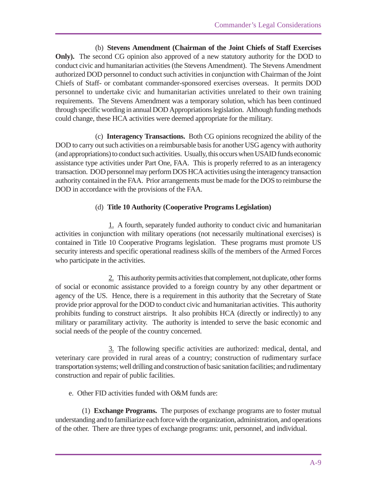(b) **Stevens Amendment (Chairman of the Joint Chiefs of Staff Exercises Only).** The second CG opinion also approved of a new statutory authority for the DOD to conduct civic and humanitarian activities (the Stevens Amendment). The Stevens Amendment authorized DOD personnel to conduct such activities in conjunction with Chairman of the Joint Chiefs of Staff- or combatant commander-sponsored exercises overseas. It permits DOD personnel to undertake civic and humanitarian activities unrelated to their own training requirements. The Stevens Amendment was a temporary solution, which has been continued through specific wording in annual DOD Appropriations legislation. Although funding methods could change, these HCA activities were deemed appropriate for the military.

(c) **Interagency Transactions.** Both CG opinions recognized the ability of the DOD to carry out such activities on a reimbursable basis for another USG agency with authority (and appropriations) to conduct such activities. Usually, this occurs when USAID funds economic assistance type activities under Part One, FAA. This is properly referred to as an interagency transaction. DOD personnel may perform DOS HCA activities using the interagency transaction authority contained in the FAA. Prior arrangements must be made for the DOS to reimburse the DOD in accordance with the provisions of the FAA.

## (d) **Title 10 Authority (Cooperative Programs Legislation)**

1. A fourth, separately funded authority to conduct civic and humanitarian activities in conjunction with military operations (not necessarily multinational exercises) is contained in Title 10 Cooperative Programs legislation. These programs must promote US security interests and specific operational readiness skills of the members of the Armed Forces who participate in the activities.

2. This authority permits activities that complement, not duplicate, other forms of social or economic assistance provided to a foreign country by any other department or agency of the US. Hence, there is a requirement in this authority that the Secretary of State provide prior approval for the DOD to conduct civic and humanitarian activities. This authority prohibits funding to construct airstrips. It also prohibits HCA (directly or indirectly) to any military or paramilitary activity. The authority is intended to serve the basic economic and social needs of the people of the country concerned.

3. The following specific activities are authorized: medical, dental, and veterinary care provided in rural areas of a country; construction of rudimentary surface transportation systems; well drilling and construction of basic sanitation facilities; and rudimentary construction and repair of public facilities.

e. Other FID activities funded with O&M funds are:

(1) **Exchange Programs.** The purposes of exchange programs are to foster mutual understanding and to familiarize each force with the organization, administration, and operations of the other. There are three types of exchange programs: unit, personnel, and individual.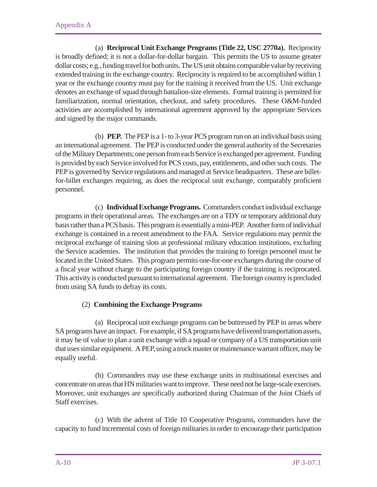(a) **Reciprocal Unit Exchange Programs (Title 22, USC 2770a).** Reciprocity is broadly defined; it is not a dollar-for-dollar bargain. This permits the US to assume greater dollar costs; e.g., funding travel for both units. The US unit obtains comparable value by receiving extended training in the exchange country. Reciprocity is required to be accomplished within 1 year or the exchange country must pay for the training it received from the US. Unit exchange denotes an exchange of squad through battalion-size elements. Formal training is permitted for familiarization, normal orientation, checkout, and safety procedures. These O&M-funded activities are accomplished by international agreement approved by the appropriate Services and signed by the major commands.

(b) **PEP.** The PEP is a 1- to 3-year PCS program run on an individual basis using an international agreement. The PEP is conducted under the general authority of the Secretaries of the Military Departments; one person from each Service is exchanged per agreement. Funding is provided by each Service involved for PCS costs, pay, entitlements, and other such costs. The PEP is governed by Service regulations and managed at Service headquarters. These are billetfor-billet exchanges requiring, as does the reciprocal unit exchange, comparably proficient personnel.

(c) **Individual Exchange Programs.** Commanders conduct individual exchange programs in their operational areas. The exchanges are on a TDY or temporary additional duty basis rather than a PCS basis. This program is essentially a mini-PEP. Another form of individual exchange is contained in a recent amendment to the FAA. Service regulations may permit the reciprocal exchange of training slots at professional military education institutions, excluding the Service academies. The institution that provides the training to foreign personnel must be located in the United States. This program permits one-for-one exchanges during the course of a fiscal year without charge to the participating foreign country if the training is reciprocated. This activity is conducted pursuant to international agreement. The foreign country is precluded from using SA funds to defray its costs.

# (2) **Combining the Exchange Programs**

(a) Reciprocal unit exchange programs can be buttressed by PEP in areas where SA programs have an impact. For example, if SA programs have delivered transportation assets, it may be of value to plan a unit exchange with a squad or company of a US transportation unit that uses similar equipment. A PEP, using a truck master or maintenance warrant officer, may be equally useful.

(b) Commanders may use these exchange units in multinational exercises and concentrate on areas that HN militaries want to improve. These need not be large-scale exercises. Moreover, unit exchanges are specifically authorized during Chairman of the Joint Chiefs of Staff exercises.

(c) With the advent of Title 10 Cooperative Programs, commanders have the capacity to fund incremental costs of foreign militaries in order to encourage their participation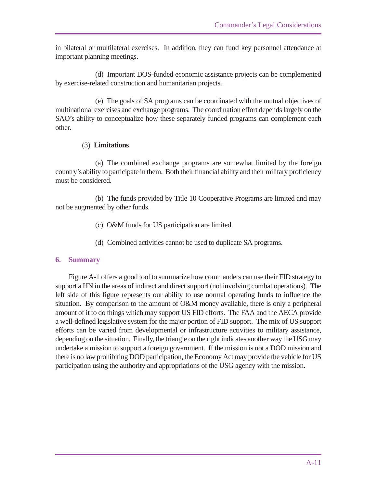in bilateral or multilateral exercises. In addition, they can fund key personnel attendance at important planning meetings.

(d) Important DOS-funded economic assistance projects can be complemented by exercise-related construction and humanitarian projects.

(e) The goals of SA programs can be coordinated with the mutual objectives of multinational exercises and exchange programs. The coordination effort depends largely on the SAO's ability to conceptualize how these separately funded programs can complement each other.

## (3) **Limitations**

(a) The combined exchange programs are somewhat limited by the foreign country's ability to participate in them. Both their financial ability and their military proficiency must be considered.

(b) The funds provided by Title 10 Cooperative Programs are limited and may not be augmented by other funds.

- (c) O&M funds for US participation are limited.
- (d) Combined activities cannot be used to duplicate SA programs.

### **6. Summary**

Figure A-1 offers a good tool to summarize how commanders can use their FID strategy to support a HN in the areas of indirect and direct support (not involving combat operations). The left side of this figure represents our ability to use normal operating funds to influence the situation. By comparison to the amount of O&M money available, there is only a peripheral amount of it to do things which may support US FID efforts. The FAA and the AECA provide a well-defined legislative system for the major portion of FID support. The mix of US support efforts can be varied from developmental or infrastructure activities to military assistance, depending on the situation. Finally, the triangle on the right indicates another way the USG may undertake a mission to support a foreign government. If the mission is not a DOD mission and there is no law prohibiting DOD participation, the Economy Act may provide the vehicle for US participation using the authority and appropriations of the USG agency with the mission.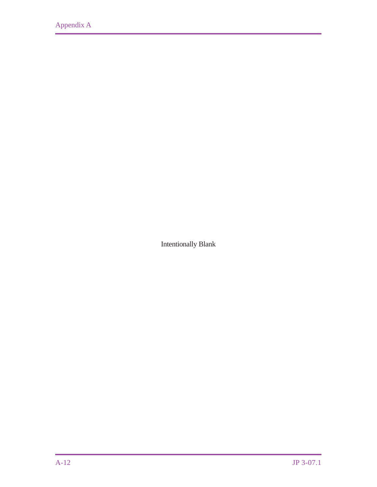Intentionally Blank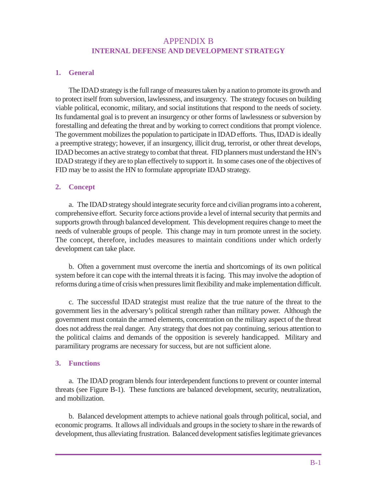# APPENDIX B **INTERNAL DEFENSE AND DEVELOPMENT STRATEGY**

#### **1. General**

The IDAD strategy is the full range of measures taken by a nation to promote its growth and to protect itself from subversion, lawlessness, and insurgency. The strategy focuses on building viable political, economic, military, and social institutions that respond to the needs of society. Its fundamental goal is to prevent an insurgency or other forms of lawlessness or subversion by forestalling and defeating the threat and by working to correct conditions that prompt violence. The government mobilizes the population to participate in IDAD efforts. Thus, IDAD is ideally a preemptive strategy; however, if an insurgency, illicit drug, terrorist, or other threat develops, IDAD becomes an active strategy to combat that threat. FID planners must understand the HN's IDAD strategy if they are to plan effectively to support it. In some cases one of the objectives of FID may be to assist the HN to formulate appropriate IDAD strategy.

#### **2. Concept**

a. The IDAD strategy should integrate security force and civilian programs into a coherent, comprehensive effort. Security force actions provide a level of internal security that permits and supports growth through balanced development. This development requires change to meet the needs of vulnerable groups of people. This change may in turn promote unrest in the society. The concept, therefore, includes measures to maintain conditions under which orderly development can take place.

b. Often a government must overcome the inertia and shortcomings of its own political system before it can cope with the internal threats it is facing. This may involve the adoption of reforms during a time of crisis when pressures limit flexibility and make implementation difficult.

c. The successful IDAD strategist must realize that the true nature of the threat to the government lies in the adversary's political strength rather than military power. Although the government must contain the armed elements, concentration on the military aspect of the threat does not address the real danger. Any strategy that does not pay continuing, serious attention to the political claims and demands of the opposition is severely handicapped. Military and paramilitary programs are necessary for success, but are not sufficient alone.

#### **3. Functions**

a. The IDAD program blends four interdependent functions to prevent or counter internal threats (see Figure B-1). These functions are balanced development, security, neutralization, and mobilization.

b. Balanced development attempts to achieve national goals through political, social, and economic programs. It allows all individuals and groups in the society to share in the rewards of development, thus alleviating frustration. Balanced development satisfies legitimate grievances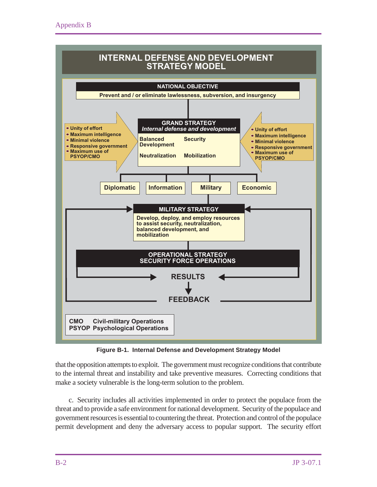

**Figure B-1. Internal Defense and Development Strategy Model**

that the opposition attempts to exploit. The government must recognize conditions that contribute to the internal threat and instability and take preventive measures. Correcting conditions that make a society vulnerable is the long-term solution to the problem.

c. Security includes all activities implemented in order to protect the populace from the threat and to provide a safe environment for national development. Security of the populace and government resources is essential to countering the threat. Protection and control of the populace permit development and deny the adversary access to popular support. The security effort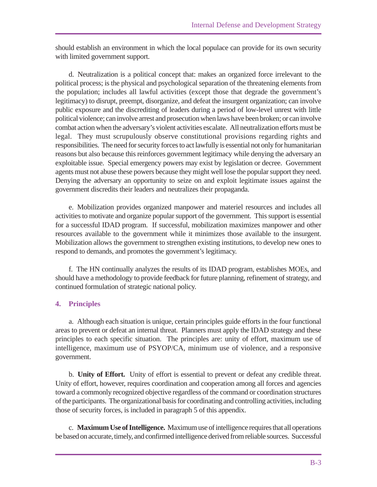should establish an environment in which the local populace can provide for its own security with limited government support.

d. Neutralization is a political concept that: makes an organized force irrelevant to the political process; is the physical and psychological separation of the threatening elements from the population; includes all lawful activities (except those that degrade the government's legitimacy) to disrupt, preempt, disorganize, and defeat the insurgent organization; can involve public exposure and the discrediting of leaders during a period of low-level unrest with little political violence; can involve arrest and prosecution when laws have been broken; or can involve combat action when the adversary's violent activities escalate. All neutralization efforts must be legal. They must scrupulously observe constitutional provisions regarding rights and responsibilities. The need for security forces to act lawfully is essential not only for humanitarian reasons but also because this reinforces government legitimacy while denying the adversary an exploitable issue. Special emergency powers may exist by legislation or decree. Government agents must not abuse these powers because they might well lose the popular support they need. Denying the adversary an opportunity to seize on and exploit legitimate issues against the government discredits their leaders and neutralizes their propaganda.

e. Mobilization provides organized manpower and materiel resources and includes all activities to motivate and organize popular support of the government. This support is essential for a successful IDAD program. If successful, mobilization maximizes manpower and other resources available to the government while it minimizes those available to the insurgent. Mobilization allows the government to strengthen existing institutions, to develop new ones to respond to demands, and promotes the government's legitimacy.

f. The HN continually analyzes the results of its IDAD program, establishes MOEs, and should have a methodology to provide feedback for future planning, refinement of strategy, and continued formulation of strategic national policy.

### **4. Principles**

a. Although each situation is unique, certain principles guide efforts in the four functional areas to prevent or defeat an internal threat. Planners must apply the IDAD strategy and these principles to each specific situation. The principles are: unity of effort, maximum use of intelligence, maximum use of PSYOP/CA, minimum use of violence, and a responsive government.

b. **Unity of Effort.** Unity of effort is essential to prevent or defeat any credible threat. Unity of effort, however, requires coordination and cooperation among all forces and agencies toward a commonly recognized objective regardless of the command or coordination structures of the participants. The organizational basis for coordinating and controlling activities, including those of security forces, is included in paragraph 5 of this appendix.

c. **Maximum Use of Intelligence.** Maximum use of intelligence requires that all operations be based on accurate, timely, and confirmed intelligence derived from reliable sources. Successful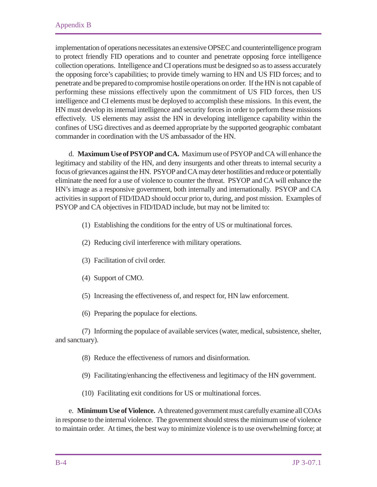implementation of operations necessitates an extensive OPSEC and counterintelligence program to protect friendly FID operations and to counter and penetrate opposing force intelligence collection operations. Intelligence and CI operations must be designed so as to assess accurately the opposing force's capabilities; to provide timely warning to HN and US FID forces; and to penetrate and be prepared to compromise hostile operations on order. If the HN is not capable of performing these missions effectively upon the commitment of US FID forces, then US intelligence and CI elements must be deployed to accomplish these missions. In this event, the HN must develop its internal intelligence and security forces in order to perform these missions effectively. US elements may assist the HN in developing intelligence capability within the confines of USG directives and as deemed appropriate by the supported geographic combatant commander in coordination with the US ambassador of the HN.

d. **Maximum Use of PSYOP and CA.** Maximum use of PSYOP and CA will enhance the legitimacy and stability of the HN, and deny insurgents and other threats to internal security a focus of grievances against the HN. PSYOP and CA may deter hostilities and reduce or potentially eliminate the need for a use of violence to counter the threat. PSYOP and CA will enhance the HN's image as a responsive government, both internally and internationally. PSYOP and CA activities in support of FID/IDAD should occur prior to, during, and post mission. Examples of PSYOP and CA objectives in FID/IDAD include, but may not be limited to:

- (1) Establishing the conditions for the entry of US or multinational forces.
- (2) Reducing civil interference with military operations.
- (3) Facilitation of civil order.
- (4) Support of CMO.
- (5) Increasing the effectiveness of, and respect for, HN law enforcement.

(6) Preparing the populace for elections.

(7) Informing the populace of available services (water, medical, subsistence, shelter, and sanctuary).

- (8) Reduce the effectiveness of rumors and disinformation.
- (9) Facilitating/enhancing the effectiveness and legitimacy of the HN government.
- (10) Facilitating exit conditions for US or multinational forces.

e. **Minimum Use of Violence.** A threatened government must carefully examine all COAs in response to the internal violence. The government should stress the minimum use of violence to maintain order. At times, the best way to minimize violence is to use overwhelming force; at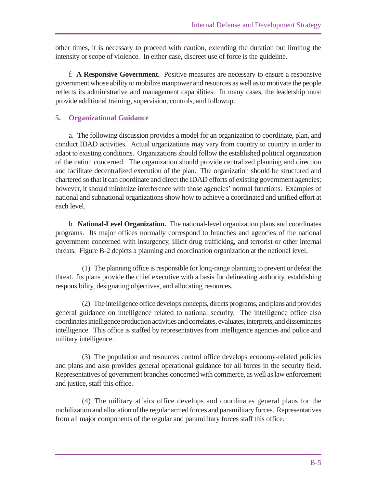other times, it is necessary to proceed with caution, extending the duration but limiting the intensity or scope of violence. In either case, discreet use of force is the guideline.

f. **A Responsive Government.** Positive measures are necessary to ensure a responsive government whose ability to mobilize manpower and resources as well as to motivate the people reflects its administrative and management capabilities. In many cases, the leadership must provide additional training, supervision, controls, and followup.

# **5. Organizational Guidance**

a. The following discussion provides a model for an organization to coordinate, plan, and conduct IDAD activities. Actual organizations may vary from country to country in order to adapt to existing conditions. Organizations should follow the established political organization of the nation concerned. The organization should provide centralized planning and direction and facilitate decentralized execution of the plan. The organization should be structured and chartered so that it can coordinate and direct the IDAD efforts of existing government agencies; however, it should minimize interference with those agencies' normal functions. Examples of national and subnational organizations show how to achieve a coordinated and unified effort at each level.

b. **National-Level Organization.** The national-level organization plans and coordinates programs. Its major offices normally correspond to branches and agencies of the national government concerned with insurgency, illicit drug trafficking, and terrorist or other internal threats. Figure B-2 depicts a planning and coordination organization at the national level.

(1) The planning office is responsible for long-range planning to prevent or defeat the threat. Its plans provide the chief executive with a basis for delineating authority, establishing responsibility, designating objectives, and allocating resources.

(2) The intelligence office develops concepts, directs programs, and plans and provides general guidance on intelligence related to national security. The intelligence office also coordinates intelligence production activities and correlates, evaluates, interprets, and disseminates intelligence. This office is staffed by representatives from intelligence agencies and police and military intelligence.

(3) The population and resources control office develops economy-related policies and plans and also provides general operational guidance for all forces in the security field. Representatives of government branches concerned with commerce, as well as law enforcement and justice, staff this office.

(4) The military affairs office develops and coordinates general plans for the mobilization and allocation of the regular armed forces and paramilitary forces. Representatives from all major components of the regular and paramilitary forces staff this office.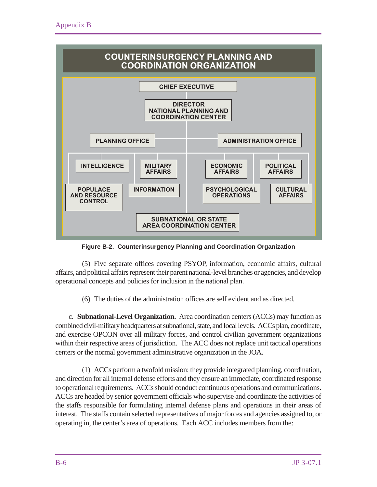

**Figure B-2. Counterinsurgency Planning and Coordination Organization**

(5) Five separate offices covering PSYOP, information, economic affairs, cultural affairs, and political affairs represent their parent national-level branches or agencies, and develop operational concepts and policies for inclusion in the national plan.

(6) The duties of the administration offices are self evident and as directed.

c. **Subnational-Level Organization.** Area coordination centers (ACCs) may function as combined civil-military headquarters at subnational, state, and local levels. ACCs plan, coordinate, and exercise OPCON over all military forces, and control civilian government organizations within their respective areas of jurisdiction. The ACC does not replace unit tactical operations centers or the normal government administrative organization in the JOA.

(1) ACCs perform a twofold mission: they provide integrated planning, coordination, and direction for all internal defense efforts and they ensure an immediate, coordinated response to operational requirements. ACCs should conduct continuous operations and communications. ACCs are headed by senior government officials who supervise and coordinate the activities of the staffs responsible for formulating internal defense plans and operations in their areas of interest. The staffs contain selected representatives of major forces and agencies assigned to, or operating in, the center's area of operations. Each ACC includes members from the: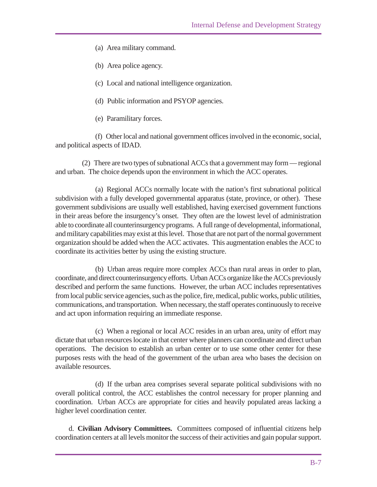- (a) Area military command.
- (b) Area police agency.
- (c) Local and national intelligence organization.
- (d) Public information and PSYOP agencies.
- (e) Paramilitary forces.

(f) Other local and national government offices involved in the economic, social, and political aspects of IDAD.

(2) There are two types of subnational ACCs that a government may form — regional and urban. The choice depends upon the environment in which the ACC operates.

(a) Regional ACCs normally locate with the nation's first subnational political subdivision with a fully developed governmental apparatus (state, province, or other). These government subdivisions are usually well established, having exercised government functions in their areas before the insurgency's onset. They often are the lowest level of administration able to coordinate all counterinsurgency programs. A full range of developmental, informational, and military capabilities may exist at this level. Those that are not part of the normal government organization should be added when the ACC activates. This augmentation enables the ACC to coordinate its activities better by using the existing structure.

(b) Urban areas require more complex ACCs than rural areas in order to plan, coordinate, and direct counterinsurgency efforts. Urban ACCs organize like the ACCs previously described and perform the same functions. However, the urban ACC includes representatives from local public service agencies, such as the police, fire, medical, public works, public utilities, communications, and transportation. When necessary, the staff operates continuously to receive and act upon information requiring an immediate response.

(c) When a regional or local ACC resides in an urban area, unity of effort may dictate that urban resources locate in that center where planners can coordinate and direct urban operations. The decision to establish an urban center or to use some other center for these purposes rests with the head of the government of the urban area who bases the decision on available resources.

(d) If the urban area comprises several separate political subdivisions with no overall political control, the ACC establishes the control necessary for proper planning and coordination. Urban ACCs are appropriate for cities and heavily populated areas lacking a higher level coordination center.

d. **Civilian Advisory Committees.** Committees composed of influential citizens help coordination centers at all levels monitor the success of their activities and gain popular support.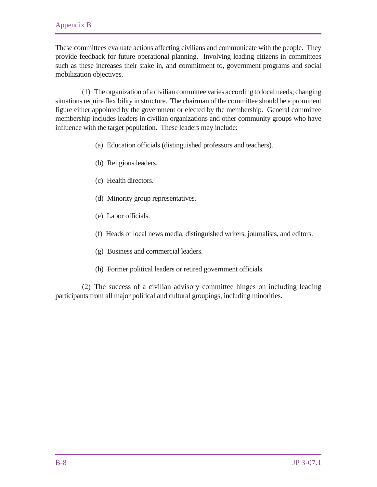These committees evaluate actions affecting civilians and communicate with the people. They provide feedback for future operational planning. Involving leading citizens in committees such as these increases their stake in, and commitment to, government programs and social mobilization objectives.

(1) The organization of a civilian committee varies according to local needs; changing situations require flexibility in structure. The chairman of the committee should be a prominent figure either appointed by the government or elected by the membership. General committee membership includes leaders in civilian organizations and other community groups who have influence with the target population. These leaders may include:

- (a) Education officials (distinguished professors and teachers).
- (b) Religious leaders.
- (c) Health directors.
- (d) Minority group representatives.
- (e) Labor officials.
- (f) Heads of local news media, distinguished writers, journalists, and editors.
- (g) Business and commercial leaders.
- (h) Former political leaders or retired government officials.

(2) The success of a civilian advisory committee hinges on including leading participants from all major political and cultural groupings, including minorities.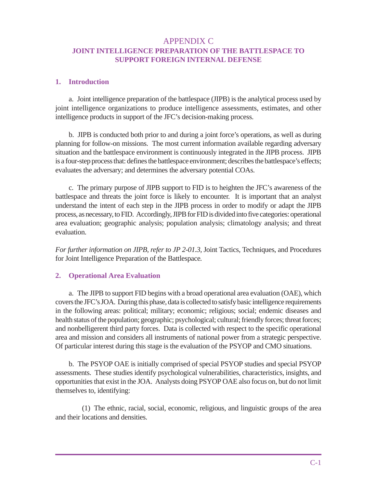# APPENDIX C **JOINT INTELLIGENCE PREPARATION OF THE BATTLESPACE TO SUPPORT FOREIGN INTERNAL DEFENSE**

#### **1. Introduction**

a. Joint intelligence preparation of the battlespace (JIPB) is the analytical process used by joint intelligence organizations to produce intelligence assessments, estimates, and other intelligence products in support of the JFC's decision-making process.

b. JIPB is conducted both prior to and during a joint force's operations, as well as during planning for follow-on missions. The most current information available regarding adversary situation and the battlespace environment is continuously integrated in the JIPB process. JIPB is a four-step process that: defines the battlespace environment; describes the battlespace's effects; evaluates the adversary; and determines the adversary potential COAs.

c. The primary purpose of JIPB support to FID is to heighten the JFC's awareness of the battlespace and threats the joint force is likely to encounter. It is important that an analyst understand the intent of each step in the JIPB process in order to modify or adapt the JIPB process, as necessary, to FID. Accordingly, JIPB for FID is divided into five categories: operational area evaluation; geographic analysis; population analysis; climatology analysis; and threat evaluation.

*For further information on JIPB, refer to JP 2-01.3,* Joint Tactics, Techniques, and Procedures for Joint Intelligence Preparation of the Battlespace*.*

### **2. Operational Area Evaluation**

a. The JIPB to support FID begins with a broad operational area evaluation (OAE), which covers the JFC's JOA. During this phase, data is collected to satisfy basic intelligence requirements in the following areas: political; military; economic; religious; social; endemic diseases and health status of the population; geographic; psychological; cultural; friendly forces; threat forces; and nonbelligerent third party forces. Data is collected with respect to the specific operational area and mission and considers all instruments of national power from a strategic perspective. Of particular interest during this stage is the evaluation of the PSYOP and CMO situations.

b. The PSYOP OAE is initially comprised of special PSYOP studies and special PSYOP assessments. These studies identify psychological vulnerabilities, characteristics, insights, and opportunities that exist in the JOA. Analysts doing PSYOP OAE also focus on, but do not limit themselves to, identifying:

(1) The ethnic, racial, social, economic, religious, and linguistic groups of the area and their locations and densities.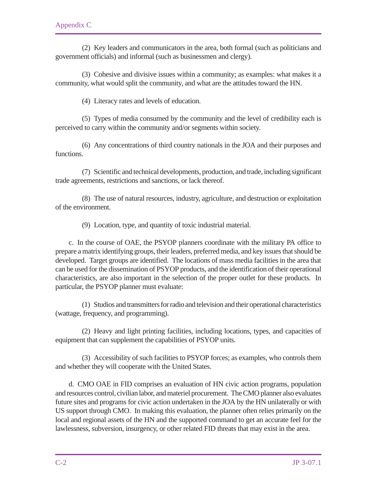(2) Key leaders and communicators in the area, both formal (such as politicians and government officials) and informal (such as businessmen and clergy).

(3) Cohesive and divisive issues within a community; as examples: what makes it a community, what would split the community, and what are the attitudes toward the HN.

(4) Literacy rates and levels of education.

(5) Types of media consumed by the community and the level of credibility each is perceived to carry within the community and/or segments within society.

(6) Any concentrations of third country nationals in the JOA and their purposes and functions.

(7) Scientific and technical developments, production, and trade, including significant trade agreements, restrictions and sanctions, or lack thereof.

(8) The use of natural resources, industry, agriculture, and destruction or exploitation of the environment.

(9) Location, type, and quantity of toxic industrial material.

c. In the course of OAE, the PSYOP planners coordinate with the military PA office to prepare a matrix identifying groups, their leaders, preferred media, and key issues that should be developed. Target groups are identified. The locations of mass media facilities in the area that can be used for the dissemination of PSYOP products, and the identification of their operational characteristics, are also important in the selection of the proper outlet for these products. In particular, the PSYOP planner must evaluate:

(1) Studios and transmitters for radio and television and their operational characteristics (wattage, frequency, and programming).

(2) Heavy and light printing facilities, including locations, types, and capacities of equipment that can supplement the capabilities of PSYOP units.

(3) Accessibility of such facilities to PSYOP forces; as examples, who controls them and whether they will cooperate with the United States.

d. CMO OAE in FID comprises an evaluation of HN civic action programs, population and resources control, civilian labor, and materiel procurement. The CMO planner also evaluates future sites and programs for civic action undertaken in the JOA by the HN unilaterally or with US support through CMO. In making this evaluation, the planner often relies primarily on the local and regional assets of the HN and the supported command to get an accurate feel for the lawlessness, subversion, insurgency, or other related FID threats that may exist in the area.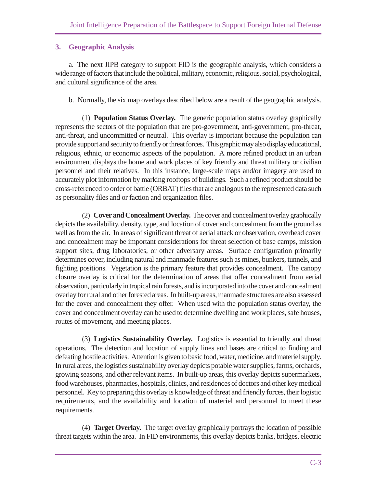# **3. Geographic Analysis**

a. The next JIPB category to support FID is the geographic analysis, which considers a wide range of factors that include the political, military, economic, religious, social, psychological, and cultural significance of the area.

b. Normally, the six map overlays described below are a result of the geographic analysis.

(1) **Population Status Overlay.** The generic population status overlay graphically represents the sectors of the population that are pro-government, anti-government, pro-threat, anti-threat, and uncommitted or neutral. This overlay is important because the population can provide support and security to friendly or threat forces. This graphic may also display educational, religious, ethnic, or economic aspects of the population. A more refined product in an urban environment displays the home and work places of key friendly and threat military or civilian personnel and their relatives. In this instance, large-scale maps and/or imagery are used to accurately plot information by marking rooftops of buildings. Such a refined product should be cross-referenced to order of battle (ORBAT) files that are analogous to the represented data such as personality files and or faction and organization files.

(2) **Cover and Concealment Overlay.** The cover and concealment overlay graphically depicts the availability, density, type, and location of cover and concealment from the ground as well as from the air. In areas of significant threat of aerial attack or observation, overhead cover and concealment may be important considerations for threat selection of base camps, mission support sites, drug laboratories, or other adversary areas. Surface configuration primarily determines cover, including natural and manmade features such as mines, bunkers, tunnels, and fighting positions. Vegetation is the primary feature that provides concealment. The canopy closure overlay is critical for the determination of areas that offer concealment from aerial observation, particularly in tropical rain forests, and is incorporated into the cover and concealment overlay for rural and other forested areas. In built-up areas, manmade structures are also assessed for the cover and concealment they offer. When used with the population status overlay, the cover and concealment overlay can be used to determine dwelling and work places, safe houses, routes of movement, and meeting places.

(3) **Logistics Sustainability Overlay.** Logistics is essential to friendly and threat operations. The detection and location of supply lines and bases are critical to finding and defeating hostile activities. Attention is given to basic food, water, medicine, and materiel supply. In rural areas, the logistics sustainability overlay depicts potable water supplies, farms, orchards, growing seasons, and other relevant items. In built-up areas, this overlay depicts supermarkets, food warehouses, pharmacies, hospitals, clinics, and residences of doctors and other key medical personnel. Key to preparing this overlay is knowledge of threat and friendly forces, their logistic requirements, and the availability and location of materiel and personnel to meet these requirements.

(4) **Target Overlay.** The target overlay graphically portrays the location of possible threat targets within the area. In FID environments, this overlay depicts banks, bridges, electric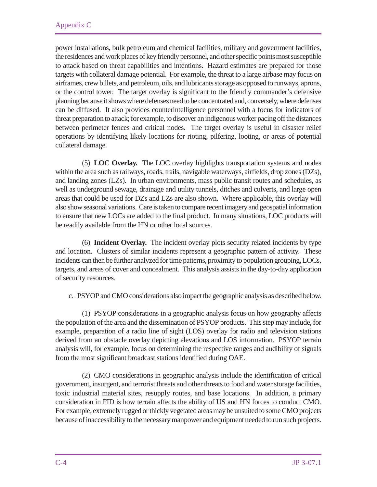power installations, bulk petroleum and chemical facilities, military and government facilities, the residences and work places of key friendly personnel, and other specific points most susceptible to attack based on threat capabilities and intentions. Hazard estimates are prepared for those targets with collateral damage potential. For example, the threat to a large airbase may focus on airframes, crew billets, and petroleum, oils, and lubricants storage as opposed to runways, aprons, or the control tower. The target overlay is significant to the friendly commander's defensive planning because it shows where defenses need to be concentrated and, conversely, where defenses can be diffused. It also provides counterintelligence personnel with a focus for indicators of threat preparation to attack; for example, to discover an indigenous worker pacing off the distances between perimeter fences and critical nodes. The target overlay is useful in disaster relief operations by identifying likely locations for rioting, pilfering, looting, or areas of potential collateral damage.

(5) **LOC Overlay.** The LOC overlay highlights transportation systems and nodes within the area such as railways, roads, trails, navigable waterways, airfields, drop zones (DZs), and landing zones (LZs). In urban environments, mass public transit routes and schedules, as well as underground sewage, drainage and utility tunnels, ditches and culverts, and large open areas that could be used for DZs and LZs are also shown. Where applicable, this overlay will also show seasonal variations. Care is taken to compare recent imagery and geospatial information to ensure that new LOCs are added to the final product. In many situations, LOC products will be readily available from the HN or other local sources.

(6) **Incident Overlay.** The incident overlay plots security related incidents by type and location. Clusters of similar incidents represent a geographic pattern of activity. These incidents can then be further analyzed for time patterns, proximity to population grouping, LOCs, targets, and areas of cover and concealment. This analysis assists in the day-to-day application of security resources.

c. PSYOP and CMO considerations also impact the geographic analysis as described below.

(1) PSYOP considerations in a geographic analysis focus on how geography affects the population of the area and the dissemination of PSYOP products. This step may include, for example, preparation of a radio line of sight (LOS) overlay for radio and television stations derived from an obstacle overlay depicting elevations and LOS information. PSYOP terrain analysis will, for example, focus on determining the respective ranges and audibility of signals from the most significant broadcast stations identified during OAE.

(2) CMO considerations in geographic analysis include the identification of critical government, insurgent, and terrorist threats and other threats to food and water storage facilities, toxic industrial material sites, resupply routes, and base locations. In addition, a primary consideration in FID is how terrain affects the ability of US and HN forces to conduct CMO. For example, extremely rugged or thickly vegetated areas may be unsuited to some CMO projects because of inaccessibility to the necessary manpower and equipment needed to run such projects.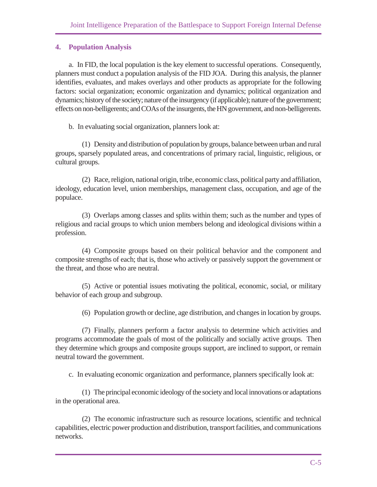# **4. Population Analysis**

a. In FID, the local population is the key element to successful operations. Consequently, planners must conduct a population analysis of the FID JOA. During this analysis, the planner identifies, evaluates, and makes overlays and other products as appropriate for the following factors: social organization; economic organization and dynamics; political organization and dynamics; history of the society; nature of the insurgency (if applicable); nature of the government; effects on non-belligerents; and COAs of the insurgents, the HN government, and non-belligerents.

b. In evaluating social organization, planners look at:

(1) Density and distribution of population by groups, balance between urban and rural groups, sparsely populated areas, and concentrations of primary racial, linguistic, religious, or cultural groups.

(2) Race, religion, national origin, tribe, economic class, political party and affiliation, ideology, education level, union memberships, management class, occupation, and age of the populace.

(3) Overlaps among classes and splits within them; such as the number and types of religious and racial groups to which union members belong and ideological divisions within a profession.

(4) Composite groups based on their political behavior and the component and composite strengths of each; that is, those who actively or passively support the government or the threat, and those who are neutral.

(5) Active or potential issues motivating the political, economic, social, or military behavior of each group and subgroup.

(6) Population growth or decline, age distribution, and changes in location by groups.

(7) Finally, planners perform a factor analysis to determine which activities and programs accommodate the goals of most of the politically and socially active groups. Then they determine which groups and composite groups support, are inclined to support, or remain neutral toward the government.

c. In evaluating economic organization and performance, planners specifically look at:

(1) The principal economic ideology of the society and local innovations or adaptations in the operational area.

(2) The economic infrastructure such as resource locations, scientific and technical capabilities, electric power production and distribution, transport facilities, and communications networks.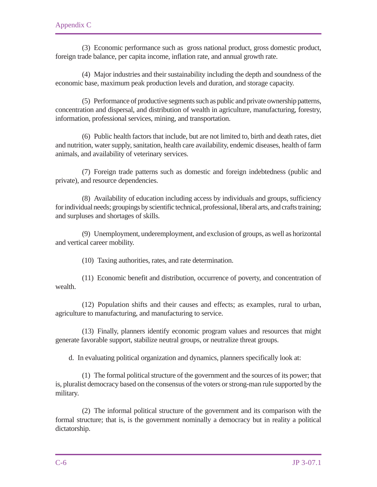(3) Economic performance such as gross national product, gross domestic product, foreign trade balance, per capita income, inflation rate, and annual growth rate.

(4) Major industries and their sustainability including the depth and soundness of the economic base, maximum peak production levels and duration, and storage capacity.

(5) Performance of productive segments such as public and private ownership patterns, concentration and dispersal, and distribution of wealth in agriculture, manufacturing, forestry, information, professional services, mining, and transportation.

(6) Public health factors that include, but are not limited to, birth and death rates, diet and nutrition, water supply, sanitation, health care availability, endemic diseases, health of farm animals, and availability of veterinary services.

(7) Foreign trade patterns such as domestic and foreign indebtedness (public and private), and resource dependencies.

(8) Availability of education including access by individuals and groups, sufficiency for individual needs; groupings by scientific technical, professional, liberal arts, and crafts training; and surpluses and shortages of skills.

(9) Unemployment, underemployment, and exclusion of groups, as well as horizontal and vertical career mobility.

(10) Taxing authorities, rates, and rate determination.

(11) Economic benefit and distribution, occurrence of poverty, and concentration of wealth.

(12) Population shifts and their causes and effects; as examples, rural to urban, agriculture to manufacturing, and manufacturing to service.

(13) Finally, planners identify economic program values and resources that might generate favorable support, stabilize neutral groups, or neutralize threat groups.

d. In evaluating political organization and dynamics, planners specifically look at:

(1) The formal political structure of the government and the sources of its power; that is, pluralist democracy based on the consensus of the voters or strong-man rule supported by the military.

(2) The informal political structure of the government and its comparison with the formal structure; that is, is the government nominally a democracy but in reality a political dictatorship.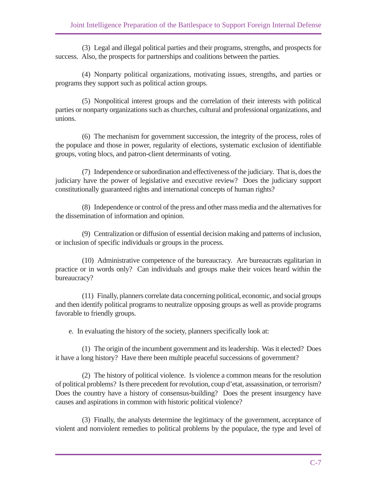(3) Legal and illegal political parties and their programs, strengths, and prospects for success. Also, the prospects for partnerships and coalitions between the parties.

(4) Nonparty political organizations, motivating issues, strengths, and parties or programs they support such as political action groups.

(5) Nonpolitical interest groups and the correlation of their interests with political parties or nonparty organizations such as churches, cultural and professional organizations, and unions.

(6) The mechanism for government succession, the integrity of the process, roles of the populace and those in power, regularity of elections, systematic exclusion of identifiable groups, voting blocs, and patron-client determinants of voting.

(7) Independence or subordination and effectiveness of the judiciary. That is, does the judiciary have the power of legislative and executive review? Does the judiciary support constitutionally guaranteed rights and international concepts of human rights?

(8) Independence or control of the press and other mass media and the alternatives for the dissemination of information and opinion.

(9) Centralization or diffusion of essential decision making and patterns of inclusion, or inclusion of specific individuals or groups in the process.

(10) Administrative competence of the bureaucracy. Are bureaucrats egalitarian in practice or in words only? Can individuals and groups make their voices heard within the bureaucracy?

(11) Finally, planners correlate data concerning political, economic, and social groups and then identify political programs to neutralize opposing groups as well as provide programs favorable to friendly groups.

e. In evaluating the history of the society, planners specifically look at:

(1) The origin of the incumbent government and its leadership. Was it elected? Does it have a long history? Have there been multiple peaceful successions of government?

(2) The history of political violence. Is violence a common means for the resolution of political problems? Is there precedent for revolution, coup d'etat, assassination, or terrorism? Does the country have a history of consensus-building? Does the present insurgency have causes and aspirations in common with historic political violence?

(3) Finally, the analysts determine the legitimacy of the government, acceptance of violent and nonviolent remedies to political problems by the populace, the type and level of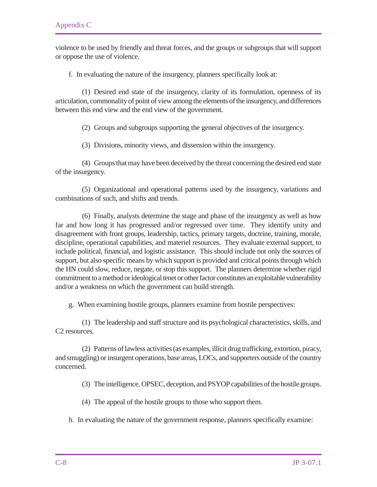violence to be used by friendly and threat forces, and the groups or subgroups that will support or oppose the use of violence.

f. In evaluating the nature of the insurgency, planners specifically look at:

(1) Desired end state of the insurgency, clarity of its formulation, openness of its articulation, commonality of point of view among the elements of the insurgency, and differences between this end view and the end view of the government.

(2) Groups and subgroups supporting the general objectives of the insurgency.

(3) Divisions, minority views, and dissension within the insurgency.

(4) Groups that may have been deceived by the threat concerning the desired end state of the insurgency.

(5) Organizational and operational patterns used by the insurgency, variations and combinations of such, and shifts and trends.

(6) Finally, analysts determine the stage and phase of the insurgency as well as how far and how long it has progressed and/or regressed over time. They identify unity and disagreement with front groups, leadership, tactics, primary targets, doctrine, training, morale, discipline, operational capabilities, and materiel resources. They evaluate external support, to include political, financial, and logistic assistance. This should include not only the sources of support, but also specific means by which support is provided and critical points through which the HN could slow, reduce, negate, or stop this support. The planners determine whether rigid commitment to a method or ideological tenet or other factor constitutes an exploitable vulnerability and/or a weakness on which the government can build strength.

g. When examining hostile groups, planners examine from hostile perspectives:

(1) The leadership and staff structure and its psychological characteristics, skills, and C2 resources.

(2) Patterns of lawless activities (as examples, illicit drug trafficking, extortion, piracy, and smuggling) or insurgent operations, base areas, LOCs, and supporters outside of the country concerned.

(3) The intelligence, OPSEC, deception, and PSYOP capabilities of the hostile groups.

- (4) The appeal of the hostile groups to those who support them.
- h. In evaluating the nature of the government response, planners specifically examine: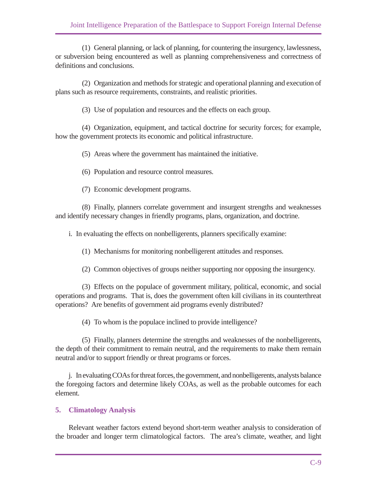(1) General planning, or lack of planning, for countering the insurgency, lawlessness, or subversion being encountered as well as planning comprehensiveness and correctness of definitions and conclusions.

(2) Organization and methods for strategic and operational planning and execution of plans such as resource requirements, constraints, and realistic priorities.

(3) Use of population and resources and the effects on each group.

(4) Organization, equipment, and tactical doctrine for security forces; for example, how the government protects its economic and political infrastructure.

(5) Areas where the government has maintained the initiative.

(6) Population and resource control measures.

(7) Economic development programs.

(8) Finally, planners correlate government and insurgent strengths and weaknesses and identify necessary changes in friendly programs, plans, organization, and doctrine.

i. In evaluating the effects on nonbelligerents, planners specifically examine:

(1) Mechanisms for monitoring nonbelligerent attitudes and responses.

(2) Common objectives of groups neither supporting nor opposing the insurgency.

(3) Effects on the populace of government military, political, economic, and social operations and programs. That is, does the government often kill civilians in its counterthreat operations? Are benefits of government aid programs evenly distributed?

(4) To whom is the populace inclined to provide intelligence?

(5) Finally, planners determine the strengths and weaknesses of the nonbelligerents, the depth of their commitment to remain neutral, and the requirements to make them remain neutral and/or to support friendly or threat programs or forces.

j. In evaluating COAs for threat forces, the government, and nonbelligerents, analysts balance the foregoing factors and determine likely COAs, as well as the probable outcomes for each element.

# **5. Climatology Analysis**

Relevant weather factors extend beyond short-term weather analysis to consideration of the broader and longer term climatological factors. The area's climate, weather, and light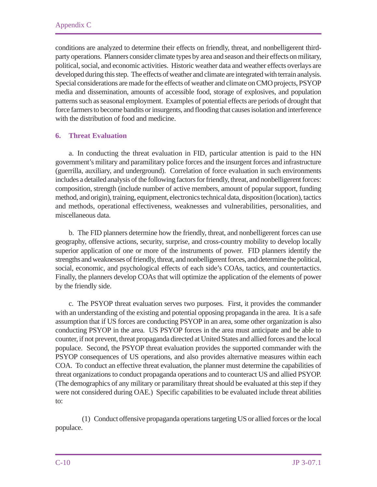conditions are analyzed to determine their effects on friendly, threat, and nonbelligerent thirdparty operations. Planners consider climate types by area and season and their effects on military, political, social, and economic activities. Historic weather data and weather effects overlays are developed during this step. The effects of weather and climate are integrated with terrain analysis. Special considerations are made for the effects of weather and climate on CMO projects, PSYOP media and dissemination, amounts of accessible food, storage of explosives, and population patterns such as seasonal employment. Examples of potential effects are periods of drought that force farmers to become bandits or insurgents, and flooding that causes isolation and interference with the distribution of food and medicine.

# **6. Threat Evaluation**

a. In conducting the threat evaluation in FID, particular attention is paid to the HN government's military and paramilitary police forces and the insurgent forces and infrastructure (guerrilla, auxiliary, and underground). Correlation of force evaluation in such environments includes a detailed analysis of the following factors for friendly, threat, and nonbelligerent forces: composition, strength (include number of active members, amount of popular support, funding method, and origin), training, equipment, electronics technical data, disposition (location), tactics and methods, operational effectiveness, weaknesses and vulnerabilities, personalities, and miscellaneous data.

b. The FID planners determine how the friendly, threat, and nonbelligerent forces can use geography, offensive actions, security, surprise, and cross-country mobility to develop locally superior application of one or more of the instruments of power. FID planners identify the strengths and weaknesses of friendly, threat, and nonbelligerent forces, and determine the political, social, economic, and psychological effects of each side's COAs, tactics, and countertactics. Finally, the planners develop COAs that will optimize the application of the elements of power by the friendly side.

c. The PSYOP threat evaluation serves two purposes. First, it provides the commander with an understanding of the existing and potential opposing propaganda in the area. It is a safe assumption that if US forces are conducting PSYOP in an area, some other organization is also conducting PSYOP in the area. US PSYOP forces in the area must anticipate and be able to counter, if not prevent, threat propaganda directed at United States and allied forces and the local populace. Second, the PSYOP threat evaluation provides the supported commander with the PSYOP consequences of US operations, and also provides alternative measures within each COA. To conduct an effective threat evaluation, the planner must determine the capabilities of threat organizations to conduct propaganda operations and to counteract US and allied PSYOP. (The demographics of any military or paramilitary threat should be evaluated at this step if they were not considered during OAE.) Specific capabilities to be evaluated include threat abilities to:

(1) Conduct offensive propaganda operations targeting US or allied forces or the local populace.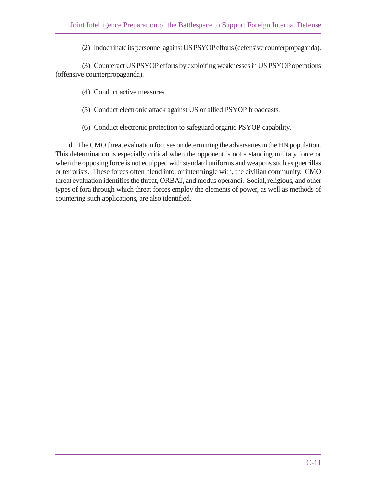(2) Indoctrinate its personnel against US PSYOP efforts (defensive counterpropaganda).

(3) Counteract US PSYOP efforts by exploiting weaknesses in US PSYOP operations (offensive counterpropaganda).

- (4) Conduct active measures.
- (5) Conduct electronic attack against US or allied PSYOP broadcasts.
- (6) Conduct electronic protection to safeguard organic PSYOP capability.

d. The CMO threat evaluation focuses on determining the adversaries in the HN population. This determination is especially critical when the opponent is not a standing military force or when the opposing force is not equipped with standard uniforms and weapons such as guerrillas or terrorists. These forces often blend into, or intermingle with, the civilian community. CMO threat evaluation identifies the threat, ORBAT, and modus operandi. Social, religious, and other types of fora through which threat forces employ the elements of power, as well as methods of countering such applications, are also identified.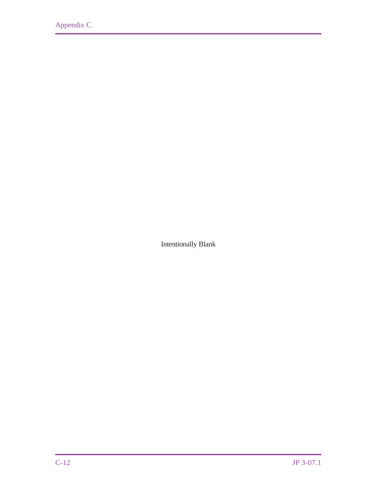Intentionally Blank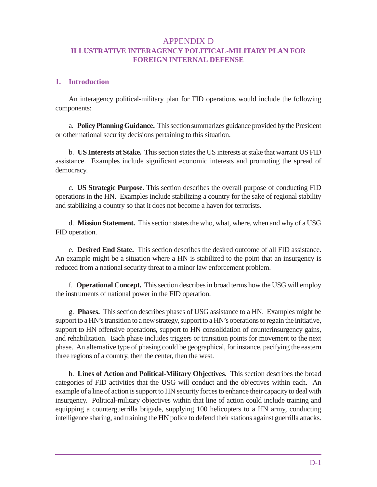## APPENDIX D **ILLUSTRATIVE INTERAGENCY POLITICAL-MILITARY PLAN FOR FOREIGN INTERNAL DEFENSE**

#### **1. Introduction**

An interagency political-military plan for FID operations would include the following components:

a. **Policy Planning Guidance.** This section summarizes guidance provided by the President or other national security decisions pertaining to this situation.

b. **US Interests at Stake.** This section states the US interests at stake that warrant US FID assistance. Examples include significant economic interests and promoting the spread of democracy.

c. **US Strategic Purpose.** This section describes the overall purpose of conducting FID operations in the HN. Examples include stabilizing a country for the sake of regional stability and stabilizing a country so that it does not become a haven for terrorists.

d. **Mission Statement.** This section states the who, what, where, when and why of a USG FID operation.

e. **Desired End State.** This section describes the desired outcome of all FID assistance. An example might be a situation where a HN is stabilized to the point that an insurgency is reduced from a national security threat to a minor law enforcement problem.

f. **Operational Concept.** This section describes in broad terms how the USG will employ the instruments of national power in the FID operation.

g. **Phases.** This section describes phases of USG assistance to a HN. Examples might be support to a HN's transition to a new strategy, support to a HN's operations to regain the initiative, support to HN offensive operations, support to HN consolidation of counterinsurgency gains, and rehabilitation. Each phase includes triggers or transition points for movement to the next phase. An alternative type of phasing could be geographical, for instance, pacifying the eastern three regions of a country, then the center, then the west.

h. **Lines of Action and Political-Military Objectives.** This section describes the broad categories of FID activities that the USG will conduct and the objectives within each. An example of a line of action is support to HN security forces to enhance their capacity to deal with insurgency. Political-military objectives within that line of action could include training and equipping a counterguerrilla brigade, supplying 100 helicopters to a HN army, conducting intelligence sharing, and training the HN police to defend their stations against guerrilla attacks.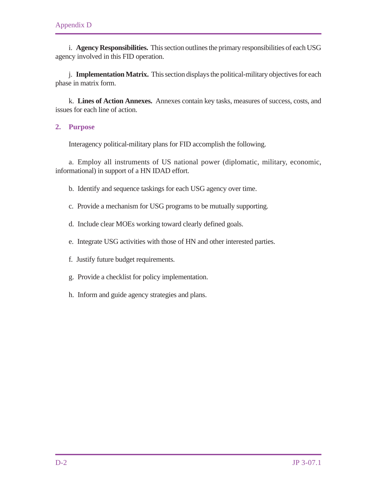i. **Agency Responsibilities.** This section outlines the primary responsibilities of each USG agency involved in this FID operation.

j. **Implementation Matrix.** This section displays the political-military objectives for each phase in matrix form.

k. **Lines of Action Annexes.** Annexes contain key tasks, measures of success, costs, and issues for each line of action.

# **2. Purpose**

Interagency political-military plans for FID accomplish the following.

a. Employ all instruments of US national power (diplomatic, military, economic, informational) in support of a HN IDAD effort.

- b. Identify and sequence taskings for each USG agency over time.
- c. Provide a mechanism for USG programs to be mutually supporting.
- d. Include clear MOEs working toward clearly defined goals.
- e. Integrate USG activities with those of HN and other interested parties.
- f. Justify future budget requirements.
- g. Provide a checklist for policy implementation.
- h. Inform and guide agency strategies and plans.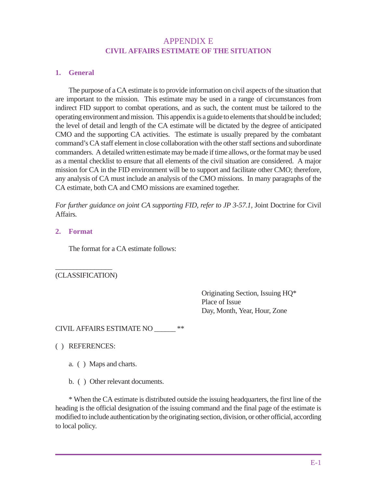# APPENDIX E **CIVIL AFFAIRS ESTIMATE OF THE SITUATION**

#### **1. General**

The purpose of a CA estimate is to provide information on civil aspects of the situation that are important to the mission. This estimate may be used in a range of circumstances from indirect FID support to combat operations, and as such, the content must be tailored to the operating environment and mission. This appendix is a guide to elements that should be included; the level of detail and length of the CA estimate will be dictated by the degree of anticipated CMO and the supporting CA activities. The estimate is usually prepared by the combatant command's CA staff element in close collaboration with the other staff sections and subordinate commanders. A detailed written estimate may be made if time allows, or the format may be used as a mental checklist to ensure that all elements of the civil situation are considered. A major mission for CA in the FID environment will be to support and facilitate other CMO; therefore, any analysis of CA must include an analysis of the CMO missions. In many paragraphs of the CA estimate, both CA and CMO missions are examined together.

For further guidance on joint CA supporting FID, refer to JP 3-57.1, Joint Doctrine for Civil Affairs*.*

#### **2. Format**

The format for a CA estimate follows:

 $\overline{\phantom{a}}$  , where  $\overline{\phantom{a}}$ (CLASSIFICATION)

> Originating Section, Issuing HQ\* Place of Issue Day, Month, Year, Hour, Zone

CIVIL AFFAIRS ESTIMATE NO \_\_\_\_\_\_ \*\*

( ) REFERENCES:

a. ( ) Maps and charts.

b. ( ) Other relevant documents.

\* When the CA estimate is distributed outside the issuing headquarters, the first line of the heading is the official designation of the issuing command and the final page of the estimate is modified to include authentication by the originating section, division, or other official, according to local policy.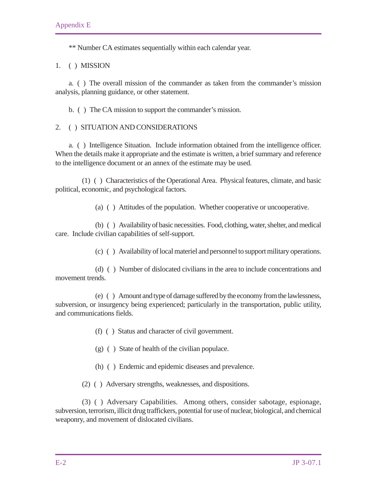\*\* Number CA estimates sequentially within each calendar year.

1. ( ) MISSION

a. ( ) The overall mission of the commander as taken from the commander's mission analysis, planning guidance, or other statement.

b. ( ) The CA mission to support the commander's mission.

# 2. ( ) SITUATION AND CONSIDERATIONS

a. ( ) Intelligence Situation. Include information obtained from the intelligence officer. When the details make it appropriate and the estimate is written, a brief summary and reference to the intelligence document or an annex of the estimate may be used.

(1) ( ) Characteristics of the Operational Area. Physical features, climate, and basic political, economic, and psychological factors.

(a) ( ) Attitudes of the population. Whether cooperative or uncooperative.

(b) ( ) Availability of basic necessities. Food, clothing, water, shelter, and medical care. Include civilian capabilities of self-support.

(c) ( ) Availability of local materiel and personnel to support military operations.

(d) ( ) Number of dislocated civilians in the area to include concentrations and movement trends.

(e) ( ) Amount and type of damage suffered by the economy from the lawlessness, subversion, or insurgency being experienced; particularly in the transportation, public utility, and communications fields.

(f) ( ) Status and character of civil government.

(g) ( ) State of health of the civilian populace.

(h) ( ) Endemic and epidemic diseases and prevalence.

(2) ( ) Adversary strengths, weaknesses, and dispositions.

(3) ( ) Adversary Capabilities. Among others, consider sabotage, espionage, subversion, terrorism, illicit drug traffickers, potential for use of nuclear, biological, and chemical weaponry, and movement of dislocated civilians.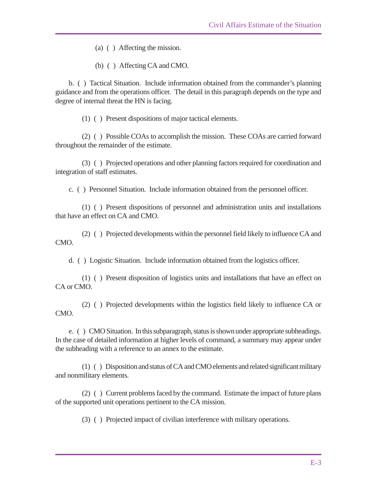(a) ( ) Affecting the mission.

(b) ( ) Affecting CA and CMO.

b. ( ) Tactical Situation. Include information obtained from the commander's planning guidance and from the operations officer. The detail in this paragraph depends on the type and degree of internal threat the HN is facing.

(1) ( ) Present dispositions of major tactical elements.

(2) ( ) Possible COAs to accomplish the mission. These COAs are carried forward throughout the remainder of the estimate.

(3) ( ) Projected operations and other planning factors required for coordination and integration of staff estimates.

c. ( ) Personnel Situation. Include information obtained from the personnel officer.

(1) ( ) Present dispositions of personnel and administration units and installations that have an effect on CA and CMO.

(2) ( ) Projected developments within the personnel field likely to influence CA and CMO.

d. ( ) Logistic Situation. Include information obtained from the logistics officer.

(1) ( ) Present disposition of logistics units and installations that have an effect on CA or CMO.

(2) ( ) Projected developments within the logistics field likely to influence CA or CMO.

e. ( ) CMO Situation. In this subparagraph, status is shown under appropriate subheadings. In the case of detailed information at higher levels of command, a summary may appear under the subheading with a reference to an annex to the estimate.

(1) ( ) Disposition and status of CA and CMO elements and related significant military and nonmilitary elements.

(2) ( ) Current problems faced by the command. Estimate the impact of future plans of the supported unit operations pertinent to the CA mission.

(3) ( ) Projected impact of civilian interference with military operations.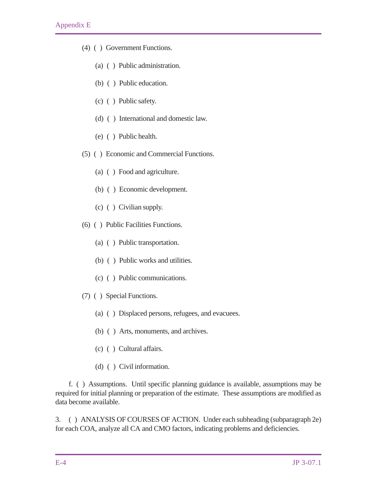- (4) ( ) Government Functions.
	- (a) ( ) Public administration.
	- (b) ( ) Public education.
	- (c) ( ) Public safety.
	- (d) ( ) International and domestic law.
	- (e) ( ) Public health.
- (5) ( ) Economic and Commercial Functions.
	- (a) ( ) Food and agriculture.
	- (b) ( ) Economic development.
	- (c) ( ) Civilian supply.
- (6) ( ) Public Facilities Functions.
	- (a) ( ) Public transportation.
	- (b) ( ) Public works and utilities.
	- (c) ( ) Public communications.
- (7) ( ) Special Functions.
	- (a) ( ) Displaced persons, refugees, and evacuees.
	- (b) ( ) Arts, monuments, and archives.
	- (c) ( ) Cultural affairs.
	- (d) ( ) Civil information.

f. ( ) Assumptions. Until specific planning guidance is available, assumptions may be required for initial planning or preparation of the estimate. These assumptions are modified as data become available.

3. ( ) ANALYSIS OF COURSES OF ACTION. Under each subheading (subparagraph 2e) for each COA, analyze all CA and CMO factors, indicating problems and deficiencies.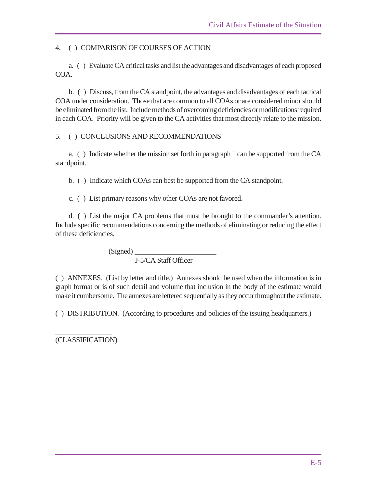## 4. ( ) COMPARISON OF COURSES OF ACTION

a. ( ) Evaluate CA critical tasks and list the advantages and disadvantages of each proposed COA.

b. ( ) Discuss, from the CA standpoint, the advantages and disadvantages of each tactical COA under consideration. Those that are common to all COAs or are considered minor should be eliminated from the list. Include methods of overcoming deficiencies or modifications required in each COA. Priority will be given to the CA activities that most directly relate to the mission.

### 5. ( ) CONCLUSIONS AND RECOMMENDATIONS

a. ( ) Indicate whether the mission set forth in paragraph 1 can be supported from the CA standpoint.

b. ( ) Indicate which COAs can best be supported from the CA standpoint.

c. ( ) List primary reasons why other COAs are not favored.

d. ( ) List the major CA problems that must be brought to the commander's attention. Include specific recommendations concerning the methods of eliminating or reducing the effect of these deficiencies.

 $(Signed)$ 

J-5/CA Staff Officer

( ) ANNEXES. (List by letter and title.) Annexes should be used when the information is in graph format or is of such detail and volume that inclusion in the body of the estimate would make it cumbersome. The annexes are lettered sequentially as they occur throughout the estimate.

( ) DISTRIBUTION. (According to procedures and policies of the issuing headquarters.)

 $\overline{\phantom{a}}$  , where  $\overline{\phantom{a}}$ (CLASSIFICATION)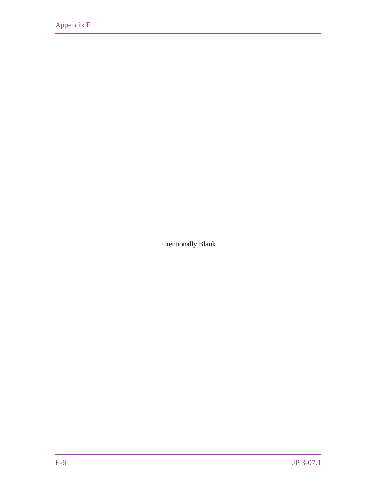Intentionally Blank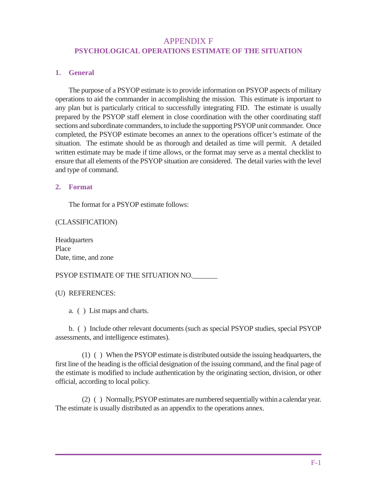# APPENDIX F **PSYCHOLOGICAL OPERATIONS ESTIMATE OF THE SITUATION**

#### **1. General**

The purpose of a PSYOP estimate is to provide information on PSYOP aspects of military operations to aid the commander in accomplishing the mission. This estimate is important to any plan but is particularly critical to successfully integrating FID. The estimate is usually prepared by the PSYOP staff element in close coordination with the other coordinating staff sections and subordinate commanders, to include the supporting PSYOP unit commander. Once completed, the PSYOP estimate becomes an annex to the operations officer's estimate of the situation. The estimate should be as thorough and detailed as time will permit. A detailed written estimate may be made if time allows, or the format may serve as a mental checklist to ensure that all elements of the PSYOP situation are considered. The detail varies with the level and type of command.

#### **2. Format**

The format for a PSYOP estimate follows:

(CLASSIFICATION)

**Headquarters** Place Date, time, and zone

PSYOP ESTIMATE OF THE SITUATION NO.

#### (U) REFERENCES:

a. ( ) List maps and charts.

b. ( ) Include other relevant documents (such as special PSYOP studies, special PSYOP assessments, and intelligence estimates).

(1) ( ) When the PSYOP estimate is distributed outside the issuing headquarters, the first line of the heading is the official designation of the issuing command, and the final page of the estimate is modified to include authentication by the originating section, division, or other official, according to local policy.

(2) ( ) Normally, PSYOP estimates are numbered sequentially within a calendar year. The estimate is usually distributed as an appendix to the operations annex.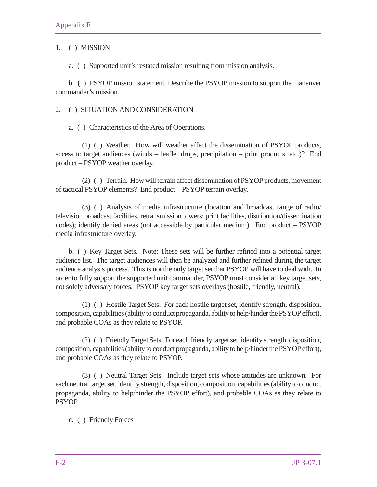1. ( ) MISSION

a. ( ) Supported unit's restated mission resulting from mission analysis.

b. ( ) PSYOP mission statement. Describe the PSYOP mission to support the maneuver commander's mission.

### 2. ( ) SITUATION AND CONSIDERATION

a. ( ) Characteristics of the Area of Operations.

(1) ( ) Weather. How will weather affect the dissemination of PSYOP products, access to target audiences (winds – leaflet drops, precipitation – print products, etc.)? End product – PSYOP weather overlay.

(2) ( ) Terrain. How will terrain affect dissemination of PSYOP products, movement of tactical PSYOP elements? End product – PSYOP terrain overlay.

(3) ( ) Analysis of media infrastructure (location and broadcast range of radio/ television broadcast facilities, retransmission towers; print facilities, distribution/dissemination nodes); identify denied areas (not accessible by particular medium). End product – PSYOP media infrastructure overlay.

b. ( ) Key Target Sets. Note: These sets will be further refined into a potential target audience list. The target audiences will then be analyzed and further refined during the target audience analysis process. This is not the only target set that PSYOP will have to deal with. In order to fully support the supported unit commander, PSYOP must consider all key target sets, not solely adversary forces. PSYOP key target sets overlays (hostile, friendly, neutral).

(1) ( ) Hostile Target Sets. For each hostile target set, identify strength, disposition, composition, capabilities (ability to conduct propaganda, ability to help/hinder the PSYOP effort), and probable COAs as they relate to PSYOP.

(2) ( ) Friendly Target Sets. For each friendly target set, identify strength, disposition, composition, capabilities (ability to conduct propaganda, ability to help/hinder the PSYOP effort), and probable COAs as they relate to PSYOP.

(3) ( ) Neutral Target Sets. Include target sets whose attitudes are unknown. For each neutral target set, identify strength, disposition, composition, capabilities (ability to conduct propaganda, ability to help/hinder the PSYOP effort), and probable COAs as they relate to PSYOP.

c. ( ) Friendly Forces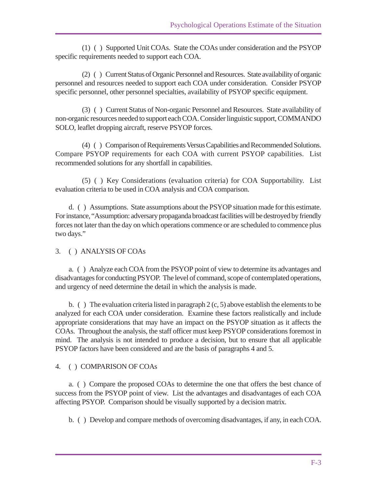(1) ( ) Supported Unit COAs. State the COAs under consideration and the PSYOP specific requirements needed to support each COA.

(2) ( ) Current Status of Organic Personnel and Resources. State availability of organic personnel and resources needed to support each COA under consideration. Consider PSYOP specific personnel, other personnel specialties, availability of PSYOP specific equipment.

(3) ( ) Current Status of Non-organic Personnel and Resources. State availability of non-organic resources needed to support each COA. Consider linguistic support, COMMANDO SOLO, leaflet dropping aircraft, reserve PSYOP forces.

(4) ( ) Comparison of Requirements Versus Capabilities and Recommended Solutions. Compare PSYOP requirements for each COA with current PSYOP capabilities. List recommended solutions for any shortfall in capabilities.

(5) ( ) Key Considerations (evaluation criteria) for COA Supportability. List evaluation criteria to be used in COA analysis and COA comparison.

d. ( ) Assumptions. State assumptions about the PSYOP situation made for this estimate. For instance, "Assumption: adversary propaganda broadcast facilities will be destroyed by friendly forces not later than the day on which operations commence or are scheduled to commence plus two days."

### 3. ( ) ANALYSIS OF COAs

a. ( ) Analyze each COA from the PSYOP point of view to determine its advantages and disadvantages for conducting PSYOP. The level of command, scope of contemplated operations, and urgency of need determine the detail in which the analysis is made.

b. () The evaluation criteria listed in paragraph  $2(c, 5)$  above establish the elements to be analyzed for each COA under consideration. Examine these factors realistically and include appropriate considerations that may have an impact on the PSYOP situation as it affects the COAs. Throughout the analysis, the staff officer must keep PSYOP considerations foremost in mind. The analysis is not intended to produce a decision, but to ensure that all applicable PSYOP factors have been considered and are the basis of paragraphs 4 and 5.

# 4. ( ) COMPARISON OF COAs

a. ( ) Compare the proposed COAs to determine the one that offers the best chance of success from the PSYOP point of view. List the advantages and disadvantages of each COA affecting PSYOP. Comparison should be visually supported by a decision matrix.

b. ( ) Develop and compare methods of overcoming disadvantages, if any, in each COA.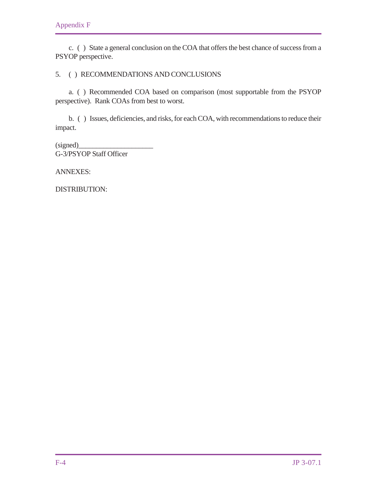c. ( ) State a general conclusion on the COA that offers the best chance of success from a PSYOP perspective.

### 5. ( ) RECOMMENDATIONS AND CONCLUSIONS

a. ( ) Recommended COA based on comparison (most supportable from the PSYOP perspective). Rank COAs from best to worst.

b. ( ) Issues, deficiencies, and risks, for each COA, with recommendations to reduce their impact.

 $(signed)$ G-3/PSYOP Staff Officer

ANNEXES:

DISTRIBUTION: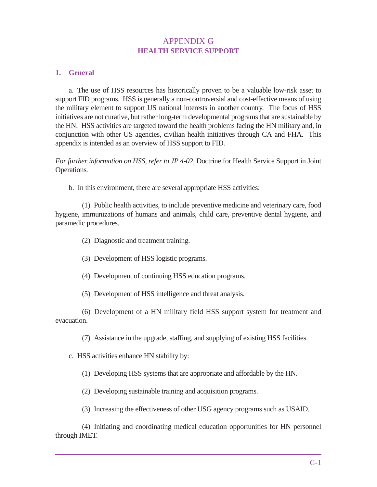# APPENDIX G **HEALTH SERVICE SUPPORT**

#### **1. General**

a. The use of HSS resources has historically proven to be a valuable low-risk asset to support FID programs. HSS is generally a non-controversial and cost-effective means of using the military element to support US national interests in another country. The focus of HSS initiatives are not curative, but rather long-term developmental programs that are sustainable by the HN. HSS activities are targeted toward the health problems facing the HN military and, in conjunction with other US agencies, civilian health initiatives through CA and FHA. This appendix is intended as an overview of HSS support to FID.

*For further information on HSS, refer to JP 4-02,* Doctrine for Health Service Support in Joint Operations*.*

b. In this environment, there are several appropriate HSS activities:

(1) Public health activities, to include preventive medicine and veterinary care, food hygiene, immunizations of humans and animals, child care, preventive dental hygiene, and paramedic procedures.

- (2) Diagnostic and treatment training.
- (3) Development of HSS logistic programs.
- (4) Development of continuing HSS education programs.
- (5) Development of HSS intelligence and threat analysis.

(6) Development of a HN military field HSS support system for treatment and evacuation.

(7) Assistance in the upgrade, staffing, and supplying of existing HSS facilities.

c. HSS activities enhance HN stability by:

(1) Developing HSS systems that are appropriate and affordable by the HN.

(2) Developing sustainable training and acquisition programs.

(3) Increasing the effectiveness of other USG agency programs such as USAID.

(4) Initiating and coordinating medical education opportunities for HN personnel through IMET.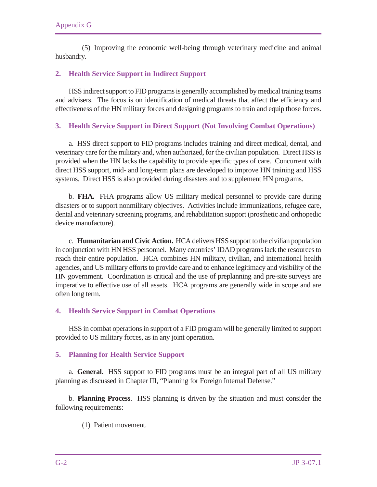(5) Improving the economic well-being through veterinary medicine and animal husbandry.

# **2. Health Service Support in Indirect Support**

HSS indirect support to FID programs is generally accomplished by medical training teams and advisers. The focus is on identification of medical threats that affect the efficiency and effectiveness of the HN military forces and designing programs to train and equip those forces.

## **3. Health Service Support in Direct Support (Not Involving Combat Operations)**

a. HSS direct support to FID programs includes training and direct medical, dental, and veterinary care for the military and, when authorized, for the civilian population. Direct HSS is provided when the HN lacks the capability to provide specific types of care. Concurrent with direct HSS support, mid- and long-term plans are developed to improve HN training and HSS systems. Direct HSS is also provided during disasters and to supplement HN programs.

b. **FHA.** FHA programs allow US military medical personnel to provide care during disasters or to support nonmilitary objectives. Activities include immunizations, refugee care, dental and veterinary screening programs, and rehabilitation support (prosthetic and orthopedic device manufacture).

c. **Humanitarian and Civic Action.** HCA delivers HSS support to the civilian population in conjunction with HN HSS personnel. Many countries' IDAD programs lack the resources to reach their entire population. HCA combines HN military, civilian, and international health agencies, and US military efforts to provide care and to enhance legitimacy and visibility of the HN government. Coordination is critical and the use of preplanning and pre-site surveys are imperative to effective use of all assets. HCA programs are generally wide in scope and are often long term.

### **4. Health Service Support in Combat Operations**

HSS in combat operations in support of a FID program will be generally limited to support provided to US military forces, as in any joint operation.

### **5. Planning for Health Service Support**

a. **General.** HSS support to FID programs must be an integral part of all US military planning as discussed in Chapter III, "Planning for Foreign Internal Defense."

b. **Planning Process**. HSS planning is driven by the situation and must consider the following requirements:

(1) Patient movement.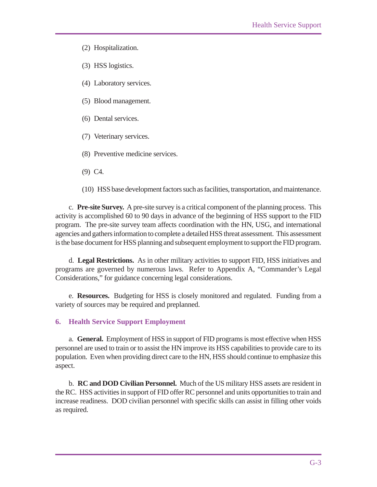- (2) Hospitalization.
- (3) HSS logistics.
- (4) Laboratory services.
- (5) Blood management.
- (6) Dental services.
- (7) Veterinary services.
- (8) Preventive medicine services.
- (9) C4.

(10) HSS base development factors such as facilities, transportation, and maintenance.

c. **Pre-site Survey.** A pre-site survey is a critical component of the planning process. This activity is accomplished 60 to 90 days in advance of the beginning of HSS support to the FID program. The pre-site survey team affects coordination with the HN, USG, and international agencies and gathers information to complete a detailed HSS threat assessment. This assessment is the base document for HSS planning and subsequent employment to support the FID program.

d. **Legal Restrictions.** As in other military activities to support FID, HSS initiatives and programs are governed by numerous laws. Refer to Appendix A, "Commander's Legal Considerations," for guidance concerning legal considerations.

e. **Resources.** Budgeting for HSS is closely monitored and regulated. Funding from a variety of sources may be required and preplanned.

### **6. Health Service Support Employment**

a. **General.** Employment of HSS in support of FID programs is most effective when HSS personnel are used to train or to assist the HN improve its HSS capabilities to provide care to its population. Even when providing direct care to the HN, HSS should continue to emphasize this aspect.

b. **RC and DOD Civilian Personnel.** Much of the US military HSS assets are resident in the RC. HSS activities in support of FID offer RC personnel and units opportunities to train and increase readiness. DOD civilian personnel with specific skills can assist in filling other voids as required.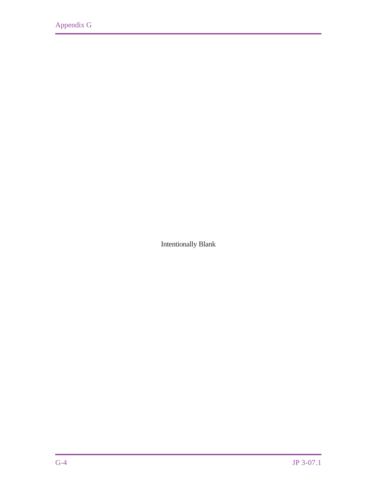Intentionally Blank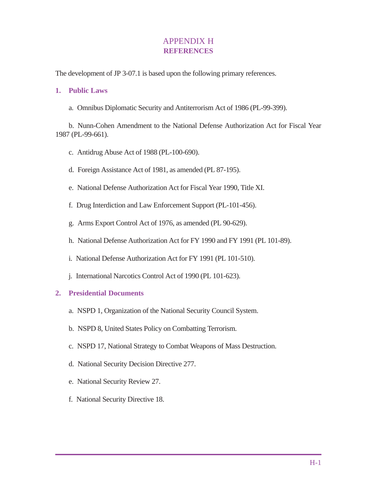## APPENDIX H **REFERENCES**

The development of JP 3-07.1 is based upon the following primary references.

## **1. Public Laws**

a. Omnibus Diplomatic Security and Antiterrorism Act of 1986 (PL-99-399).

b. Nunn-Cohen Amendment to the National Defense Authorization Act for Fiscal Year 1987 (PL-99-661).

- c. Antidrug Abuse Act of 1988 (PL-100-690).
- d. Foreign Assistance Act of 1981, as amended (PL 87-195).
- e. National Defense Authorization Act for Fiscal Year 1990, Title XI.
- f. Drug Interdiction and Law Enforcement Support (PL-101-456).
- g. Arms Export Control Act of 1976, as amended (PL 90-629).
- h. National Defense Authorization Act for FY 1990 and FY 1991 (PL 101-89).
- i. National Defense Authorization Act for FY 1991 (PL 101-510).
- j. International Narcotics Control Act of 1990 (PL 101-623).

## **2. Presidential Documents**

- a. NSPD 1, Organization of the National Security Council System.
- b. NSPD 8, United States Policy on Combatting Terrorism.
- c. NSPD 17, National Strategy to Combat Weapons of Mass Destruction.
- d. National Security Decision Directive 277.
- e. National Security Review 27.
- f. National Security Directive 18.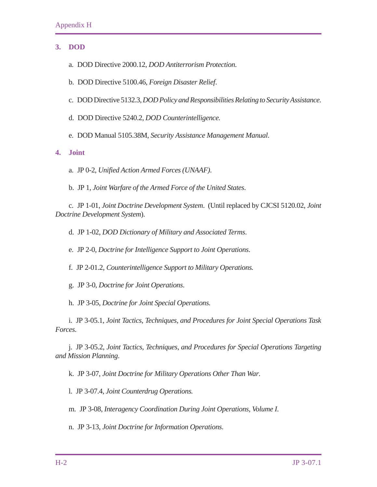### **3. DOD**

- a. DOD Directive 2000.12, *DOD Antiterrorism Protection*.
- b. DOD Directive 5100.46, *Foreign Disaster Relief*.
- c. DOD Directive 5132.3, *DOD Policy and Responsibilities Relating to Security Assistance*.
- d. DOD Directive 5240.2, *DOD Counterintelligence.*
- e. DOD Manual 5105.38M, *Security Assistance Management Manual*.

### **4. Joint**

- a. JP 0-2, *Unified Action Armed Forces (UNAAF)*.
- b. JP 1, *Joint Warfare of the Armed Force of the United States*.

c. JP 1-01, *Joint Doctrine Development System*. (Until replaced by CJCSI 5120.02, *Joint Doctrine Development System*).

d. JP 1-02, *DOD Dictionary of Military and Associated Terms*.

e. JP 2-0, *Doctrine for Intelligence Support to Joint Operations*.

f. JP 2-01.2, *Counterintelligence Support to Military Operations.*

g. JP 3-0, *Doctrine for Joint Operations*.

h. JP 3-05, *Doctrine for Joint Special Operations.*

i. JP 3-05.1, *Joint Tactics, Techniques, and Procedures for Joint Special Operations Task Forces*.

j. JP 3-05.2, *Joint Tactics, Techniques, and Procedures for Special Operations Targeting and Mission Planning*.

k. JP 3-07, *Joint Doctrine for Military Operations Other Than War*.

l. JP 3-07.4, *Joint Counterdrug Operations.*

m. JP 3-08, *Interagency Coordination During Joint Operations, Volume I*.

n. JP 3-13, *Joint Doctrine for Information Operations*.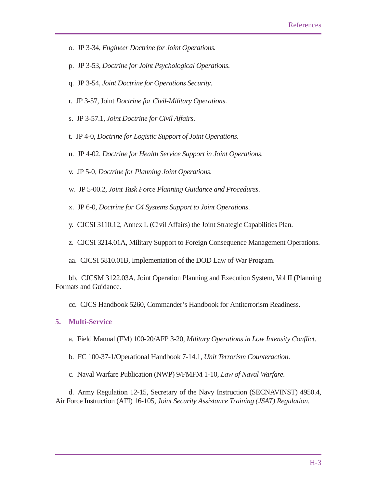- o. JP 3-34, *Engineer Doctrine for Joint Operations.*
- p. JP 3-53, *Doctrine for Joint Psychological Operations*.
- q. JP 3-54, *Joint Doctrine for Operations Security*.
- r. JP 3-57, Joint *Doctrine for Civil-Military Operations*.
- s. JP 3-57.1, *Joint Doctrine for Civil Affairs*.
- t. JP 4-0, *Doctrine for Logistic Support of Joint Operations*.
- u. JP 4-02, *Doctrine for Health Service Support in Joint Operations*.
- v. JP 5-0*, Doctrine for Planning Joint Operations*.
- w. JP 5-00.2, *Joint Task Force Planning Guidance and Procedures*.
- x. JP 6-0, *Doctrine for C4 Systems Support to Joint Operations*.

y. CJCSI 3110.12, Annex L (Civil Affairs) the Joint Strategic Capabilities Plan.

z. CJCSI 3214.01A, Military Support to Foreign Consequence Management Operations.

aa. CJCSI 5810.01B, Implementation of the DOD Law of War Program.

bb. CJCSM 3122.03A, Joint Operation Planning and Execution System, Vol II (Planning Formats and Guidance.

cc. CJCS Handbook 5260, Commander's Handbook for Antiterrorism Readiness.

#### **5. Multi-Service**

a. Field Manual (FM) 100-20/AFP 3-20, *Military Operations in Low Intensity Conflict*.

b. FC 100-37-1/Operational Handbook 7-14.1, *Unit Terrorism Counteraction*.

c. Naval Warfare Publication (NWP) 9/FMFM 1-10, *Law of Naval Warfare*.

d. Army Regulation 12-15, Secretary of the Navy Instruction (SECNAVINST) 4950.4, Air Force Instruction (AFI) 16-105, *Joint Security Assistance Training (JSAT) Regulation*.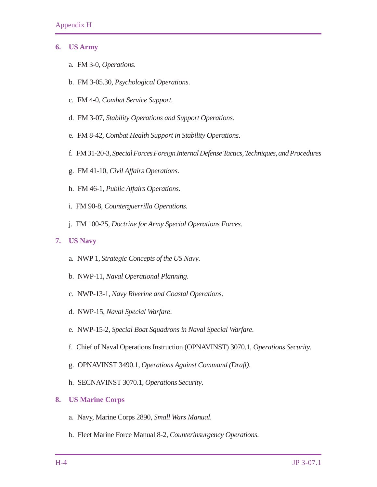#### **6. US Army**

- a. FM 3-0, *Operations*.
- b. FM 3-05.30, *Psychological Operations*.
- c. FM 4-0, *Combat Service Support*.
- d. FM 3-07, *Stability Operations and Support Operations.*
- e. FM 8-42, *Combat Health Support in Stability Operations*.
- f. FM 31-20-3, *Special Forces Foreign Internal Defense Tactics, Techniques, and Procedures*
- g. FM 41-10, *Civil Affairs Operations*.
- h. FM 46-1*, Public Affairs Operations*.
- i. FM 90-8, *Counterguerrilla Operations*.
- j. FM 100-25, *Doctrine for Army Special Operations Forces*.

### **7. US Navy**

- a. NWP 1, *Strategic Concepts of the US Navy*.
- b. NWP-11, *Naval Operational Planning*.
- c. NWP-13-1, *Navy Riverine and Coastal Operations*.
- d. NWP-15, *Naval Special Warfare*.
- e. NWP-15-2, *Special Boat Squadrons in Naval Special Warfare*.
- f. Chief of Naval Operations Instruction (OPNAVINST) 3070.1, *Operations Security*.
- g. OPNAVINST 3490.1, *Operations Against Command (Draft)*.
- h. SECNAVINST 3070.1, *Operations Security*.

## **8. US Marine Corps**

- a. Navy, Marine Corps 2890, *Small Wars Manual*.
- b. Fleet Marine Force Manual 8-2, *Counterinsurgency Operations*.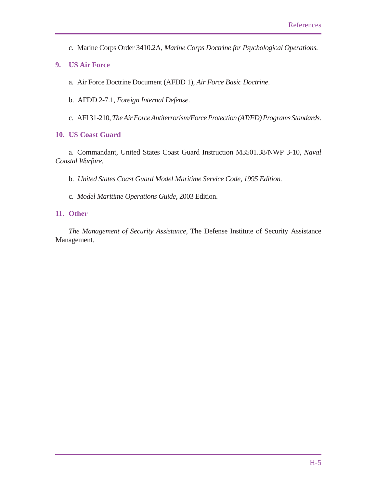c. Marine Corps Order 3410.2A, *Marine Corps Doctrine for Psychological Operations*.

## **9. US Air Force**

a. Air Force Doctrine Document (AFDD 1), *Air Force Basic Doctrine*.

b. AFDD 2-7.1, *Foreign Internal Defense*.

c. AFI 31-210, *The Air Force Antiterrorism/Force Protection (AT/FD) Programs Standards*.

**10. US Coast Guard**

a. Commandant, United States Coast Guard Instruction M3501.38/NWP 3-10, *Naval Coastal Warfare.*

b. *United States Coast Guard Model Maritime Service Code, 1995 Edition.*

c. *Model Maritime Operations Guide*, 2003 Edition.

#### **11. Other**

*The Management of Security Assistance*, The Defense Institute of Security Assistance Management.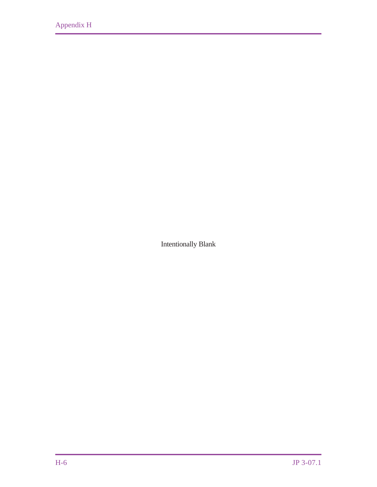Intentionally Blank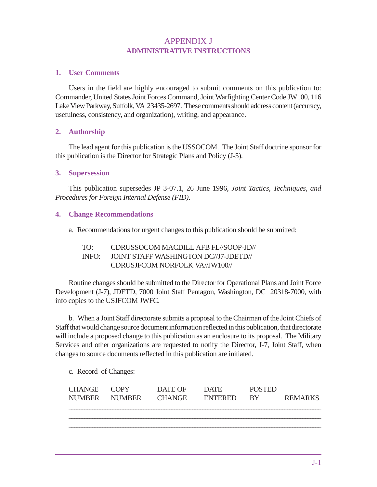## APPENDIX J **ADMINISTRATIVE INSTRUCTIONS**

#### **1. User Comments**

Users in the field are highly encouraged to submit comments on this publication to: Commander, United States Joint Forces Command, Joint Warfighting Center Code JW100, 116 Lake View Parkway, Suffolk, VA 23435-2697. These comments should address content (accuracy, usefulness, consistency, and organization), writing, and appearance.

### **2. Authorship**

The lead agent for this publication is the USSOCOM. The Joint Staff doctrine sponsor for this publication is the Director for Strategic Plans and Policy (J-5).

#### **3. Supersession**

This publication supersedes JP 3-07.1, 26 June 1996, *Joint Tactics, Techniques, and Procedures for Foreign Internal Defense (FID)*.

#### **4. Change Recommendations**

a. Recommendations for urgent changes to this publication should be submitted:

| TO: | CDRUSSOCOM MACDILL AFB FL/SOOP-JD/          |
|-----|---------------------------------------------|
|     | INFO: JOINT STAFF WASHINGTON DC//J7-JDETD// |
|     | CDRUSJFCOM NORFOLK VA//JW100//              |

Routine changes should be submitted to the Director for Operational Plans and Joint Force Development (J-7), JDETD, 7000 Joint Staff Pentagon, Washington, DC 20318-7000, with info copies to the USJFCOM JWFC.

b. When a Joint Staff directorate submits a proposal to the Chairman of the Joint Chiefs of Staff that would change source document information reflected in this publication, that directorate will include a proposed change to this publication as an enclosure to its proposal. The Military Services and other organizations are requested to notify the Director, J-7, Joint Staff, when changes to source documents reflected in this publication are initiated.

c. Record of Changes:

| CHANGE COPY |               | DATE OF | <b>DATE</b> | <b>POSTED</b> |                |
|-------------|---------------|---------|-------------|---------------|----------------|
|             | NUMBER NUMBER | CHANGE  | ENTERED     | - RY          | <b>REMARKS</b> |
|             |               |         |             |               |                |

\_\_\_\_\_\_\_\_\_\_\_\_\_\_\_\_\_\_\_\_\_\_\_\_\_\_\_\_\_\_\_\_\_\_\_\_\_\_\_\_\_\_\_\_\_\_\_\_\_\_\_\_\_\_\_\_\_\_\_\_\_\_\_\_\_\_\_\_\_\_\_\_\_\_\_\_\_\_\_\_\_\_\_\_\_\_\_\_\_\_\_\_\_\_\_\_\_\_ \_\_\_\_\_\_\_\_\_\_\_\_\_\_\_\_\_\_\_\_\_\_\_\_\_\_\_\_\_\_\_\_\_\_\_\_\_\_\_\_\_\_\_\_\_\_\_\_\_\_\_\_\_\_\_\_\_\_\_\_\_\_\_\_\_\_\_\_\_\_\_\_\_\_\_\_\_\_\_\_\_\_\_\_\_\_\_\_\_\_\_\_\_\_\_\_\_\_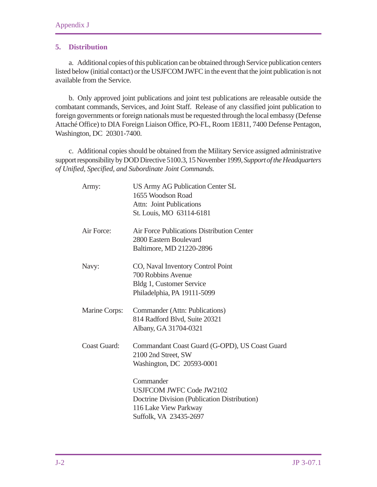## **5. Distribution**

a. Additional copies of this publication can be obtained through Service publication centers listed below (initial contact) or the USJFCOM JWFC in the event that the joint publication is not available from the Service.

b. Only approved joint publications and joint test publications are releasable outside the combatant commands, Services, and Joint Staff. Release of any classified joint publication to foreign governments or foreign nationals must be requested through the local embassy (Defense Attaché Office) to DIA Foreign Liaison Office, PO-FL, Room 1E811, 7400 Defense Pentagon, Washington, DC 20301-7400.

c. Additional copies should be obtained from the Military Service assigned administrative support responsibility by DOD Directive 5100.3, 15 November 1999, *Support of the Headquarters of Unified, Specified, and Subordinate Joint Commands*.

| Army:         | US Army AG Publication Center SL<br>1655 Woodson Road<br><b>Attn: Joint Publications</b><br>St. Louis, MO 63114-6181                            |
|---------------|-------------------------------------------------------------------------------------------------------------------------------------------------|
| Air Force:    | <b>Air Force Publications Distribution Center</b><br>2800 Eastern Boulevard<br>Baltimore, MD 21220-2896                                         |
| Navy:         | CO, Naval Inventory Control Point<br>700 Robbins Avenue<br>Bldg 1, Customer Service<br>Philadelphia, PA 19111-5099                              |
| Marine Corps: | Commander (Attn: Publications)<br>814 Radford Blvd, Suite 20321<br>Albany, GA 31704-0321                                                        |
| Coast Guard:  | Commandant Coast Guard (G-OPD), US Coast Guard<br>2100 2nd Street, SW<br>Washington, DC 20593-0001                                              |
|               | Commander<br><b>USJFCOM JWFC Code JW2102</b><br>Doctrine Division (Publication Distribution)<br>116 Lake View Parkway<br>Suffolk, VA 23435-2697 |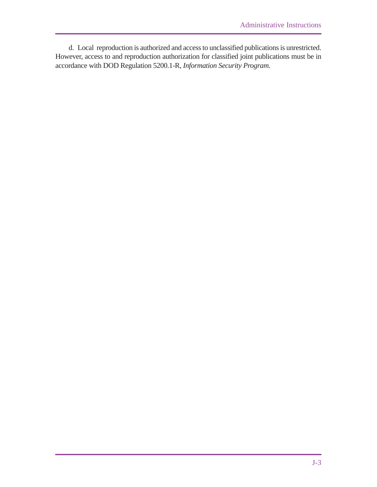d. Local reproduction is authorized and access to unclassified publications is unrestricted. However, access to and reproduction authorization for classified joint publications must be in accordance with DOD Regulation 5200.1-R, *Information Security Program*.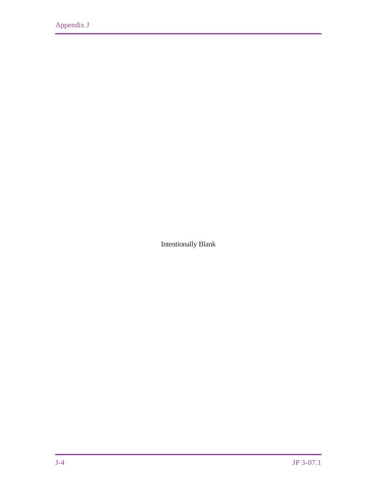Intentionally Blank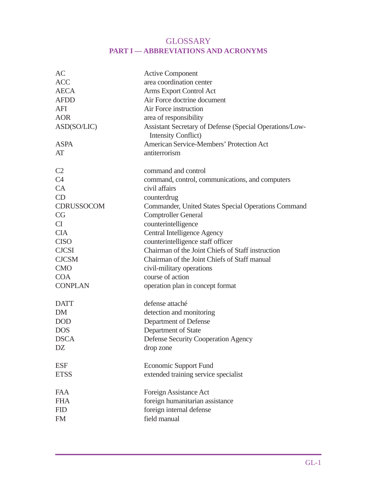# GLOSSARY **PART I — ABBREVIATIONS AND ACRONYMS**

| AC             | <b>Active Component</b>                                 |
|----------------|---------------------------------------------------------|
| <b>ACC</b>     | area coordination center                                |
| <b>AECA</b>    | <b>Arms Export Control Act</b>                          |
| <b>AFDD</b>    | Air Force doctrine document                             |
| AFI            | Air Force instruction                                   |
| <b>AOR</b>     | area of responsibility                                  |
| ASD(SO/LIC)    | Assistant Secretary of Defense (Special Operations/Low- |
|                | <b>Intensity Conflict</b> )                             |
| <b>ASPA</b>    | <b>American Service-Members' Protection Act</b>         |
| AT             | antiterrorism                                           |
| C <sub>2</sub> | command and control                                     |
| C <sub>4</sub> | command, control, communications, and computers         |
| CA             | civil affairs                                           |
| CD             | counterdrug                                             |
| CDRUSSOCOM     | Commander, United States Special Operations Command     |
| CG             | <b>Comptroller General</b>                              |
| <b>CI</b>      | counterintelligence                                     |
| <b>CIA</b>     | Central Intelligence Agency                             |
| <b>CISO</b>    | counterintelligence staff officer                       |
| <b>CJCSI</b>   | Chairman of the Joint Chiefs of Staff instruction       |
| <b>CJCSM</b>   | Chairman of the Joint Chiefs of Staff manual            |
| <b>CMO</b>     | civil-military operations                               |
| <b>COA</b>     | course of action                                        |
| <b>CONPLAN</b> | operation plan in concept format                        |
| <b>DATT</b>    | defense attaché                                         |
| <b>DM</b>      | detection and monitoring                                |
| <b>DOD</b>     | Department of Defense                                   |
| <b>DOS</b>     | Department of State                                     |
| <b>DSCA</b>    | Defense Security Cooperation Agency                     |
| DZ             | drop zone                                               |
| <b>ESF</b>     | <b>Economic Support Fund</b>                            |
| <b>ETSS</b>    | extended training service specialist                    |
| <b>FAA</b>     | Foreign Assistance Act                                  |
| <b>FHA</b>     | foreign humanitarian assistance                         |
| <b>FID</b>     | foreign internal defense                                |
| <b>FM</b>      | field manual                                            |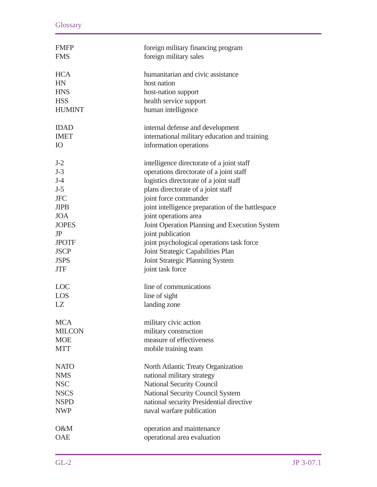| <b>FMFP</b>   | foreign military financing program                |
|---------------|---------------------------------------------------|
| <b>FMS</b>    | foreign military sales                            |
| <b>HCA</b>    | humanitarian and civic assistance                 |
| HN            | host nation                                       |
| <b>HNS</b>    | host-nation support                               |
| <b>HSS</b>    | health service support                            |
| <b>HUMINT</b> | human intelligence                                |
| <b>IDAD</b>   | internal defense and development                  |
| <b>IMET</b>   | international military education and training     |
| IO            | information operations                            |
| $J-2$         | intelligence directorate of a joint staff         |
| $J-3$         | operations directorate of a joint staff           |
| $J-4$         | logistics directorate of a joint staff            |
| $J-5$         | plans directorate of a joint staff                |
| <b>JFC</b>    | joint force commander                             |
| <b>JIPB</b>   | joint intelligence preparation of the battlespace |
| <b>JOA</b>    | joint operations area                             |
| <b>JOPES</b>  | Joint Operation Planning and Execution System     |
| JP            | joint publication                                 |
| <b>JPOTF</b>  | joint psychological operations task force         |
| <b>JSCP</b>   | Joint Strategic Capabilities Plan                 |
| <b>JSPS</b>   | Joint Strategic Planning System                   |
| <b>JTF</b>    | joint task force                                  |
| <b>LOC</b>    | line of communications                            |
| LOS           | line of sight                                     |
| LZ            | landing zone                                      |
| <b>MCA</b>    | military civic action                             |
| <b>MILCON</b> | military construction                             |
| <b>MOE</b>    | measure of effectiveness                          |
| <b>MTT</b>    | mobile training team                              |
| <b>NATO</b>   | North Atlantic Treaty Organization                |
| <b>NMS</b>    | national military strategy                        |
| <b>NSC</b>    | <b>National Security Council</b>                  |
| <b>NSCS</b>   | <b>National Security Council System</b>           |
| <b>NSPD</b>   | national security Presidential directive          |
| <b>NWP</b>    | naval warfare publication                         |
| O&M           | operation and maintenance                         |
| OAE           | operational area evaluation                       |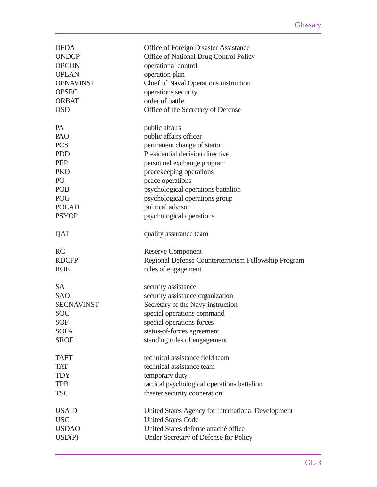| <b>OFDA</b><br><b>ONDCP</b><br><b>OPCON</b><br><b>OPLAN</b><br><b>OPNAVINST</b><br><b>OPSEC</b><br><b>ORBAT</b><br><b>OSD</b> | Office of Foreign Disaster Assistance<br>Office of National Drug Control Policy<br>operational control<br>operation plan<br>Chief of Naval Operations instruction<br>operations security<br>order of battle<br>Office of the Secretary of Defense |
|-------------------------------------------------------------------------------------------------------------------------------|---------------------------------------------------------------------------------------------------------------------------------------------------------------------------------------------------------------------------------------------------|
| PA                                                                                                                            | public affairs                                                                                                                                                                                                                                    |
| PAO                                                                                                                           | public affairs officer                                                                                                                                                                                                                            |
| <b>PCS</b>                                                                                                                    | permanent change of station                                                                                                                                                                                                                       |
| <b>PDD</b>                                                                                                                    | Presidential decision directive                                                                                                                                                                                                                   |
| <b>PEP</b>                                                                                                                    | personnel exchange program                                                                                                                                                                                                                        |
| <b>PKO</b>                                                                                                                    | peacekeeping operations                                                                                                                                                                                                                           |
| PO                                                                                                                            | peace operations                                                                                                                                                                                                                                  |
| POB                                                                                                                           | psychological operations battalion                                                                                                                                                                                                                |
| POG                                                                                                                           | psychological operations group                                                                                                                                                                                                                    |
| <b>POLAD</b>                                                                                                                  | political advisor                                                                                                                                                                                                                                 |
| <b>PSYOP</b>                                                                                                                  | psychological operations                                                                                                                                                                                                                          |
| QAT                                                                                                                           | quality assurance team                                                                                                                                                                                                                            |
|                                                                                                                               |                                                                                                                                                                                                                                                   |
| <b>RC</b>                                                                                                                     |                                                                                                                                                                                                                                                   |
| <b>RDCFP</b>                                                                                                                  | <b>Reserve Component</b><br>Regional Defense Counterterrorism Fellowship Program                                                                                                                                                                  |
| <b>ROE</b>                                                                                                                    | rules of engagement                                                                                                                                                                                                                               |
|                                                                                                                               |                                                                                                                                                                                                                                                   |
| <b>SA</b>                                                                                                                     | security assistance                                                                                                                                                                                                                               |
| <b>SAO</b>                                                                                                                    | security assistance organization                                                                                                                                                                                                                  |
| <b>SECNAVINST</b>                                                                                                             | Secretary of the Navy instruction                                                                                                                                                                                                                 |
| <b>SOC</b>                                                                                                                    | special operations command                                                                                                                                                                                                                        |
| <b>SOF</b>                                                                                                                    | special operations forces                                                                                                                                                                                                                         |
| <b>SOFA</b>                                                                                                                   | status-of-forces agreement                                                                                                                                                                                                                        |
| <b>SROE</b>                                                                                                                   | standing rules of engagement                                                                                                                                                                                                                      |
| <b>TAFT</b>                                                                                                                   | technical assistance field team                                                                                                                                                                                                                   |
| <b>TAT</b>                                                                                                                    | technical assistance team                                                                                                                                                                                                                         |
| <b>TDY</b>                                                                                                                    |                                                                                                                                                                                                                                                   |
| <b>TPB</b>                                                                                                                    | temporary duty                                                                                                                                                                                                                                    |
| <b>TSC</b>                                                                                                                    | tactical psychological operations battalion<br>theater security cooperation                                                                                                                                                                       |
|                                                                                                                               |                                                                                                                                                                                                                                                   |
| <b>USAID</b>                                                                                                                  | United States Agency for International Development                                                                                                                                                                                                |
| <b>USC</b>                                                                                                                    | <b>United States Code</b>                                                                                                                                                                                                                         |
| <b>USDAO</b><br>USD(P)                                                                                                        | United States defense attaché office<br>Under Secretary of Defense for Policy                                                                                                                                                                     |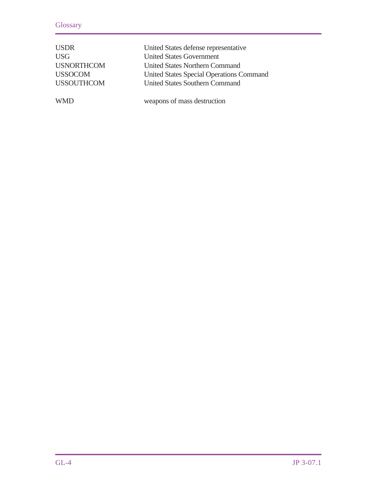| <b>USDR</b>       | United States defense representative     |
|-------------------|------------------------------------------|
| USG               | <b>United States Government</b>          |
| <b>USNORTHCOM</b> | United States Northern Command           |
| <b>USSOCOM</b>    | United States Special Operations Command |
| <b>USSOUTHCOM</b> | <b>United States Southern Command</b>    |
|                   |                                          |
| <b>WMD</b>        | weapons of mass destruction              |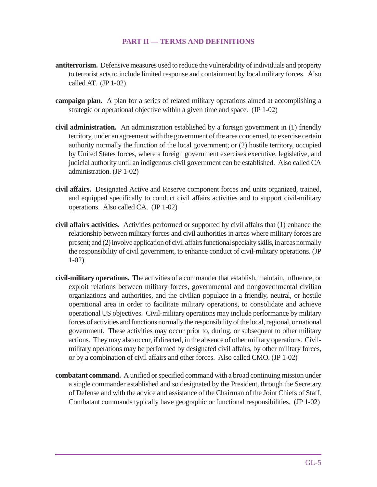#### **PART II — TERMS AND DEFINITIONS**

- **antiterrorism.** Defensive measures used to reduce the vulnerability of individuals and property to terrorist acts to include limited response and containment by local military forces. Also called AT. (JP 1-02)
- **campaign plan.** A plan for a series of related military operations aimed at accomplishing a strategic or operational objective within a given time and space. (JP 1-02)
- **civil administration.** An administration established by a foreign government in (1) friendly territory, under an agreement with the government of the area concerned, to exercise certain authority normally the function of the local government; or (2) hostile territory, occupied by United States forces, where a foreign government exercises executive, legislative, and judicial authority until an indigenous civil government can be established. Also called CA administration. (JP 1-02)
- **civil affairs.** Designated Active and Reserve component forces and units organized, trained, and equipped specifically to conduct civil affairs activities and to support civil-military operations. Also called CA. (JP 1-02)
- **civil affairs activities.** Activities performed or supported by civil affairs that (1) enhance the relationship between military forces and civil authorities in areas where military forces are present; and (2) involve application of civil affairs functional specialty skills, in areas normally the responsibility of civil government, to enhance conduct of civil-military operations. (JP 1-02)
- **civil-military operations.** The activities of a commander that establish, maintain, influence, or exploit relations between military forces, governmental and nongovernmental civilian organizations and authorities, and the civilian populace in a friendly, neutral, or hostile operational area in order to facilitate military operations, to consolidate and achieve operational US objectives. Civil-military operations may include performance by military forces of activities and functions normally the responsibility of the local, regional, or national government. These activities may occur prior to, during, or subsequent to other military actions. They may also occur, if directed, in the absence of other military operations. Civilmilitary operations may be performed by designated civil affairs, by other military forces, or by a combination of civil affairs and other forces. Also called CMO. (JP 1-02)
- **combatant command.** A unified or specified command with a broad continuing mission under a single commander established and so designated by the President, through the Secretary of Defense and with the advice and assistance of the Chairman of the Joint Chiefs of Staff. Combatant commands typically have geographic or functional responsibilities. (JP 1-02)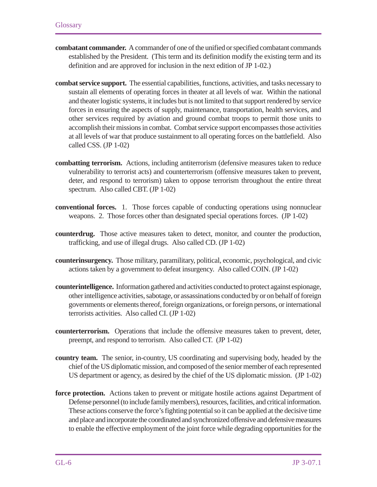- **combatant commander.** A commander of one of the unified or specified combatant commands established by the President. (This term and its definition modify the existing term and its definition and are approved for inclusion in the next edition of JP 1-02.)
- **combat service support.** The essential capabilities, functions, activities, and tasks necessary to sustain all elements of operating forces in theater at all levels of war. Within the national and theater logistic systems, it includes but is not limited to that support rendered by service forces in ensuring the aspects of supply, maintenance, transportation, health services, and other services required by aviation and ground combat troops to permit those units to accomplish their missions in combat. Combat service support encompasses those activities at all levels of war that produce sustainment to all operating forces on the battlefield. Also called CSS. (JP 1-02)
- **combatting terrorism.** Actions, including antiterrorism (defensive measures taken to reduce vulnerability to terrorist acts) and counterterrorism (offensive measures taken to prevent, deter, and respond to terrorism) taken to oppose terrorism throughout the entire threat spectrum. Also called CBT. (JP 1-02)
- **conventional forces.** 1. Those forces capable of conducting operations using nonnuclear weapons. 2. Those forces other than designated special operations forces. (JP 1-02)
- **counterdrug.** Those active measures taken to detect, monitor, and counter the production, trafficking, and use of illegal drugs. Also called CD. (JP 1-02)
- **counterinsurgency.** Those military, paramilitary, political, economic, psychological, and civic actions taken by a government to defeat insurgency. Also called COIN. (JP 1-02)
- **counterintelligence.** Information gathered and activities conducted to protect against espionage, other intelligence activities, sabotage, or assassinations conducted by or on behalf of foreign governments or elements thereof, foreign organizations, or foreign persons, or international terrorists activities. Also called CI. (JP 1-02)
- **counterterrorism.** Operations that include the offensive measures taken to prevent, deter, preempt, and respond to terrorism. Also called CT. (JP 1-02)
- **country team.** The senior, in-country, US coordinating and supervising body, headed by the chief of the US diplomatic mission, and composed of the senior member of each represented US department or agency, as desired by the chief of the US diplomatic mission. (JP 1-02)
- force protection. Actions taken to prevent or mitigate hostile actions against Department of Defense personnel (to include family members), resources, facilities, and critical information. These actions conserve the force's fighting potential so it can be applied at the decisive time and place and incorporate the coordinated and synchronized offensive and defensive measures to enable the effective employment of the joint force while degrading opportunities for the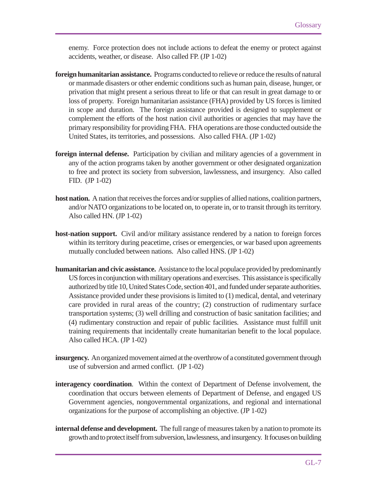enemy. Force protection does not include actions to defeat the enemy or protect against accidents, weather, or disease. Also called FP. (JP 1-02)

- **foreign humanitarian assistance.** Programs conducted to relieve or reduce the results of natural or manmade disasters or other endemic conditions such as human pain, disease, hunger, or privation that might present a serious threat to life or that can result in great damage to or loss of property. Foreign humanitarian assistance (FHA) provided by US forces is limited in scope and duration. The foreign assistance provided is designed to supplement or complement the efforts of the host nation civil authorities or agencies that may have the primary responsibility for providing FHA. FHA operations are those conducted outside the United States, its territories, and possessions. Also called FHA. (JP 1-02)
- **foreign internal defense.** Participation by civilian and military agencies of a government in any of the action programs taken by another government or other designated organization to free and protect its society from subversion, lawlessness, and insurgency. Also called FID. (JP 1-02)
- **host nation.** A nation that receives the forces and/or supplies of allied nations, coalition partners, and/or NATO organizations to be located on, to operate in, or to transit through its territory. Also called HN. (JP 1-02)
- **host-nation support.** Civil and/or military assistance rendered by a nation to foreign forces within its territory during peacetime, crises or emergencies, or war based upon agreements mutually concluded between nations. Also called HNS. (JP 1-02)
- **humanitarian and civic assistance.** Assistance to the local populace provided by predominantly US forces in conjunction with military operations and exercises. This assistance is specifically authorized by title 10, United States Code, section 401, and funded under separate authorities. Assistance provided under these provisions is limited to (1) medical, dental, and veterinary care provided in rural areas of the country; (2) construction of rudimentary surface transportation systems; (3) well drilling and construction of basic sanitation facilities; and (4) rudimentary construction and repair of public facilities. Assistance must fulfill unit training requirements that incidentally create humanitarian benefit to the local populace. Also called HCA. (JP 1-02)
- **insurgency.** An organized movement aimed at the overthrow of a constituted government through use of subversion and armed conflict. (JP 1-02)
- **interagency coordination**. Within the context of Department of Defense involvement, the coordination that occurs between elements of Department of Defense, and engaged US Government agencies, nongovernmental organizations, and regional and international organizations for the purpose of accomplishing an objective. (JP 1-02)
- **internal defense and development.** The full range of measures taken by a nation to promote its growth and to protect itself from subversion, lawlessness, and insurgency. It focuses on building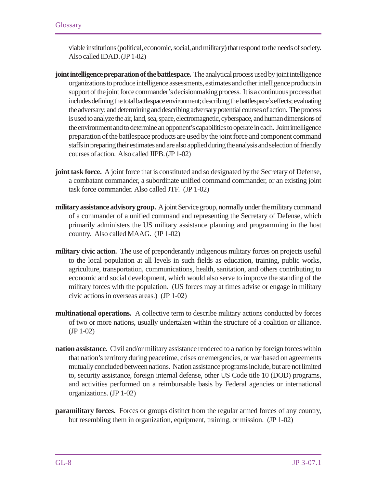viable institutions (political, economic, social, and military) that respond to the needs of society. Also called IDAD. (JP 1-02)

- **joint intelligence preparation of the battlespace.** The analytical process used by joint intelligence organizations to produce intelligence assessments, estimates and other intelligence products in support of the joint force commander's decisionmaking process. It is a continuous process that includes defining the total battlespace environment; describing the battlespace's effects; evaluating the adversary; and determining and describing adversary potential courses of action. The process is used to analyze the air, land, sea, space, electromagnetic, cyberspace, and human dimensions of the environment and to determine an opponent's capabilities to operate in each. Joint intelligence preparation of the battlespace products are used by the joint force and component command staffs in preparing their estimates and are also applied during the analysis and selection of friendly courses of action. Also called JIPB. (JP 1-02)
- **joint task force.** A joint force that is constituted and so designated by the Secretary of Defense, a combatant commander, a subordinate unified command commander, or an existing joint task force commander. Also called JTF. (JP 1-02)
- **military assistance advisory group.** A joint Service group, normally under the military command of a commander of a unified command and representing the Secretary of Defense, which primarily administers the US military assistance planning and programming in the host country. Also called MAAG. (JP 1-02)
- **military civic action.** The use of preponderantly indigenous military forces on projects useful to the local population at all levels in such fields as education, training, public works, agriculture, transportation, communications, health, sanitation, and others contributing to economic and social development, which would also serve to improve the standing of the military forces with the population. (US forces may at times advise or engage in military civic actions in overseas areas.) (JP 1-02)
- **multinational operations.** A collective term to describe military actions conducted by forces of two or more nations, usually undertaken within the structure of a coalition or alliance. (JP 1-02)
- **nation assistance.** Civil and/or military assistance rendered to a nation by foreign forces within that nation's territory during peacetime, crises or emergencies, or war based on agreements mutually concluded between nations. Nation assistance programs include, but are not limited to, security assistance, foreign internal defense, other US Code title 10 (DOD) programs, and activities performed on a reimbursable basis by Federal agencies or international organizations. (JP 1-02)
- **paramilitary forces.** Forces or groups distinct from the regular armed forces of any country, but resembling them in organization, equipment, training, or mission. (JP 1-02)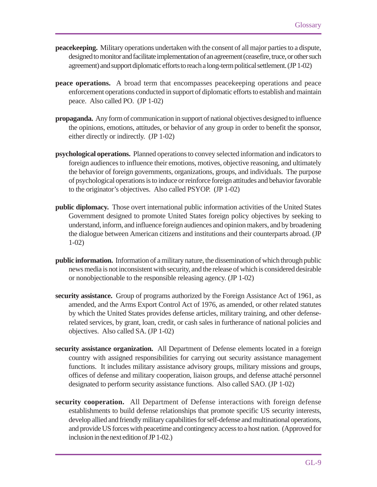- **peacekeeping.** Military operations undertaken with the consent of all major parties to a dispute, designed to monitor and facilitate implementation of an agreement (ceasefire, truce, or other such agreement) and support diplomatic efforts to reach a long-term political settlement. (JP 1-02)
- **peace operations.** A broad term that encompasses peace keeping operations and peace enforcement operations conducted in support of diplomatic efforts to establish and maintain peace. Also called PO. (JP 1-02)
- **propaganda.** Any form of communication in support of national objectives designed to influence the opinions, emotions, attitudes, or behavior of any group in order to benefit the sponsor, either directly or indirectly. (JP 1-02)
- **psychological operations.** Planned operations to convey selected information and indicators to foreign audiences to influence their emotions, motives, objective reasoning, and ultimately the behavior of foreign governments, organizations, groups, and individuals. The purpose of psychological operations is to induce or reinforce foreign attitudes and behavior favorable to the originator's objectives. Also called PSYOP. (JP 1-02)
- **public diplomacy.** Those overt international public information activities of the United States Government designed to promote United States foreign policy objectives by seeking to understand, inform, and influence foreign audiences and opinion makers, and by broadening the dialogue between American citizens and institutions and their counterparts abroad. (JP 1-02)
- **public information.** Information of a military nature, the dissemination of which through public news media is not inconsistent with security, and the release of which is considered desirable or nonobjectionable to the responsible releasing agency. (JP 1-02)
- **security assistance.** Group of programs authorized by the Foreign Assistance Act of 1961, as amended, and the Arms Export Control Act of 1976, as amended, or other related statutes by which the United States provides defense articles, military training, and other defenserelated services, by grant, loan, credit, or cash sales in furtherance of national policies and objectives. Also called SA. (JP 1-02)
- **security assistance organization.** All Department of Defense elements located in a foreign country with assigned responsibilities for carrying out security assistance management functions. It includes military assistance advisory groups, military missions and groups, offices of defense and military cooperation, liaison groups, and defense attaché personnel designated to perform security assistance functions. Also called SAO. (JP 1-02)
- **security cooperation.** All Department of Defense interactions with foreign defense establishments to build defense relationships that promote specific US security interests, develop allied and friendly military capabilities for self-defense and multinational operations, and provide US forces with peacetime and contingency access to a host nation. (Approved for inclusion in the next edition of JP 1-02.)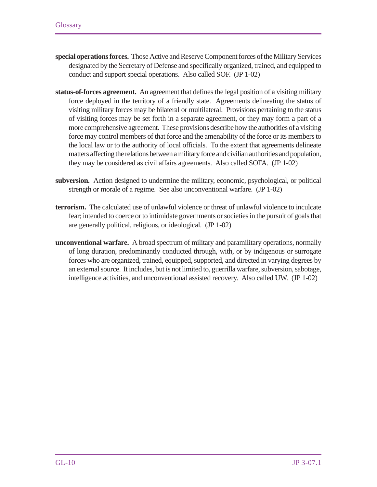- **special operations forces.** Those Active and Reserve Component forces of the Military Services designated by the Secretary of Defense and specifically organized, trained, and equipped to conduct and support special operations. Also called SOF. (JP 1-02)
- **status-of-forces agreement.** An agreement that defines the legal position of a visiting military force deployed in the territory of a friendly state. Agreements delineating the status of visiting military forces may be bilateral or multilateral. Provisions pertaining to the status of visiting forces may be set forth in a separate agreement, or they may form a part of a more comprehensive agreement. These provisions describe how the authorities of a visiting force may control members of that force and the amenability of the force or its members to the local law or to the authority of local officials. To the extent that agreements delineate matters affecting the relations between a military force and civilian authorities and population, they may be considered as civil affairs agreements. Also called SOFA. (JP 1-02)
- **subversion.** Action designed to undermine the military, economic, psychological, or political strength or morale of a regime. See also unconventional warfare. (JP 1-02)
- **terrorism.** The calculated use of unlawful violence or threat of unlawful violence to inculcate fear; intended to coerce or to intimidate governments or societies in the pursuit of goals that are generally political, religious, or ideological. (JP 1-02)
- **unconventional warfare.** A broad spectrum of military and paramilitary operations, normally of long duration, predominantly conducted through, with, or by indigenous or surrogate forces who are organized, trained, equipped, supported, and directed in varying degrees by an external source. It includes, but is not limited to, guerrilla warfare, subversion, sabotage, intelligence activities, and unconventional assisted recovery. Also called UW. (JP 1-02)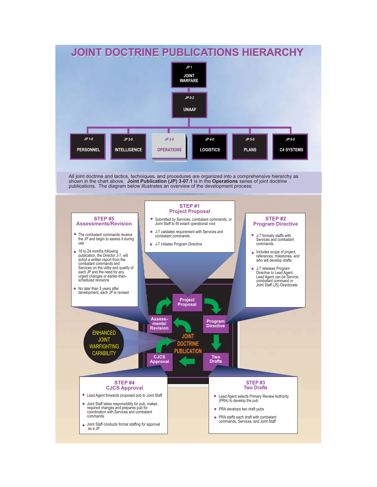